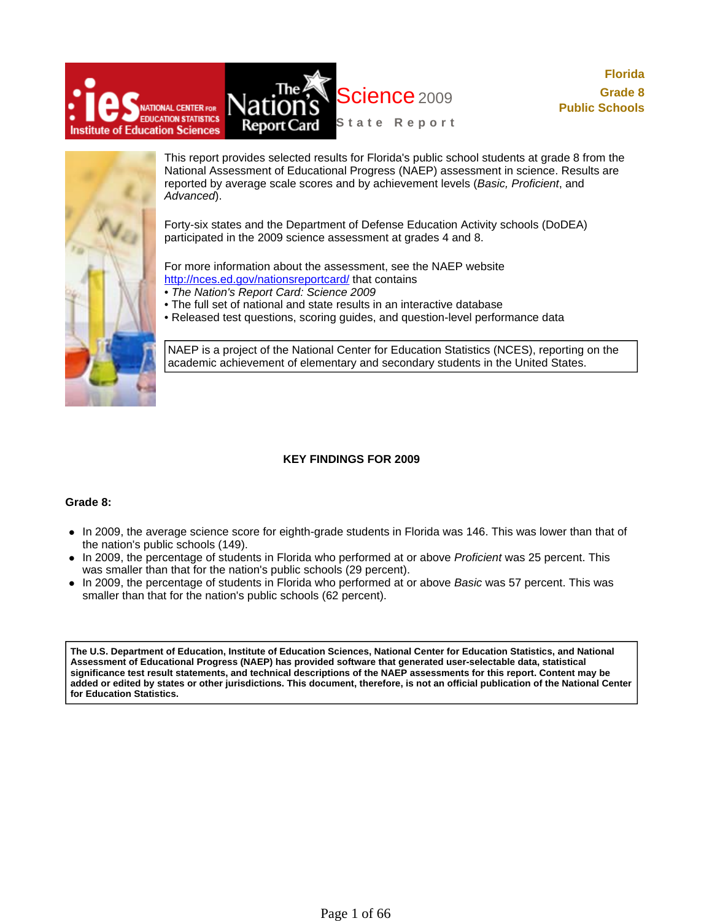



This report provides selected results for Florida's public school students at grade 8 from the National Assessment of Educational Progress (NAEP) assessment in science. Results are reported by average scale scores and by achievement levels (*Basic, Proficient*, and *Advanced*).

Forty-six states and the Department of Defense Education Activity schools (DoDEA) participated in the 2009 science assessment at grades 4 and 8.

For more information about the assessment, see the NAEP website http://nces.ed.gov/nationsreportcard/ that contains

- *The Nation's Report Card: Science 2009*
- The full set of national and state results in an interactive database
- Released test questions, scoring guides, and question-level performance data

NAEP is a project of the National Center for Education Statistics (NCES), reporting on the academic achievement of elementary and secondary students in the United States.

### **KEY FINDINGS FOR 2009**

### **Grade 8:**

- In 2009, the average science score for eighth-grade students in Florida was 146. This was lower than that of the nation's public schools (149).
- In 2009, the percentage of students in Florida who performed at or above *Proficient* was 25 percent. This was smaller than that for the nation's public schools (29 percent).
- In 2009, the percentage of students in Florida who performed at or above *Basic* was 57 percent. This was smaller than that for the nation's public schools (62 percent).

**The U.S. Department of Education, Institute of Education Sciences, National Center for Education Statistics, and National Assessment of Educational Progress (NAEP) has provided software that generated user-selectable data, statistical significance test result statements, and technical descriptions of the NAEP assessments for this report. Content may be added or edited by states or other jurisdictions. This document, therefore, is not an official publication of the National Center for Education Statistics.**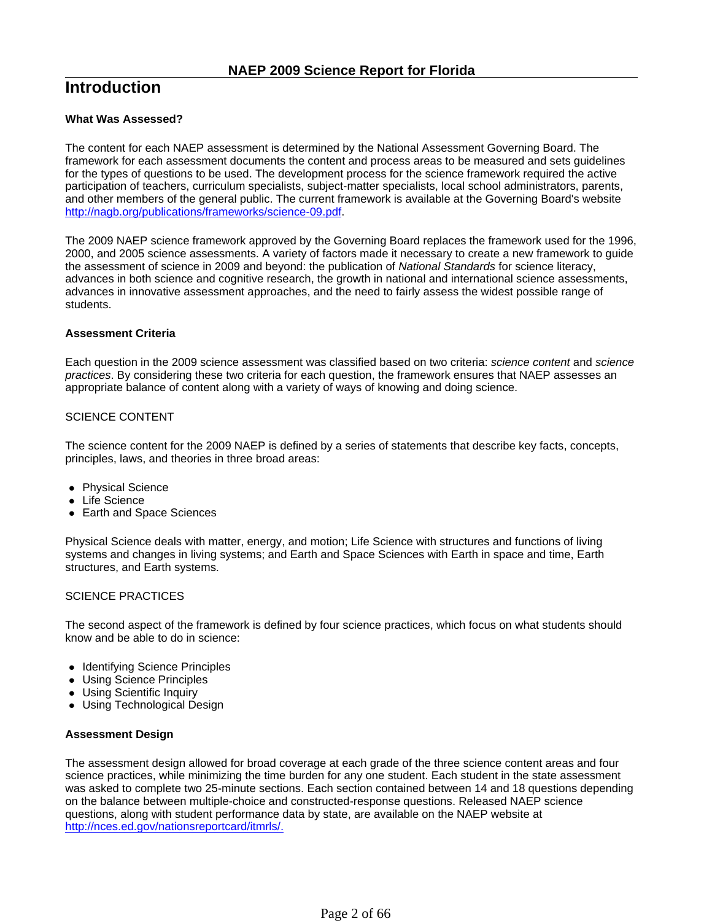# **Introduction**

### **What Was Assessed?**

The content for each NAEP assessment is determined by the National Assessment Governing Board. The framework for each assessment documents the content and process areas to be measured and sets guidelines for the types of questions to be used. The development process for the science framework required the active participation of teachers, curriculum specialists, subject-matter specialists, local school administrators, parents, and other members of the general public. The current framework is available at the Governing Board's website http://nagb.org/publications/frameworks/science-09.pdf.

The 2009 NAEP science framework approved by the Governing Board replaces the framework used for the 1996, 2000, and 2005 science assessments. A variety of factors made it necessary to create a new framework to guide the assessment of science in 2009 and beyond: the publication of *National Standards* for science literacy, advances in both science and cognitive research, the growth in national and international science assessments, advances in innovative assessment approaches, and the need to fairly assess the widest possible range of students.

### **Assessment Criteria**

Each question in the 2009 science assessment was classified based on two criteria: *science content* and *science practices*. By considering these two criteria for each question, the framework ensures that NAEP assesses an appropriate balance of content along with a variety of ways of knowing and doing science.

### SCIENCE CONTENT

The science content for the 2009 NAEP is defined by a series of statements that describe key facts, concepts, principles, laws, and theories in three broad areas:

- Physical Science
- Life Science
- Earth and Space Sciences

Physical Science deals with matter, energy, and motion; Life Science with structures and functions of living systems and changes in living systems; and Earth and Space Sciences with Earth in space and time, Earth structures, and Earth systems.

### SCIENCE PRACTICES

The second aspect of the framework is defined by four science practices, which focus on what students should know and be able to do in science:

- Identifying Science Principles
- Using Science Principles
- Using Scientific Inquiry
- Using Technological Design

### **Assessment Design**

The assessment design allowed for broad coverage at each grade of the three science content areas and four science practices, while minimizing the time burden for any one student. Each student in the state assessment was asked to complete two 25-minute sections. Each section contained between 14 and 18 questions depending on the balance between multiple-choice and constructed-response questions. Released NAEP science questions, along with student performance data by state, are available on the NAEP website at http://nces.ed.gov/nationsreportcard/itmrls/.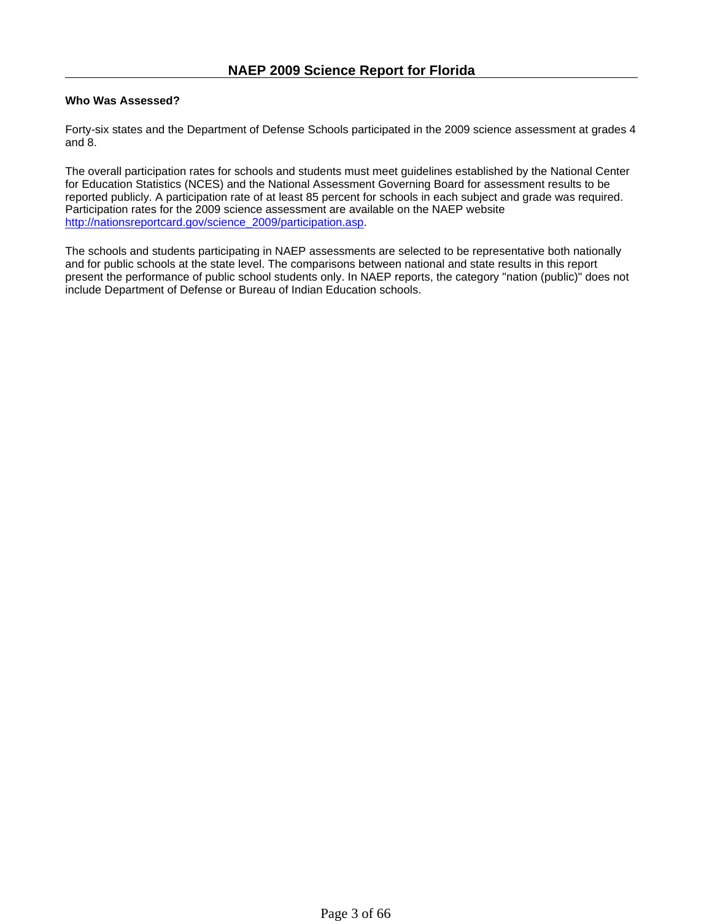### **Who Was Assessed?**

Forty-six states and the Department of Defense Schools participated in the 2009 science assessment at grades 4 and 8.

The overall participation rates for schools and students must meet guidelines established by the National Center for Education Statistics (NCES) and the National Assessment Governing Board for assessment results to be reported publicly. A participation rate of at least 85 percent for schools in each subject and grade was required. Participation rates for the 2009 science assessment are available on the NAEP website http://nationsreportcard.gov/science\_2009/participation.asp.

The schools and students participating in NAEP assessments are selected to be representative both nationally and for public schools at the state level. The comparisons between national and state results in this report present the performance of public school students only. In NAEP reports, the category "nation (public)" does not include Department of Defense or Bureau of Indian Education schools.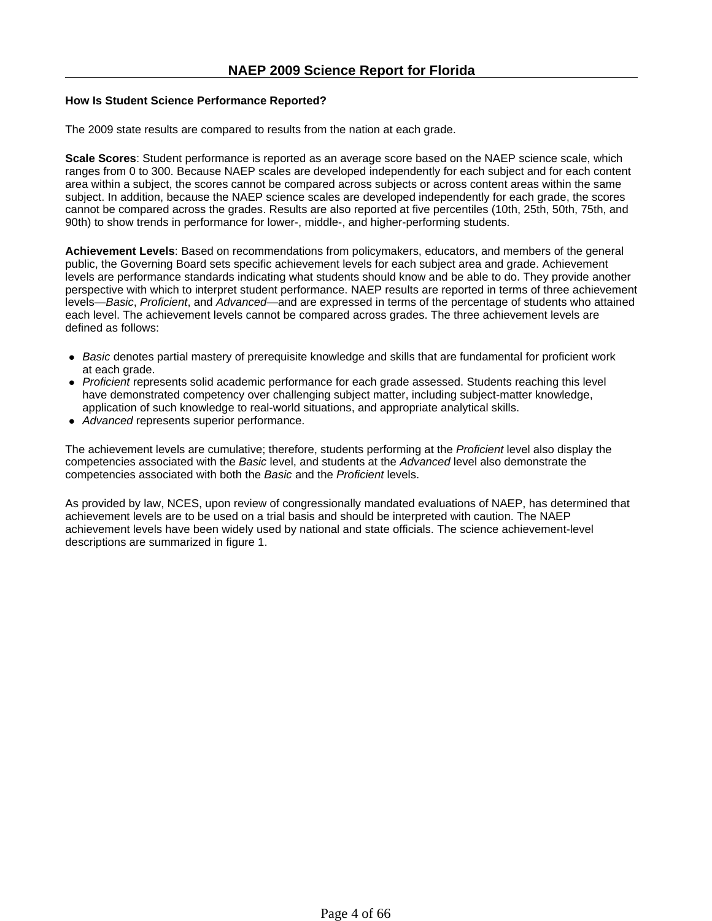### **How Is Student Science Performance Reported?**

The 2009 state results are compared to results from the nation at each grade.

**Scale Scores**: Student performance is reported as an average score based on the NAEP science scale, which ranges from 0 to 300. Because NAEP scales are developed independently for each subject and for each content area within a subject, the scores cannot be compared across subjects or across content areas within the same subject. In addition, because the NAEP science scales are developed independently for each grade, the scores cannot be compared across the grades. Results are also reported at five percentiles (10th, 25th, 50th, 75th, and 90th) to show trends in performance for lower-, middle-, and higher-performing students.

**Achievement Levels**: Based on recommendations from policymakers, educators, and members of the general public, the Governing Board sets specific achievement levels for each subject area and grade. Achievement levels are performance standards indicating what students should know and be able to do. They provide another perspective with which to interpret student performance. NAEP results are reported in terms of three achievement levels—*Basic*, *Proficient*, and *Advanced*—and are expressed in terms of the percentage of students who attained each level. The achievement levels cannot be compared across grades. The three achievement levels are defined as follows:

- Basic denotes partial mastery of prerequisite knowledge and skills that are fundamental for proficient work at each grade.
- Proficient represents solid academic performance for each grade assessed. Students reaching this level have demonstrated competency over challenging subject matter, including subject-matter knowledge, application of such knowledge to real-world situations, and appropriate analytical skills.
- *Advanced* represents superior performance.

The achievement levels are cumulative; therefore, students performing at the *Proficient* level also display the competencies associated with the *Basic* level, and students at the *Advanced* level also demonstrate the competencies associated with both the *Basic* and the *Proficient* levels.

As provided by law, NCES, upon review of congressionally mandated evaluations of NAEP, has determined that achievement levels are to be used on a trial basis and should be interpreted with caution. The NAEP achievement levels have been widely used by national and state officials. The science achievement-level descriptions are summarized in figure 1.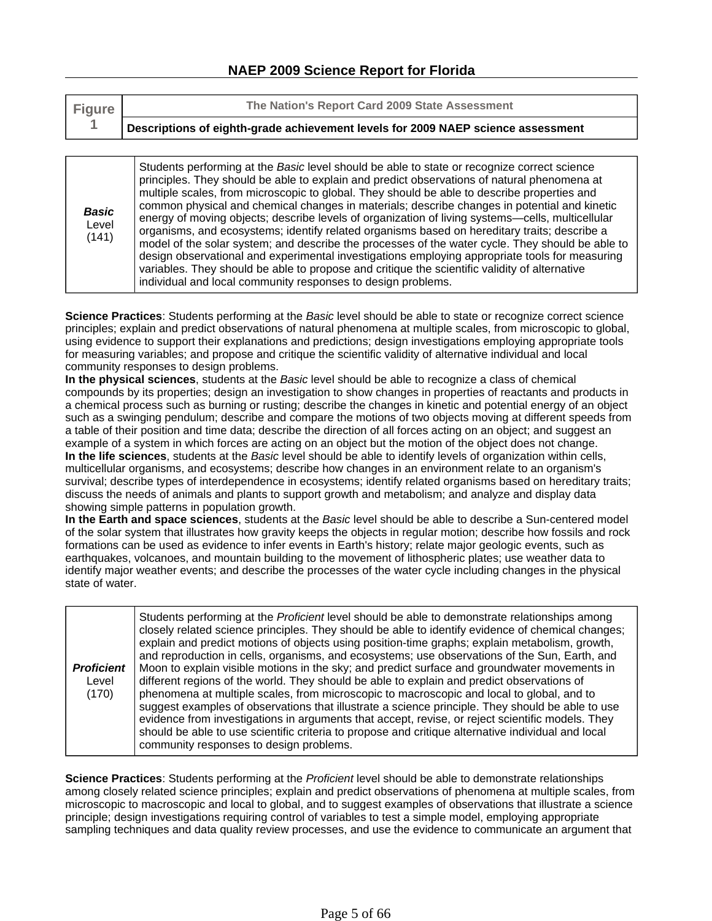| <b>Figure</b> | The Nation's Report Card 2009 State Assessment                                   |
|---------------|----------------------------------------------------------------------------------|
|               | Descriptions of eighth-grade achievement levels for 2009 NAEP science assessment |

*Basic* Level (141) Students performing at the *Basic* level should be able to state or recognize correct science principles. They should be able to explain and predict observations of natural phenomena at multiple scales, from microscopic to global. They should be able to describe properties and common physical and chemical changes in materials; describe changes in potential and kinetic energy of moving objects; describe levels of organization of living systems—cells, multicellular organisms, and ecosystems; identify related organisms based on hereditary traits; describe a model of the solar system; and describe the processes of the water cycle. They should be able to design observational and experimental investigations employing appropriate tools for measuring variables. They should be able to propose and critique the scientific validity of alternative individual and local community responses to design problems.

**Science Practices**: Students performing at the *Basic* level should be able to state or recognize correct science principles; explain and predict observations of natural phenomena at multiple scales, from microscopic to global, using evidence to support their explanations and predictions; design investigations employing appropriate tools for measuring variables; and propose and critique the scientific validity of alternative individual and local community responses to design problems.

**In the physical sciences**, students at the *Basic* level should be able to recognize a class of chemical compounds by its properties; design an investigation to show changes in properties of reactants and products in a chemical process such as burning or rusting; describe the changes in kinetic and potential energy of an object such as a swinging pendulum; describe and compare the motions of two objects moving at different speeds from a table of their position and time data; describe the direction of all forces acting on an object; and suggest an example of a system in which forces are acting on an object but the motion of the object does not change. **In the life sciences**, students at the *Basic* level should be able to identify levels of organization within cells, multicellular organisms, and ecosystems; describe how changes in an environment relate to an organism's survival; describe types of interdependence in ecosystems; identify related organisms based on hereditary traits; discuss the needs of animals and plants to support growth and metabolism; and analyze and display data showing simple patterns in population growth.

**In the Earth and space sciences**, students at the *Basic* level should be able to describe a Sun-centered model of the solar system that illustrates how gravity keeps the objects in regular motion; describe how fossils and rock formations can be used as evidence to infer events in Earth's history; relate major geologic events, such as earthquakes, volcanoes, and mountain building to the movement of lithospheric plates; use weather data to identify major weather events; and describe the processes of the water cycle including changes in the physical state of water.

**Science Practices**: Students performing at the *Proficient* level should be able to demonstrate relationships among closely related science principles; explain and predict observations of phenomena at multiple scales, from microscopic to macroscopic and local to global, and to suggest examples of observations that illustrate a science principle; design investigations requiring control of variables to test a simple model, employing appropriate sampling techniques and data quality review processes, and use the evidence to communicate an argument that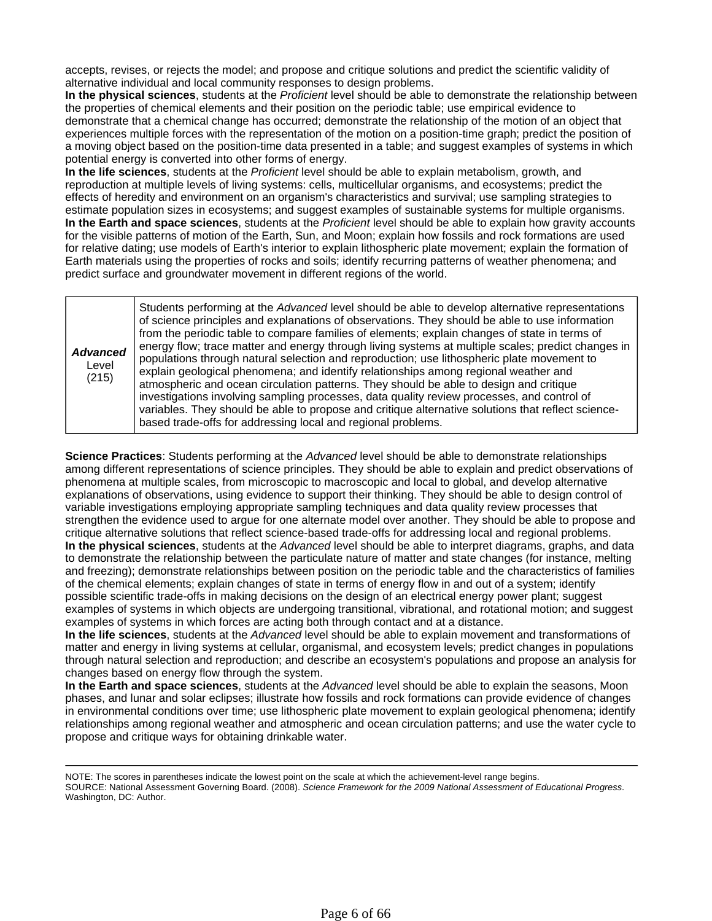accepts, revises, or rejects the model; and propose and critique solutions and predict the scientific validity of alternative individual and local community responses to design problems.

**In the physical sciences**, students at the *Proficient* level should be able to demonstrate the relationship between the properties of chemical elements and their position on the periodic table; use empirical evidence to demonstrate that a chemical change has occurred; demonstrate the relationship of the motion of an object that experiences multiple forces with the representation of the motion on a position-time graph; predict the position of a moving object based on the position-time data presented in a table; and suggest examples of systems in which potential energy is converted into other forms of energy.

**In the life sciences**, students at the *Proficient* level should be able to explain metabolism, growth, and reproduction at multiple levels of living systems: cells, multicellular organisms, and ecosystems; predict the effects of heredity and environment on an organism's characteristics and survival; use sampling strategies to estimate population sizes in ecosystems; and suggest examples of sustainable systems for multiple organisms. **In the Earth and space sciences**, students at the *Proficient* level should be able to explain how gravity accounts for the visible patterns of motion of the Earth, Sun, and Moon; explain how fossils and rock formations are used for relative dating; use models of Earth's interior to explain lithospheric plate movement; explain the formation of Earth materials using the properties of rocks and soils; identify recurring patterns of weather phenomena; and predict surface and groundwater movement in different regions of the world.

| <b>Advanced</b><br>Level<br>(215) | Students performing at the Advanced level should be able to develop alternative representations<br>of science principles and explanations of observations. They should be able to use information<br>from the periodic table to compare families of elements; explain changes of state in terms of<br>energy flow; trace matter and energy through living systems at multiple scales; predict changes in<br>populations through natural selection and reproduction; use lithospheric plate movement to<br>explain geological phenomena; and identify relationships among regional weather and<br>atmospheric and ocean circulation patterns. They should be able to design and critique<br>investigations involving sampling processes, data quality review processes, and control of<br>variables. They should be able to propose and critique alternative solutions that reflect science-<br>based trade-offs for addressing local and regional problems. |
|-----------------------------------|-------------------------------------------------------------------------------------------------------------------------------------------------------------------------------------------------------------------------------------------------------------------------------------------------------------------------------------------------------------------------------------------------------------------------------------------------------------------------------------------------------------------------------------------------------------------------------------------------------------------------------------------------------------------------------------------------------------------------------------------------------------------------------------------------------------------------------------------------------------------------------------------------------------------------------------------------------------|
|-----------------------------------|-------------------------------------------------------------------------------------------------------------------------------------------------------------------------------------------------------------------------------------------------------------------------------------------------------------------------------------------------------------------------------------------------------------------------------------------------------------------------------------------------------------------------------------------------------------------------------------------------------------------------------------------------------------------------------------------------------------------------------------------------------------------------------------------------------------------------------------------------------------------------------------------------------------------------------------------------------------|

**Science Practices**: Students performing at the *Advanced* level should be able to demonstrate relationships among different representations of science principles. They should be able to explain and predict observations of phenomena at multiple scales, from microscopic to macroscopic and local to global, and develop alternative explanations of observations, using evidence to support their thinking. They should be able to design control of variable investigations employing appropriate sampling techniques and data quality review processes that strengthen the evidence used to argue for one alternate model over another. They should be able to propose and critique alternative solutions that reflect science-based trade-offs for addressing local and regional problems. **In the physical sciences**, students at the *Advanced* level should be able to interpret diagrams, graphs, and data to demonstrate the relationship between the particulate nature of matter and state changes (for instance, melting and freezing); demonstrate relationships between position on the periodic table and the characteristics of families of the chemical elements; explain changes of state in terms of energy flow in and out of a system; identify possible scientific trade-offs in making decisions on the design of an electrical energy power plant; suggest examples of systems in which objects are undergoing transitional, vibrational, and rotational motion; and suggest examples of systems in which forces are acting both through contact and at a distance.

**In the life sciences**, students at the *Advanced* level should be able to explain movement and transformations of matter and energy in living systems at cellular, organismal, and ecosystem levels; predict changes in populations through natural selection and reproduction; and describe an ecosystem's populations and propose an analysis for changes based on energy flow through the system.

**In the Earth and space sciences**, students at the *Advanced* level should be able to explain the seasons, Moon phases, and lunar and solar eclipses; illustrate how fossils and rock formations can provide evidence of changes in environmental conditions over time; use lithospheric plate movement to explain geological phenomena; identify relationships among regional weather and atmospheric and ocean circulation patterns; and use the water cycle to propose and critique ways for obtaining drinkable water.

NOTE: The scores in parentheses indicate the lowest point on the scale at which the achievement-level range begins. SOURCE: National Assessment Governing Board. (2008). *Science Framework for the 2009 National Assessment of Educational Progress*. Washington, DC: Author.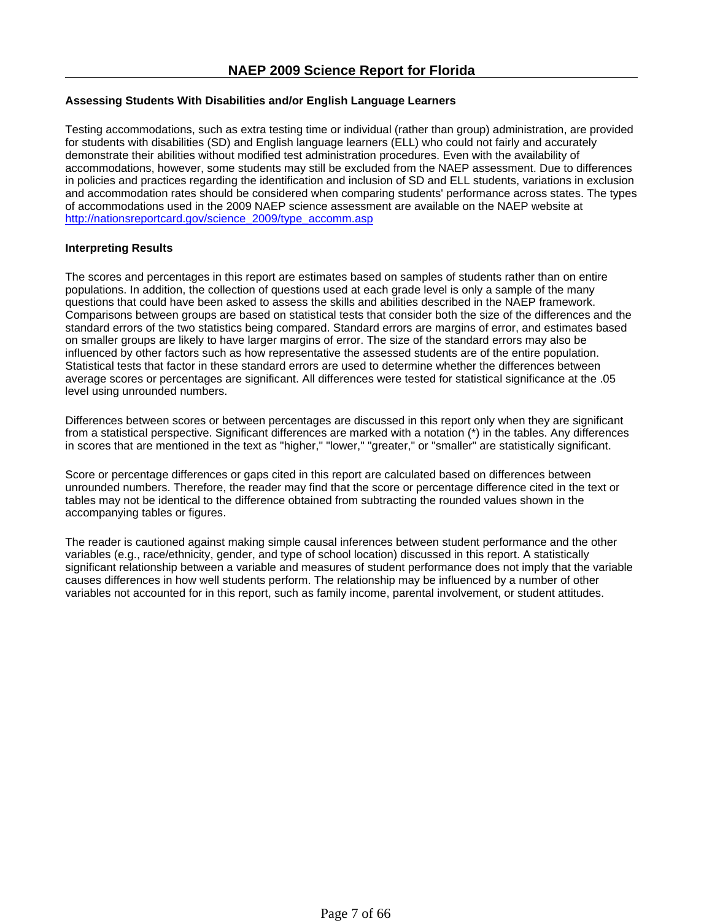### **Assessing Students With Disabilities and/or English Language Learners**

Testing accommodations, such as extra testing time or individual (rather than group) administration, are provided for students with disabilities (SD) and English language learners (ELL) who could not fairly and accurately demonstrate their abilities without modified test administration procedures. Even with the availability of accommodations, however, some students may still be excluded from the NAEP assessment. Due to differences in policies and practices regarding the identification and inclusion of SD and ELL students, variations in exclusion and accommodation rates should be considered when comparing students' performance across states. The types of accommodations used in the 2009 NAEP science assessment are available on the NAEP website at http://nationsreportcard.gov/science\_2009/type\_accomm.asp

### **Interpreting Results**

The scores and percentages in this report are estimates based on samples of students rather than on entire populations. In addition, the collection of questions used at each grade level is only a sample of the many questions that could have been asked to assess the skills and abilities described in the NAEP framework. Comparisons between groups are based on statistical tests that consider both the size of the differences and the standard errors of the two statistics being compared. Standard errors are margins of error, and estimates based on smaller groups are likely to have larger margins of error. The size of the standard errors may also be influenced by other factors such as how representative the assessed students are of the entire population. Statistical tests that factor in these standard errors are used to determine whether the differences between average scores or percentages are significant. All differences were tested for statistical significance at the .05 level using unrounded numbers.

Differences between scores or between percentages are discussed in this report only when they are significant from a statistical perspective. Significant differences are marked with a notation (\*) in the tables. Any differences in scores that are mentioned in the text as "higher," "lower," "greater," or "smaller" are statistically significant.

Score or percentage differences or gaps cited in this report are calculated based on differences between unrounded numbers. Therefore, the reader may find that the score or percentage difference cited in the text or tables may not be identical to the difference obtained from subtracting the rounded values shown in the accompanying tables or figures.

The reader is cautioned against making simple causal inferences between student performance and the other variables (e.g., race/ethnicity, gender, and type of school location) discussed in this report. A statistically significant relationship between a variable and measures of student performance does not imply that the variable causes differences in how well students perform. The relationship may be influenced by a number of other variables not accounted for in this report, such as family income, parental involvement, or student attitudes.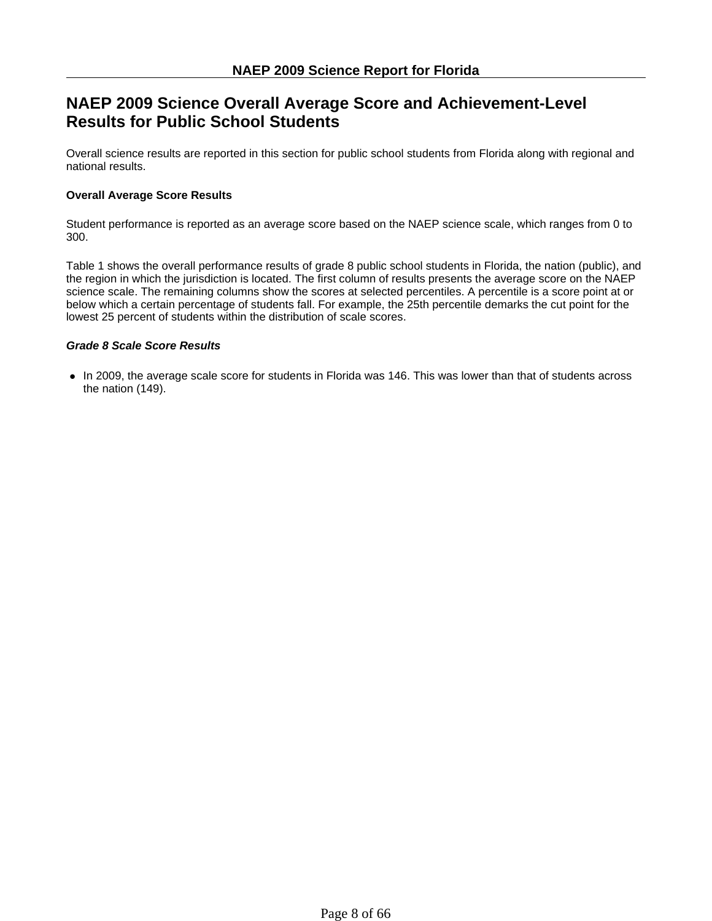# **NAEP 2009 Science Overall Average Score and Achievement-Level Results for Public School Students**

Overall science results are reported in this section for public school students from Florida along with regional and national results.

### **Overall Average Score Results**

Student performance is reported as an average score based on the NAEP science scale, which ranges from 0 to 300.

Table 1 shows the overall performance results of grade 8 public school students in Florida, the nation (public), and the region in which the jurisdiction is located. The first column of results presents the average score on the NAEP science scale. The remaining columns show the scores at selected percentiles. A percentile is a score point at or below which a certain percentage of students fall. For example, the 25th percentile demarks the cut point for the lowest 25 percent of students within the distribution of scale scores.

### *Grade 8 Scale Score Results*

• In 2009, the average scale score for students in Florida was 146. This was lower than that of students across the nation (149).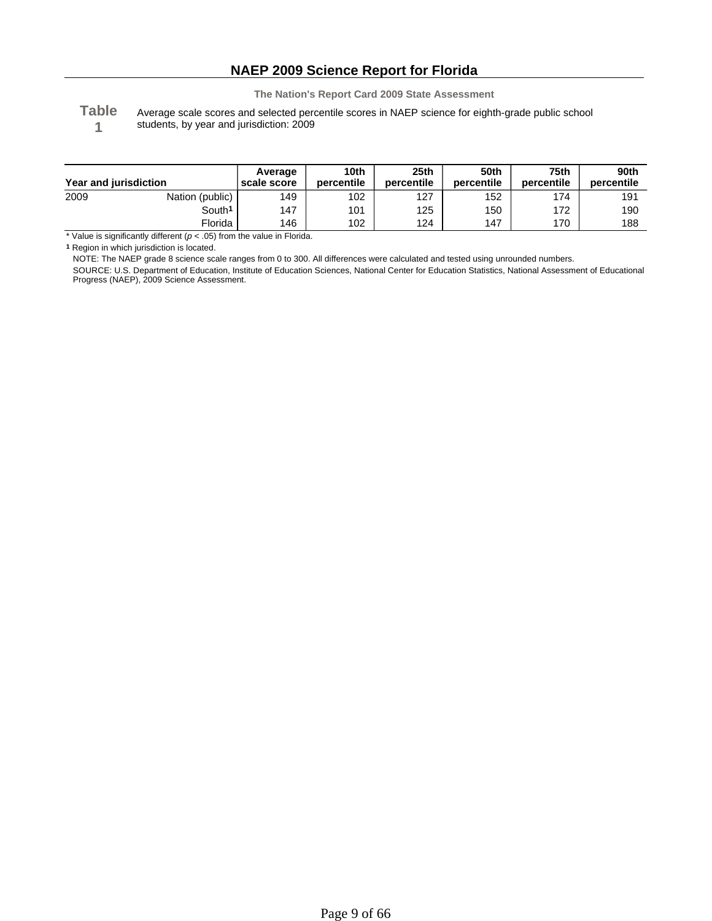**Table 1**

Average scale scores and selected percentile scores in NAEP science for eighth-grade public school students, by year and jurisdiction: 2009

| Year and jurisdiction |                    | Average<br>scale score | 10th<br>percentile | 25 <sub>th</sub><br>percentile | 50th<br>percentile | 75th<br>percentile | 90th<br>percentile |
|-----------------------|--------------------|------------------------|--------------------|--------------------------------|--------------------|--------------------|--------------------|
| 2009                  | Nation (public)    | 149                    | 102                | 127                            | 152                | 174                | 191                |
|                       | South <sup>1</sup> | 147                    | 101                | 125                            | 150                | 172                | 190                |
|                       | Florida            | 146                    | 102                | 124                            | 147                | 170                | 188                |

\* Value is significantly different (*p* < .05) from the value in Florida.

**1** Region in which jurisdiction is located.

NOTE: The NAEP grade 8 science scale ranges from 0 to 300. All differences were calculated and tested using unrounded numbers.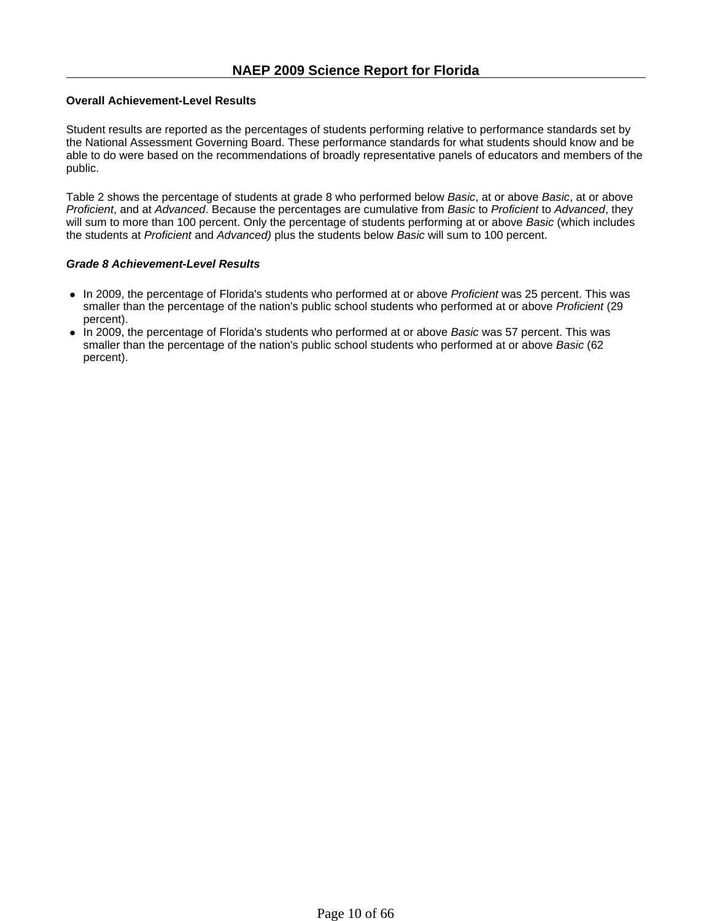### **Overall Achievement-Level Results**

Student results are reported as the percentages of students performing relative to performance standards set by the National Assessment Governing Board. These performance standards for what students should know and be able to do were based on the recommendations of broadly representative panels of educators and members of the public.

Table 2 shows the percentage of students at grade 8 who performed below *Basic*, at or above *Basic*, at or above *Proficient*, and at *Advanced*. Because the percentages are cumulative from *Basic* to *Proficient* to *Advanced*, they will sum to more than 100 percent. Only the percentage of students performing at or above *Basic* (which includes the students at *Proficient* and *Advanced)* plus the students below *Basic* will sum to 100 percent.

### *Grade 8 Achievement-Level Results*

- In 2009, the percentage of Florida's students who performed at or above *Proficient* was 25 percent. This was smaller than the percentage of the nation's public school students who performed at or above *Proficient* (29 percent).
- In 2009, the percentage of Florida's students who performed at or above *Basic* was 57 percent. This was smaller than the percentage of the nation's public school students who performed at or above *Basic* (62 percent).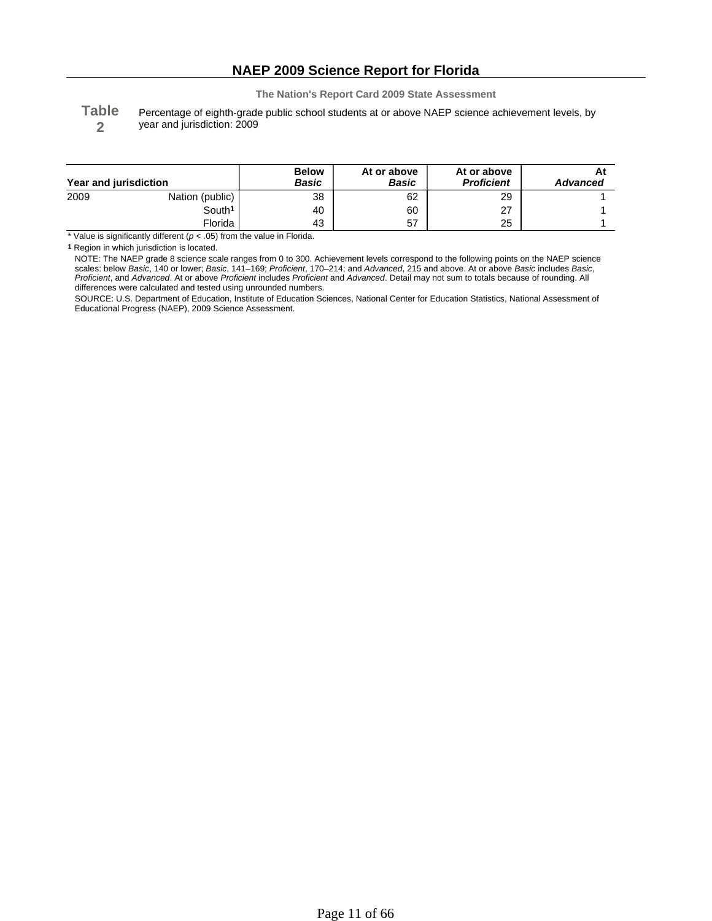**Table 2**

Percentage of eighth-grade public school students at or above NAEP science achievement levels, by year and jurisdiction: 2009

| Year and jurisdiction |                    | <b>Below</b><br><b>Basic</b> | At or above<br>Basic | At or above<br><b>Proficient</b> | <b>Advanced</b> |
|-----------------------|--------------------|------------------------------|----------------------|----------------------------------|-----------------|
| 2009                  | Nation (public)    | 38                           | 62                   | 29                               |                 |
|                       | South <sup>1</sup> | 40                           | 60                   | 27                               |                 |
|                       | Florida            | 43                           | 57                   | 25                               |                 |

\* Value is significantly different  $(p < .05)$  from the value in Florida.

**1** Region in which jurisdiction is located.

NOTE: The NAEP grade 8 science scale ranges from 0 to 300. Achievement levels correspond to the following points on the NAEP science scales: below *Basic*, 140 or lower; *Basic*, 141–169; *Proficient*, 170–214; and *Advanced*, 215 and above. At or above *Basic* includes *Basic*, *Proficient*, and *Advanced*. At or above *Proficient* includes *Proficient* and *Advanced*. Detail may not sum to totals because of rounding. All differences were calculated and tested using unrounded numbers.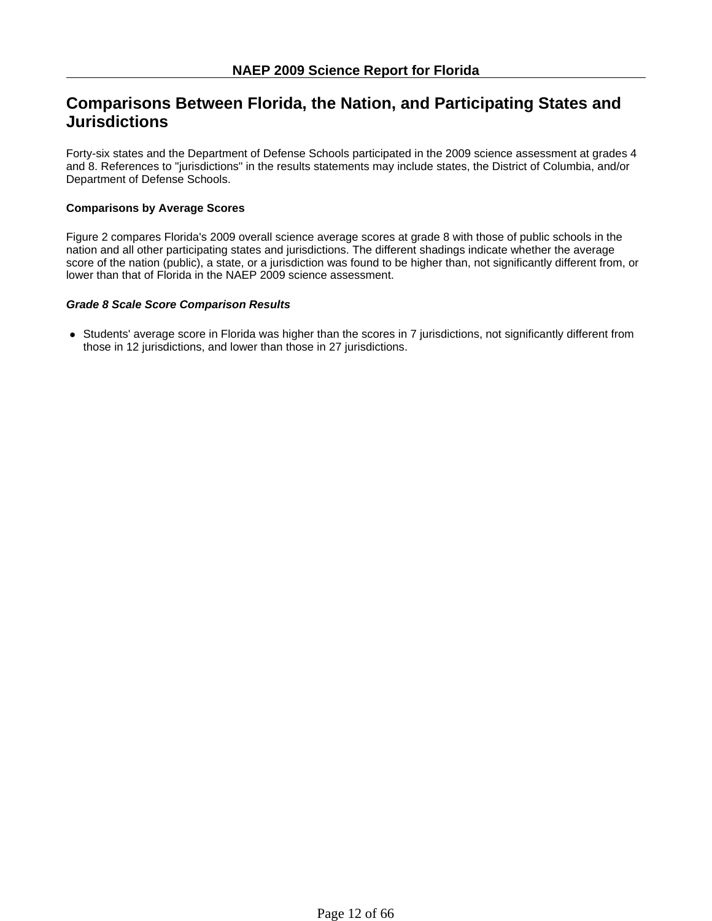# **Comparisons Between Florida, the Nation, and Participating States and Jurisdictions**

Forty-six states and the Department of Defense Schools participated in the 2009 science assessment at grades 4 and 8. References to "jurisdictions" in the results statements may include states, the District of Columbia, and/or Department of Defense Schools.

### **Comparisons by Average Scores**

Figure 2 compares Florida's 2009 overall science average scores at grade 8 with those of public schools in the nation and all other participating states and jurisdictions. The different shadings indicate whether the average score of the nation (public), a state, or a jurisdiction was found to be higher than, not significantly different from, or lower than that of Florida in the NAEP 2009 science assessment.

### *Grade 8 Scale Score Comparison Results*

• Students' average score in Florida was higher than the scores in 7 jurisdictions, not significantly different from those in 12 jurisdictions, and lower than those in 27 jurisdictions.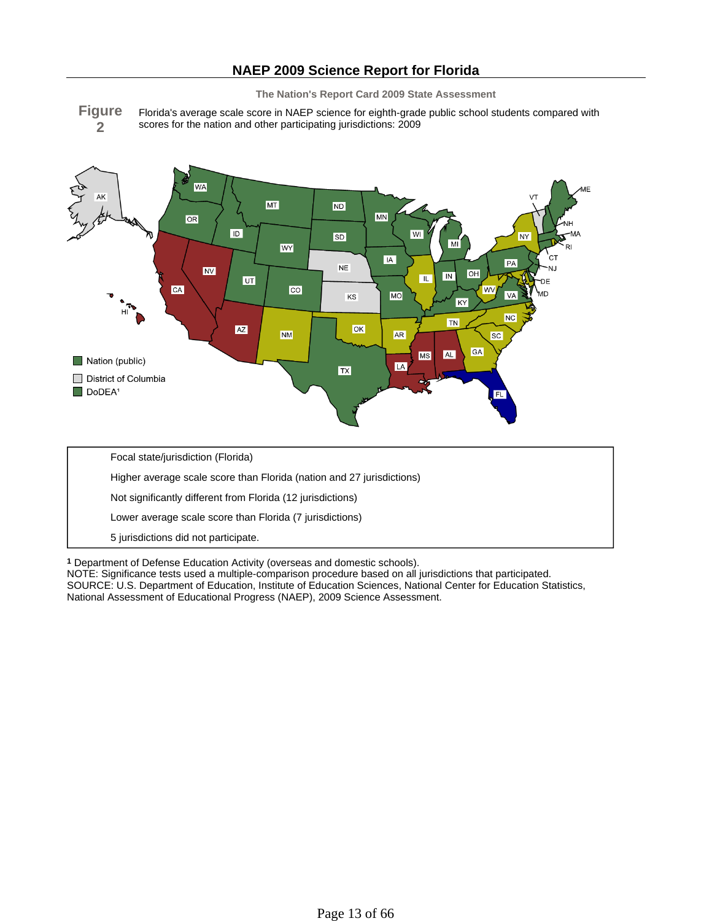

Florida's average scale score in NAEP science for eighth-grade public school students compared with scores for the nation and other participating jurisdictions: 2009



**1** Department of Defense Education Activity (overseas and domestic schools).

NOTE: Significance tests used a multiple-comparison procedure based on all jurisdictions that participated. SOURCE: U.S. Department of Education, Institute of Education Sciences, National Center for Education Statistics, National Assessment of Educational Progress (NAEP), 2009 Science Assessment.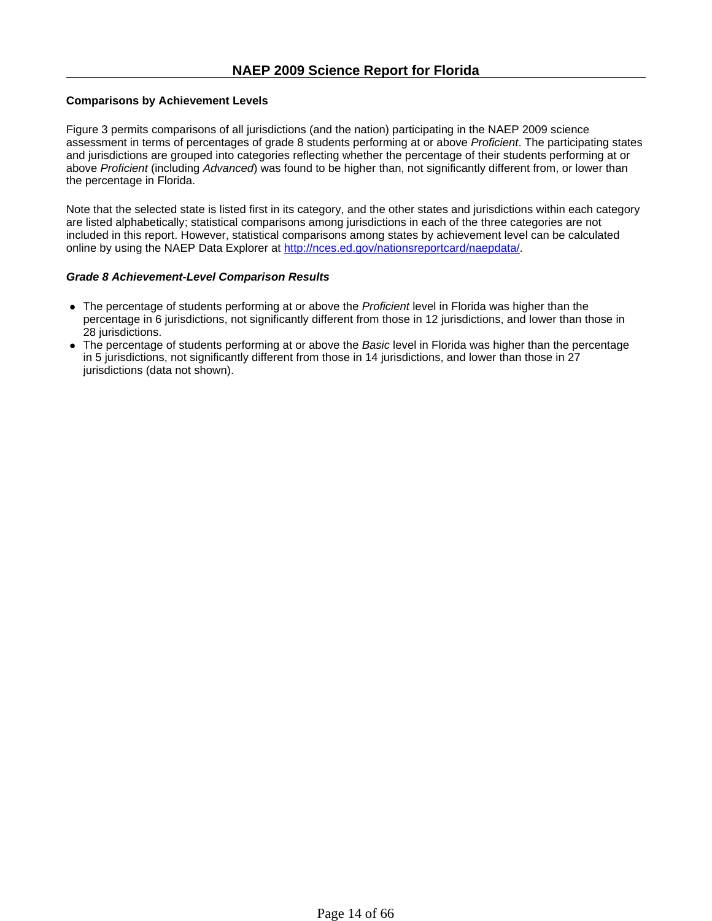### **Comparisons by Achievement Levels**

Figure 3 permits comparisons of all jurisdictions (and the nation) participating in the NAEP 2009 science assessment in terms of percentages of grade 8 students performing at or above *Proficient*. The participating states and jurisdictions are grouped into categories reflecting whether the percentage of their students performing at or above *Proficient* (including *Advanced*) was found to be higher than, not significantly different from, or lower than the percentage in Florida.

Note that the selected state is listed first in its category, and the other states and jurisdictions within each category are listed alphabetically; statistical comparisons among jurisdictions in each of the three categories are not included in this report. However, statistical comparisons among states by achievement level can be calculated online by using the NAEP Data Explorer at http://nces.ed.gov/nationsreportcard/naepdata/.

### *Grade 8 Achievement-Level Comparison Results*

- The percentage of students performing at or above the *Proficient* level in Florida was higher than the percentage in 6 jurisdictions, not significantly different from those in 12 jurisdictions, and lower than those in 28 jurisdictions.
- The percentage of students performing at or above the *Basic* level in Florida was higher than the percentage in 5 jurisdictions, not significantly different from those in 14 jurisdictions, and lower than those in 27 jurisdictions (data not shown).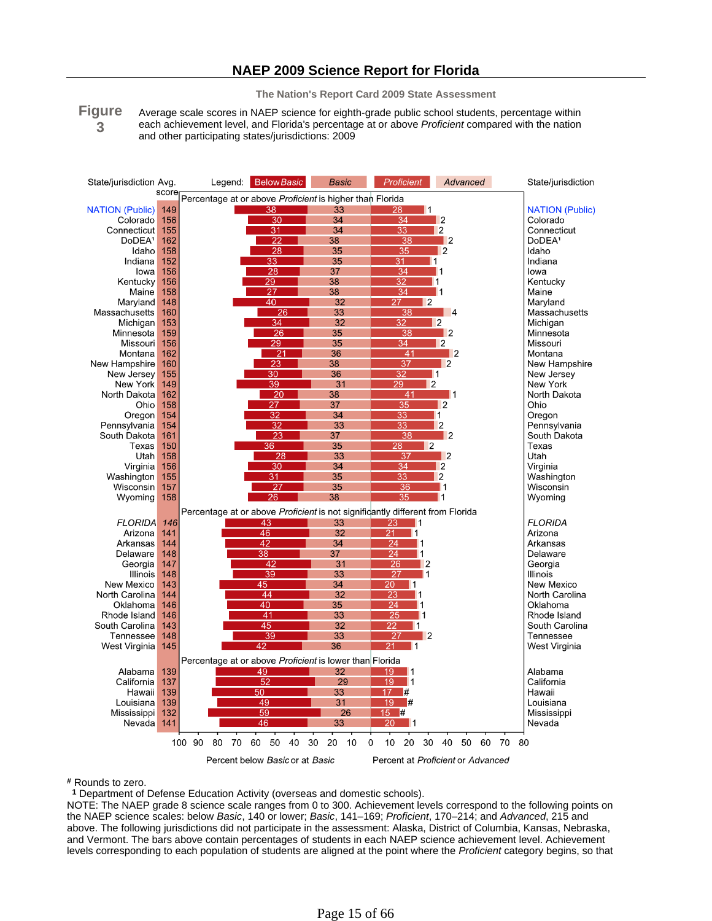## **NAEP 2009 Science Report for Florida**

**The Nation's Report Card 2009 State Assessment**

**Figure 3** Average scale scores in NAEP science for eighth-grade public school students, percentage within each achievement level, and Florida's percentage at or above *Proficient* compared with the nation and other participating states/jurisdictions: 2009



**#** Rounds to zero.

**1** Department of Defense Education Activity (overseas and domestic schools).

NOTE: The NAEP grade 8 science scale ranges from 0 to 300. Achievement levels correspond to the following points on the NAEP science scales: below *Basic*, 140 or lower; *Basic*, 141–169; *Proficient*, 170–214; and *Advanced*, 215 and above. The following jurisdictions did not participate in the assessment: Alaska, District of Columbia, Kansas, Nebraska, and Vermont. The bars above contain percentages of students in each NAEP science achievement level. Achievement levels corresponding to each population of students are aligned at the point where the *Proficient* category begins, so that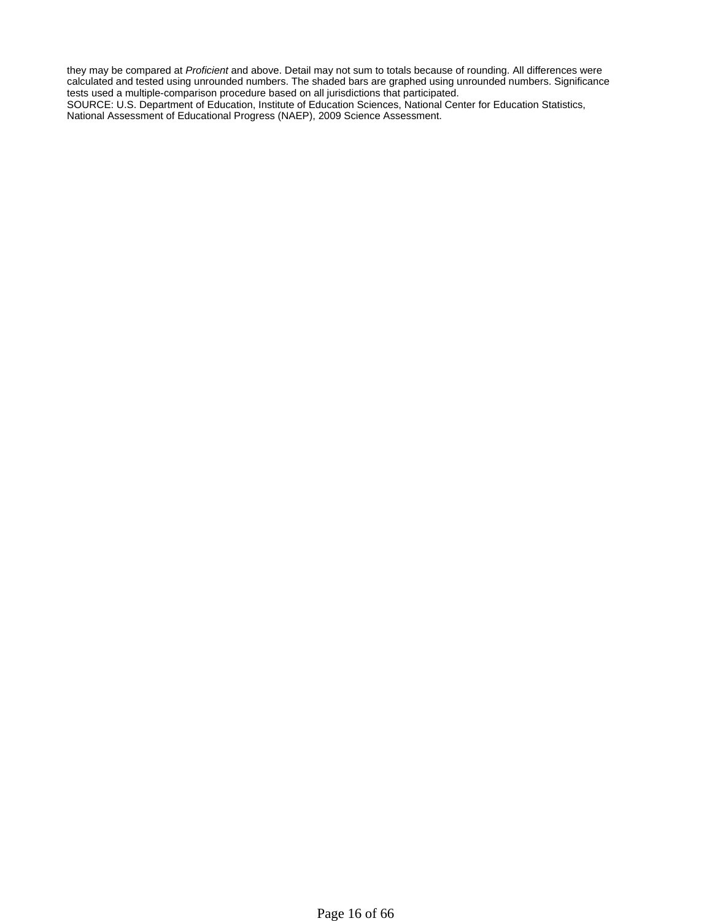they may be compared at *Proficient* and above. Detail may not sum to totals because of rounding. All differences were calculated and tested using unrounded numbers. The shaded bars are graphed using unrounded numbers. Significance tests used a multiple-comparison procedure based on all jurisdictions that participated.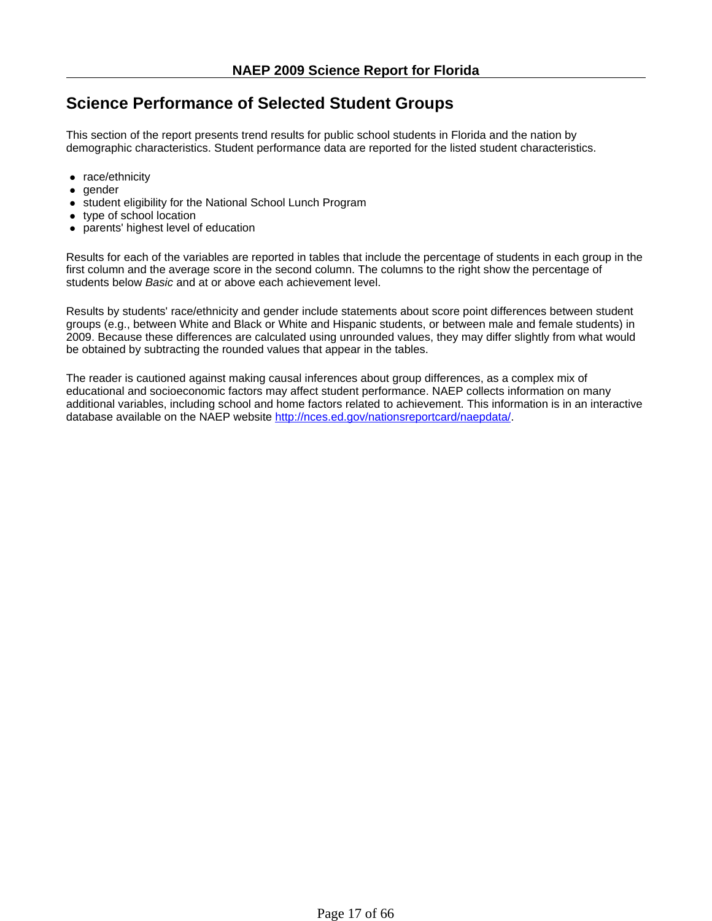# **Science Performance of Selected Student Groups**

This section of the report presents trend results for public school students in Florida and the nation by demographic characteristics. Student performance data are reported for the listed student characteristics.

- $\bullet$  race/ethnicity
- gender
- student eligibility for the National School Lunch Program
- $\bullet$  type of school location
- parents' highest level of education

Results for each of the variables are reported in tables that include the percentage of students in each group in the first column and the average score in the second column. The columns to the right show the percentage of students below *Basic* and at or above each achievement level.

Results by students' race/ethnicity and gender include statements about score point differences between student groups (e.g., between White and Black or White and Hispanic students, or between male and female students) in 2009. Because these differences are calculated using unrounded values, they may differ slightly from what would be obtained by subtracting the rounded values that appear in the tables.

The reader is cautioned against making causal inferences about group differences, as a complex mix of educational and socioeconomic factors may affect student performance. NAEP collects information on many additional variables, including school and home factors related to achievement. This information is in an interactive database available on the NAEP website http://nces.ed.gov/nationsreportcard/naepdata/.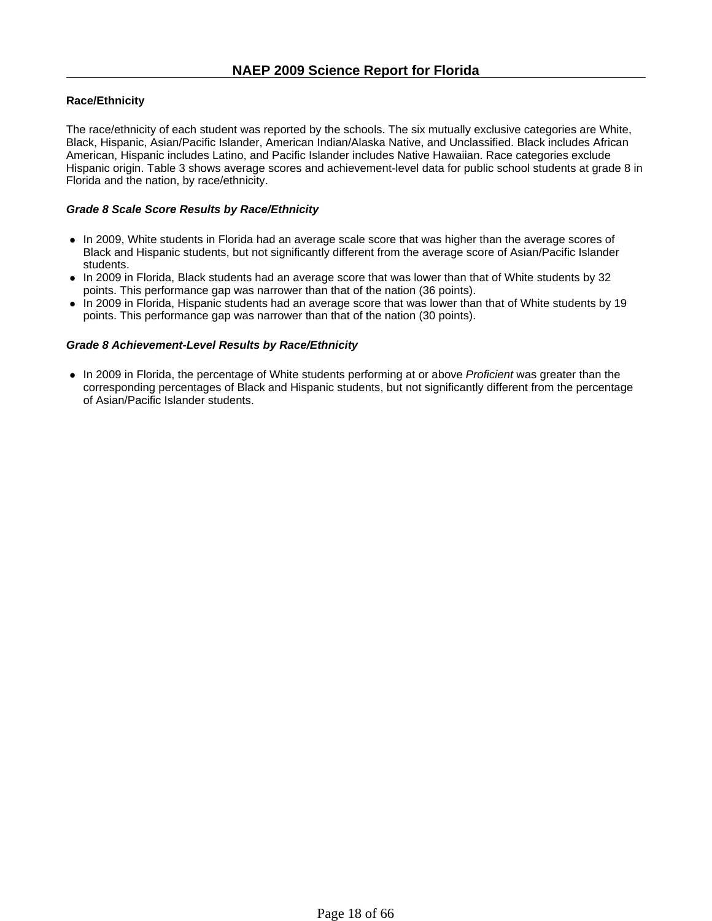### **Race/Ethnicity**

The race/ethnicity of each student was reported by the schools. The six mutually exclusive categories are White, Black, Hispanic, Asian/Pacific Islander, American Indian/Alaska Native, and Unclassified. Black includes African American, Hispanic includes Latino, and Pacific Islander includes Native Hawaiian. Race categories exclude Hispanic origin. Table 3 shows average scores and achievement-level data for public school students at grade 8 in Florida and the nation, by race/ethnicity.

### *Grade 8 Scale Score Results by Race/Ethnicity*

- In 2009, White students in Florida had an average scale score that was higher than the average scores of Black and Hispanic students, but not significantly different from the average score of Asian/Pacific Islander students.
- In 2009 in Florida, Black students had an average score that was lower than that of White students by 32 points. This performance gap was narrower than that of the nation (36 points).
- In 2009 in Florida, Hispanic students had an average score that was lower than that of White students by 19 points. This performance gap was narrower than that of the nation (30 points).

### *Grade 8 Achievement-Level Results by Race/Ethnicity*

• In 2009 in Florida, the percentage of White students performing at or above *Proficient* was greater than the corresponding percentages of Black and Hispanic students, but not significantly different from the percentage of Asian/Pacific Islander students.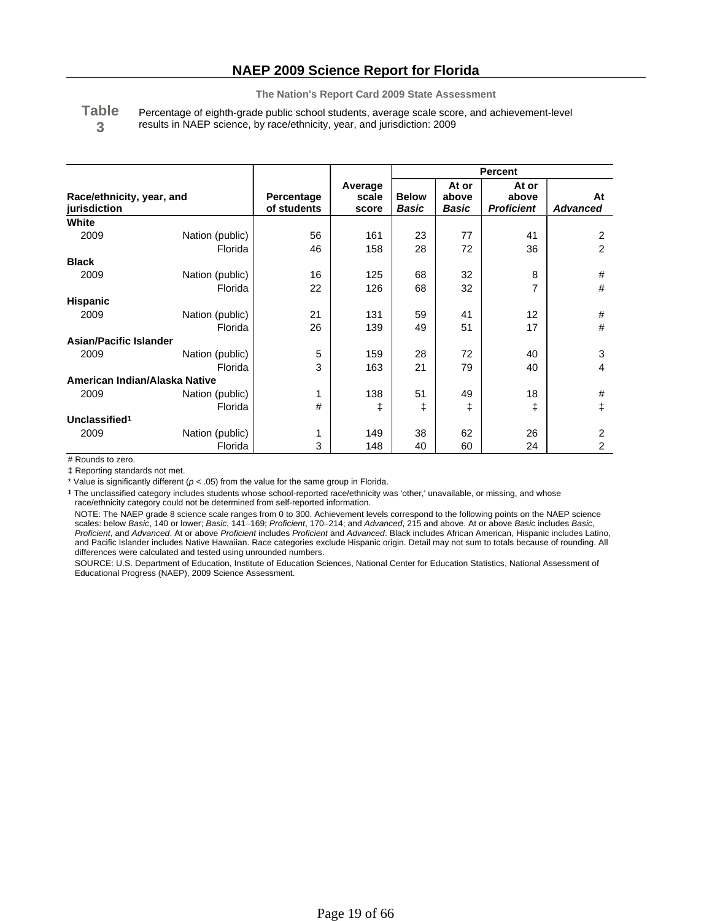**Table 3** Percentage of eighth-grade public school students, average scale score, and achievement-level results in NAEP science, by race/ethnicity, year, and jurisdiction: 2009

|                                           |                 |                           |                           | <b>Percent</b>               |                         |                                     |                       |
|-------------------------------------------|-----------------|---------------------------|---------------------------|------------------------------|-------------------------|-------------------------------------|-----------------------|
| Race/ethnicity, year, and<br>jurisdiction |                 | Percentage<br>of students | Average<br>scale<br>score | <b>Below</b><br><b>Basic</b> | At or<br>above<br>Basic | At or<br>above<br><b>Proficient</b> | At<br><b>Advanced</b> |
| White                                     |                 |                           |                           |                              |                         |                                     |                       |
| 2009                                      | Nation (public) | 56                        | 161                       | 23                           | 77                      | 41                                  | 2                     |
|                                           | Florida         | 46                        | 158                       | 28                           | 72                      | 36                                  | $\overline{2}$        |
| <b>Black</b>                              |                 |                           |                           |                              |                         |                                     |                       |
| 2009                                      | Nation (public) | 16                        | 125                       | 68                           | 32                      | 8                                   | #                     |
|                                           | Florida         | 22                        | 126                       | 68                           | 32                      | 7                                   | #                     |
| <b>Hispanic</b>                           |                 |                           |                           |                              |                         |                                     |                       |
| 2009                                      | Nation (public) | 21                        | 131                       | 59                           | 41                      | 12                                  | #                     |
|                                           | Florida         | 26                        | 139                       | 49                           | 51                      | 17                                  | #                     |
| <b>Asian/Pacific Islander</b>             |                 |                           |                           |                              |                         |                                     |                       |
| 2009                                      | Nation (public) | 5                         | 159                       | 28                           | 72                      | 40                                  | 3                     |
|                                           | Florida         | 3                         | 163                       | 21                           | 79                      | 40                                  | 4                     |
| American Indian/Alaska Native             |                 |                           |                           |                              |                         |                                     |                       |
| 2009                                      | Nation (public) | 1                         | 138                       | 51                           | 49                      | 18                                  | #                     |
|                                           | Florida         | #                         | ŧ                         | ŧ                            | ŧ                       | ŧ                                   | ŧ                     |
| Unclassified <sup>1</sup>                 |                 |                           |                           |                              |                         |                                     |                       |
| 2009                                      | Nation (public) | 1                         | 149                       | 38                           | 62                      | 26                                  | 2                     |
|                                           | Florida         | 3                         | 148                       | 40                           | 60                      | 24                                  | 2                     |

# Rounds to zero.

‡ Reporting standards not met.

\* Value is significantly different ( $p < .05$ ) from the value for the same group in Florida.

**1** The unclassified category includes students whose school-reported race/ethnicity was 'other,' unavailable, or missing, and whose race/ethnicity category could not be determined from self-reported information.

NOTE: The NAEP grade 8 science scale ranges from 0 to 300. Achievement levels correspond to the following points on the NAEP science scales: below *Basic*, 140 or lower; *Basic*, 141–169; *Proficient*, 170–214; and *Advanced*, 215 and above. At or above *Basic* includes *Basic*, *Proficient*, and *Advanced*. At or above *Proficient* includes *Proficient* and *Advanced*. Black includes African American, Hispanic includes Latino, and Pacific Islander includes Native Hawaiian. Race categories exclude Hispanic origin. Detail may not sum to totals because of rounding. All differences were calculated and tested using unrounded numbers.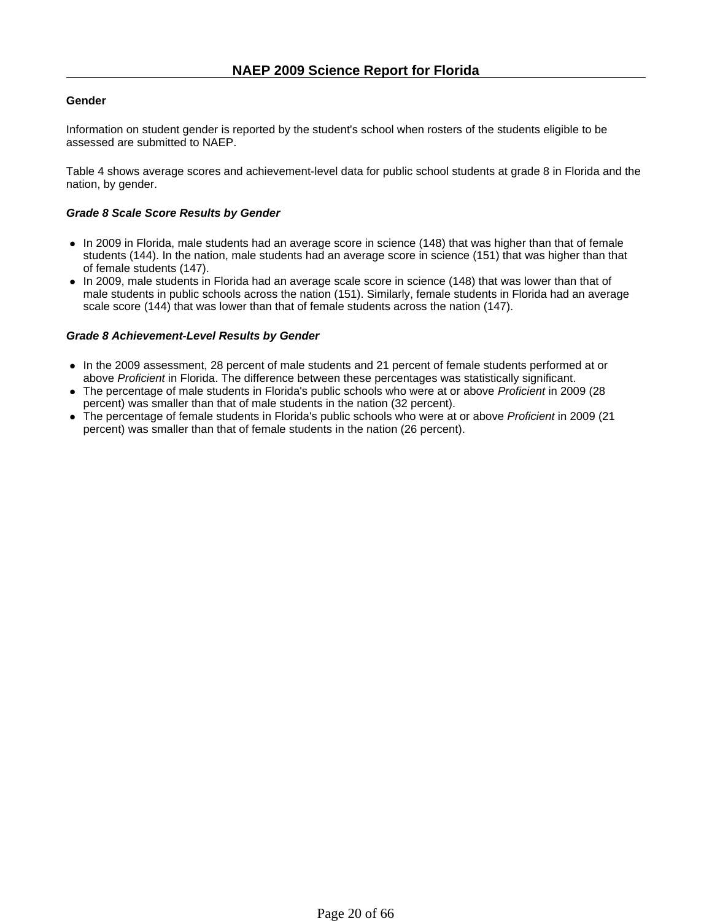### **Gender**

Information on student gender is reported by the student's school when rosters of the students eligible to be assessed are submitted to NAEP.

Table 4 shows average scores and achievement-level data for public school students at grade 8 in Florida and the nation, by gender.

### *Grade 8 Scale Score Results by Gender*

- In 2009 in Florida, male students had an average score in science (148) that was higher than that of female students (144). In the nation, male students had an average score in science (151) that was higher than that of female students (147).
- In 2009, male students in Florida had an average scale score in science (148) that was lower than that of male students in public schools across the nation (151). Similarly, female students in Florida had an average scale score (144) that was lower than that of female students across the nation (147).

### *Grade 8 Achievement-Level Results by Gender*

- In the 2009 assessment, 28 percent of male students and 21 percent of female students performed at or above *Proficient* in Florida. The difference between these percentages was statistically significant.
- The percentage of male students in Florida's public schools who were at or above *Proficient* in 2009 (28 percent) was smaller than that of male students in the nation (32 percent).
- <sup>z</sup> The percentage of female students in Florida's public schools who were at or above *Proficient* in 2009 (21 percent) was smaller than that of female students in the nation (26 percent).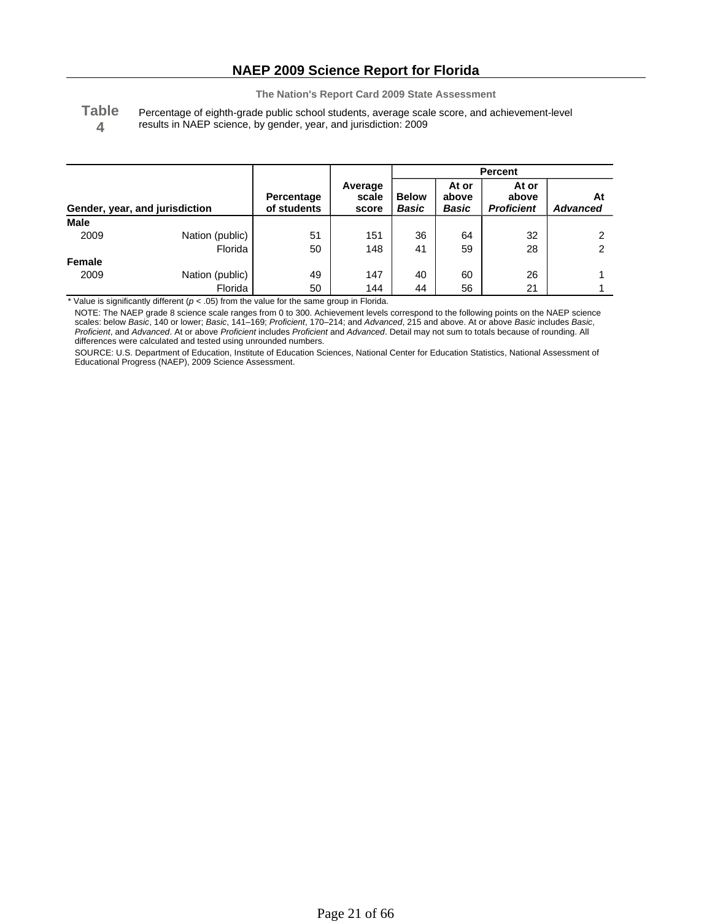**Table 4**

Percentage of eighth-grade public school students, average scale score, and achievement-level results in NAEP science, by gender, year, and jurisdiction: 2009

|             |                                |                           |                           | Percent               |                         |                                     |                       |
|-------------|--------------------------------|---------------------------|---------------------------|-----------------------|-------------------------|-------------------------------------|-----------------------|
|             | Gender, year, and jurisdiction | Percentage<br>of students | Average<br>scale<br>score | <b>Below</b><br>Basic | At or<br>above<br>Basic | At or<br>above<br><b>Proficient</b> | At<br><b>Advanced</b> |
| <b>Male</b> |                                |                           |                           |                       |                         |                                     |                       |
| 2009        | Nation (public)                | 51                        | 151                       | 36                    | 64                      | 32                                  | ົ                     |
|             | Florida                        | 50                        | 148                       | 41                    | 59                      | 28                                  | っ                     |
| Female      |                                |                           |                           |                       |                         |                                     |                       |
| 2009        | Nation (public)                | 49                        | 147                       | 40                    | 60                      | 26                                  |                       |
|             | Florida                        | 50                        | 144                       | 44                    | 56                      | 21                                  |                       |

\* Value is significantly different (*p* < .05) from the value for the same group in Florida.

NOTE: The NAEP grade 8 science scale ranges from 0 to 300. Achievement levels correspond to the following points on the NAEP science scales: below *Basic*, 140 or lower; *Basic*, 141–169; *Proficient*, 170–214; and *Advanced*, 215 and above. At or above *Basic* includes *Basic*, *Proficient*, and *Advanced*. At or above *Proficient* includes *Proficient* and *Advanced*. Detail may not sum to totals because of rounding. All differences were calculated and tested using unrounded numbers.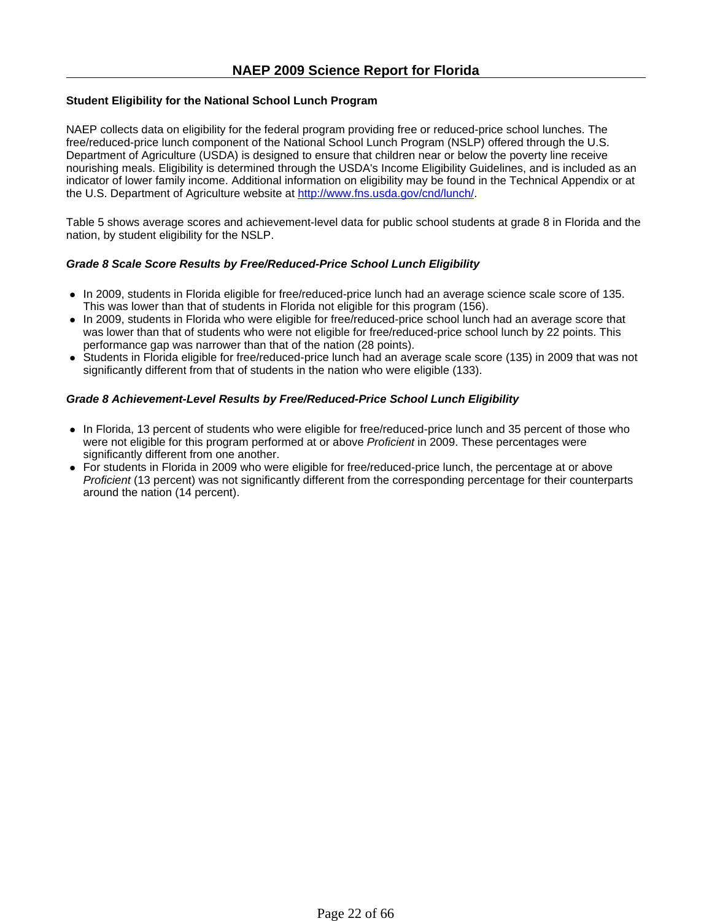### **Student Eligibility for the National School Lunch Program**

NAEP collects data on eligibility for the federal program providing free or reduced-price school lunches. The free/reduced-price lunch component of the National School Lunch Program (NSLP) offered through the U.S. Department of Agriculture (USDA) is designed to ensure that children near or below the poverty line receive nourishing meals. Eligibility is determined through the USDA's Income Eligibility Guidelines, and is included as an indicator of lower family income. Additional information on eligibility may be found in the Technical Appendix or at the U.S. Department of Agriculture website at http://www.fns.usda.gov/cnd/lunch/.

Table 5 shows average scores and achievement-level data for public school students at grade 8 in Florida and the nation, by student eligibility for the NSLP.

### *Grade 8 Scale Score Results by Free/Reduced-Price School Lunch Eligibility*

- In 2009, students in Florida eligible for free/reduced-price lunch had an average science scale score of 135. This was lower than that of students in Florida not eligible for this program (156).
- In 2009, students in Florida who were eligible for free/reduced-price school lunch had an average score that was lower than that of students who were not eligible for free/reduced-price school lunch by 22 points. This performance gap was narrower than that of the nation (28 points).
- Students in Florida eligible for free/reduced-price lunch had an average scale score (135) in 2009 that was not significantly different from that of students in the nation who were eligible (133).

### *Grade 8 Achievement-Level Results by Free/Reduced-Price School Lunch Eligibility*

- In Florida, 13 percent of students who were eligible for free/reduced-price lunch and 35 percent of those who were not eligible for this program performed at or above *Proficient* in 2009. These percentages were significantly different from one another.
- For students in Florida in 2009 who were eligible for free/reduced-price lunch, the percentage at or above *Proficient* (13 percent) was not significantly different from the corresponding percentage for their counterparts around the nation (14 percent).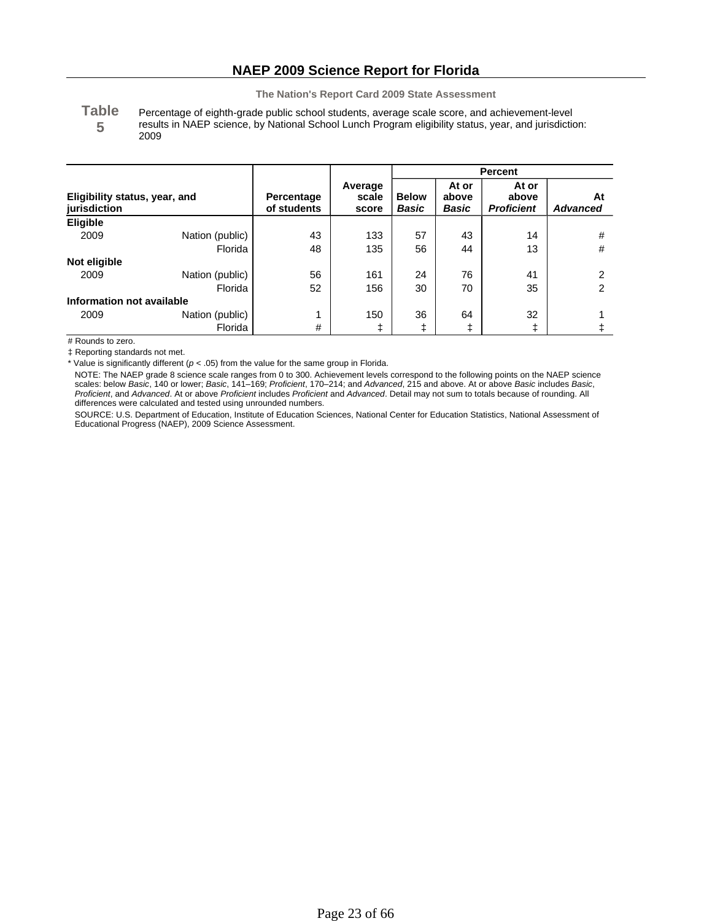**Table 5** Percentage of eighth-grade public school students, average scale score, and achievement-level results in NAEP science, by National School Lunch Program eligibility status, year, and jurisdiction: 2009

|                                               |                 |                           |                           | <b>Percent</b>               |                                |                                     |                       |
|-----------------------------------------------|-----------------|---------------------------|---------------------------|------------------------------|--------------------------------|-------------------------------------|-----------------------|
| Eligibility status, year, and<br>jurisdiction |                 | Percentage<br>of students | Average<br>scale<br>score | <b>Below</b><br><b>Basic</b> | At or<br>above<br><b>Basic</b> | At or<br>above<br><b>Proficient</b> | At<br><b>Advanced</b> |
| Eligible                                      |                 |                           |                           |                              |                                |                                     |                       |
| 2009                                          | Nation (public) | 43                        | 133                       | 57                           | 43                             | 14                                  | #                     |
|                                               | Florida         | 48                        | 135                       | 56                           | 44                             | 13                                  | #                     |
| Not eligible                                  |                 |                           |                           |                              |                                |                                     |                       |
| 2009                                          | Nation (public) | 56                        | 161                       | 24                           | 76                             | 41                                  | 2                     |
|                                               | Florida         | 52                        | 156                       | 30                           | 70                             | 35                                  | 2                     |
| Information not available                     |                 |                           |                           |                              |                                |                                     |                       |
| 2009                                          | Nation (public) | 1                         | 150                       | 36                           | 64                             | 32                                  |                       |
|                                               | Florida         | #                         |                           |                              |                                | ŧ                                   |                       |

# Rounds to zero.

‡ Reporting standards not met.

\* Value is significantly different (*p* < .05) from the value for the same group in Florida.

NOTE: The NAEP grade 8 science scale ranges from 0 to 300. Achievement levels correspond to the following points on the NAEP science scales: below *Basic*, 140 or lower; *Basic*, 141–169; *Proficient*, 170–214; and *Advanced*, 215 and above. At or above *Basic* includes *Basic*, *Proficient*, and *Advanced*. At or above *Proficient* includes *Proficient* and *Advanced*. Detail may not sum to totals because of rounding. All differences were calculated and tested using unrounded numbers.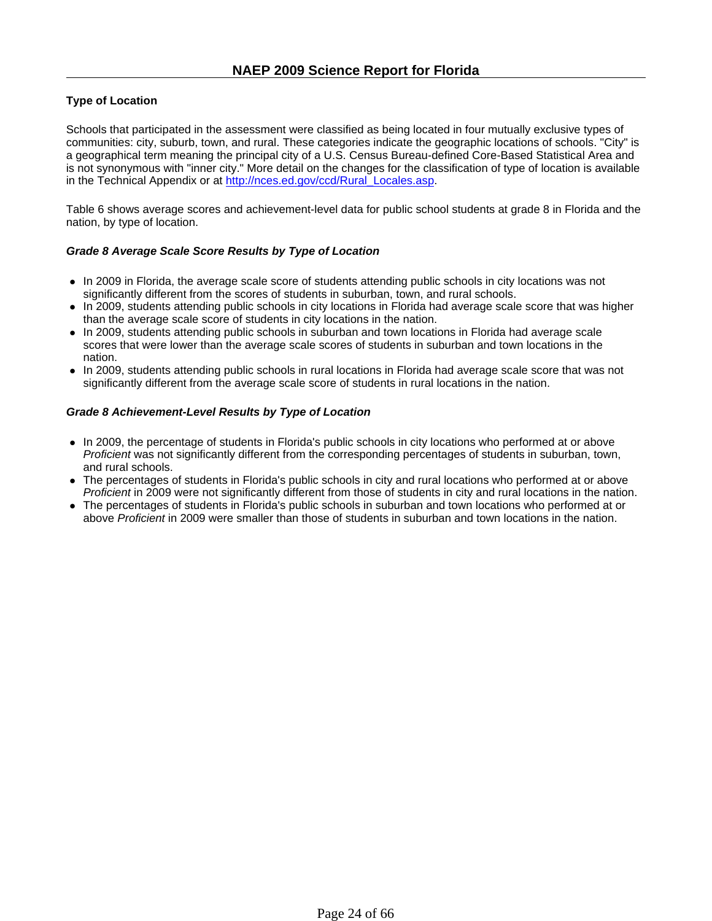### **Type of Location**

Schools that participated in the assessment were classified as being located in four mutually exclusive types of communities: city, suburb, town, and rural. These categories indicate the geographic locations of schools. "City" is a geographical term meaning the principal city of a U.S. Census Bureau-defined Core-Based Statistical Area and is not synonymous with "inner city." More detail on the changes for the classification of type of location is available in the Technical Appendix or at http://nces.ed.gov/ccd/Rural\_Locales.asp.

Table 6 shows average scores and achievement-level data for public school students at grade 8 in Florida and the nation, by type of location.

### *Grade 8 Average Scale Score Results by Type of Location*

- In 2009 in Florida, the average scale score of students attending public schools in city locations was not significantly different from the scores of students in suburban, town, and rural schools.
- In 2009, students attending public schools in city locations in Florida had average scale score that was higher than the average scale score of students in city locations in the nation.
- In 2009, students attending public schools in suburban and town locations in Florida had average scale scores that were lower than the average scale scores of students in suburban and town locations in the nation.
- In 2009, students attending public schools in rural locations in Florida had average scale score that was not significantly different from the average scale score of students in rural locations in the nation.

### *Grade 8 Achievement-Level Results by Type of Location*

- In 2009, the percentage of students in Florida's public schools in city locations who performed at or above *Proficient* was not significantly different from the corresponding percentages of students in suburban, town, and rural schools.
- The percentages of students in Florida's public schools in city and rural locations who performed at or above *Proficient* in 2009 were not significantly different from those of students in city and rural locations in the nation.
- The percentages of students in Florida's public schools in suburban and town locations who performed at or above *Proficient* in 2009 were smaller than those of students in suburban and town locations in the nation.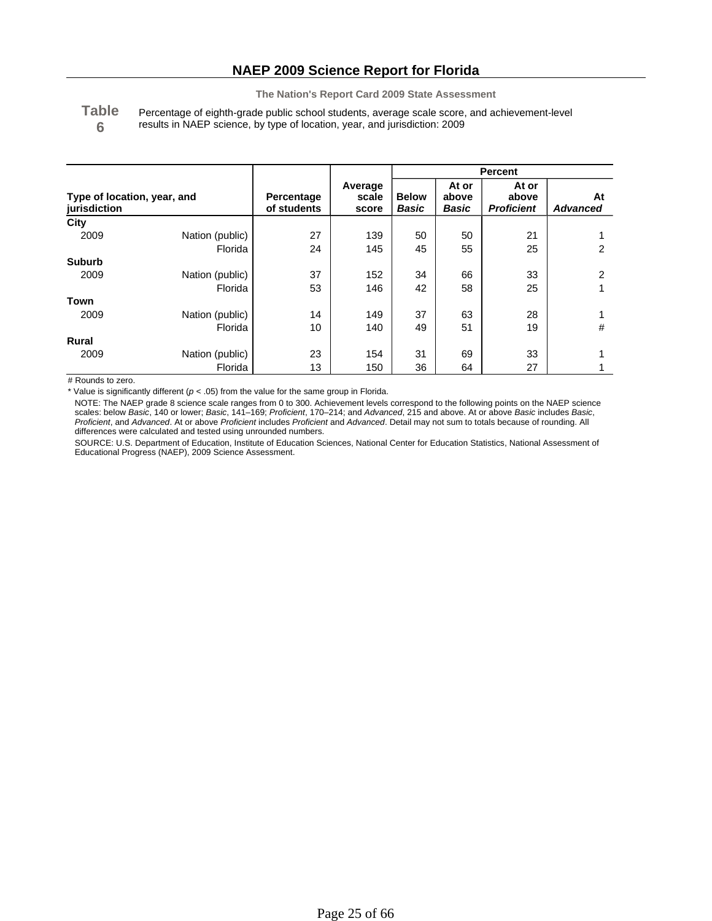**Table 6** Percentage of eighth-grade public school students, average scale score, and achievement-level results in NAEP science, by type of location, year, and jurisdiction: 2009

|                                             |                 |                           |                           | <b>Percent</b>        |                         |                                     |                       |
|---------------------------------------------|-----------------|---------------------------|---------------------------|-----------------------|-------------------------|-------------------------------------|-----------------------|
| Type of location, year, and<br>jurisdiction |                 | Percentage<br>of students | Average<br>scale<br>score | <b>Below</b><br>Basic | At or<br>above<br>Basic | At or<br>above<br><b>Proficient</b> | At<br><b>Advanced</b> |
| City                                        |                 |                           |                           |                       |                         |                                     |                       |
| 2009                                        | Nation (public) | 27                        | 139                       | 50                    | 50                      | 21                                  |                       |
|                                             | Florida         | 24                        | 145                       | 45                    | 55                      | 25                                  | 2                     |
| <b>Suburb</b>                               |                 |                           |                           |                       |                         |                                     |                       |
| 2009                                        | Nation (public) | 37                        | 152                       | 34                    | 66                      | 33                                  | 2                     |
|                                             | Florida         | 53                        | 146                       | 42                    | 58                      | 25                                  |                       |
| Town                                        |                 |                           |                           |                       |                         |                                     |                       |
| 2009                                        | Nation (public) | 14                        | 149                       | 37                    | 63                      | 28                                  |                       |
|                                             | Florida         | 10                        | 140                       | 49                    | 51                      | 19                                  | #                     |
| <b>Rural</b>                                |                 |                           |                           |                       |                         |                                     |                       |
| 2009                                        | Nation (public) | 23                        | 154                       | 31                    | 69                      | 33                                  |                       |
|                                             | Florida         | 13                        | 150                       | 36                    | 64                      | 27                                  |                       |

# Rounds to zero.

\* Value is significantly different (*p* < .05) from the value for the same group in Florida.

NOTE: The NAEP grade 8 science scale ranges from 0 to 300. Achievement levels correspond to the following points on the NAEP science scales: below *Basic*, 140 or lower; *Basic*, 141–169; *Proficient*, 170–214; and *Advanced*, 215 and above. At or above *Basic* includes *Basic*, *Proficient*, and *Advanced*. At or above *Proficient* includes *Proficient* and *Advanced*. Detail may not sum to totals because of rounding. All differences were calculated and tested using unrounded numbers.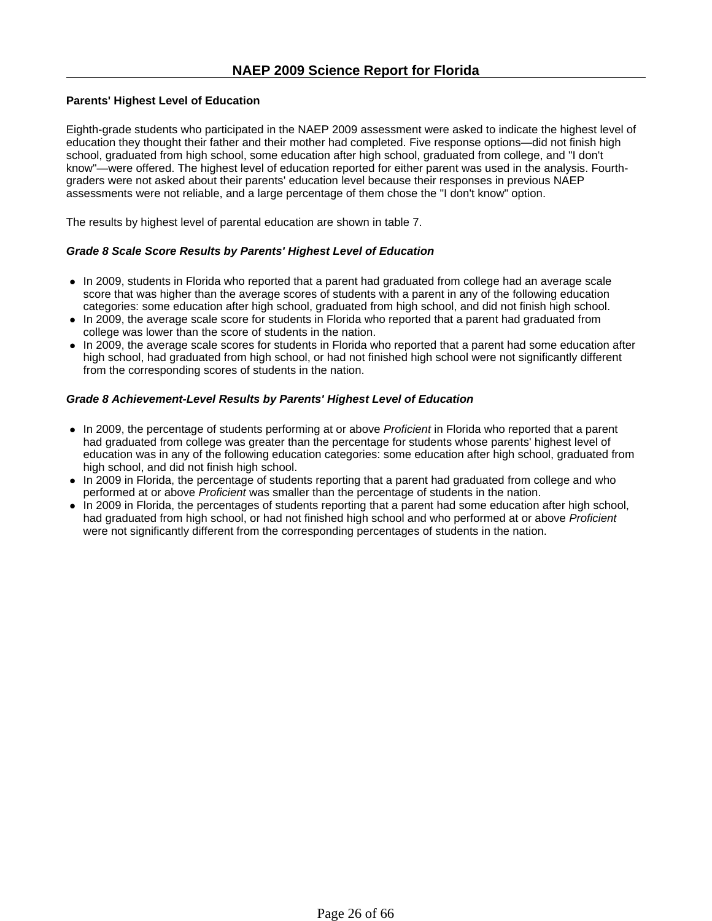### **Parents' Highest Level of Education**

Eighth-grade students who participated in the NAEP 2009 assessment were asked to indicate the highest level of education they thought their father and their mother had completed. Five response options—did not finish high school, graduated from high school, some education after high school, graduated from college, and "I don't know"—were offered. The highest level of education reported for either parent was used in the analysis. Fourthgraders were not asked about their parents' education level because their responses in previous NAEP assessments were not reliable, and a large percentage of them chose the "I don't know" option.

The results by highest level of parental education are shown in table 7.

### *Grade 8 Scale Score Results by Parents' Highest Level of Education*

- In 2009, students in Florida who reported that a parent had graduated from college had an average scale score that was higher than the average scores of students with a parent in any of the following education categories: some education after high school, graduated from high school, and did not finish high school.
- In 2009, the average scale score for students in Florida who reported that a parent had graduated from college was lower than the score of students in the nation.
- In 2009, the average scale scores for students in Florida who reported that a parent had some education after high school, had graduated from high school, or had not finished high school were not significantly different from the corresponding scores of students in the nation.

### *Grade 8 Achievement-Level Results by Parents' Highest Level of Education*

- In 2009, the percentage of students performing at or above *Proficient* in Florida who reported that a parent had graduated from college was greater than the percentage for students whose parents' highest level of education was in any of the following education categories: some education after high school, graduated from high school, and did not finish high school.
- In 2009 in Florida, the percentage of students reporting that a parent had graduated from college and who performed at or above *Proficient* was smaller than the percentage of students in the nation.
- In 2009 in Florida, the percentages of students reporting that a parent had some education after high school, had graduated from high school, or had not finished high school and who performed at or above *Proficient* were not significantly different from the corresponding percentages of students in the nation.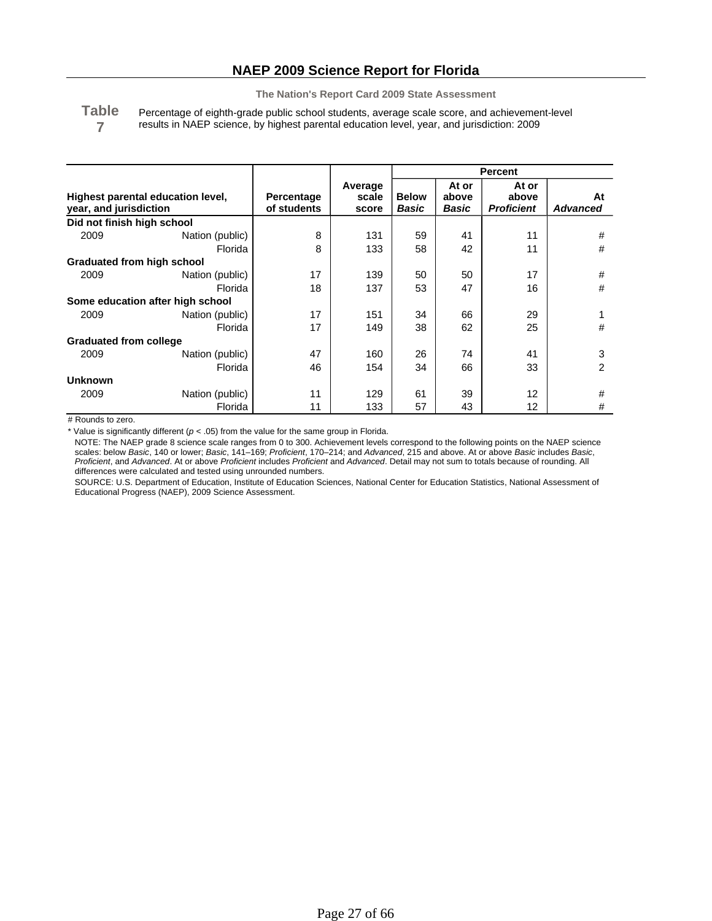**Table 7** Percentage of eighth-grade public school students, average scale score, and achievement-level results in NAEP science, by highest parental education level, year, and jurisdiction: 2009

|                                                             |                                  |                           |                           | <b>Percent</b>        |                         |                                     |                       |
|-------------------------------------------------------------|----------------------------------|---------------------------|---------------------------|-----------------------|-------------------------|-------------------------------------|-----------------------|
| Highest parental education level,<br>year, and jurisdiction |                                  | Percentage<br>of students | Average<br>scale<br>score | <b>Below</b><br>Basic | At or<br>above<br>Basic | At or<br>above<br><b>Proficient</b> | At<br><b>Advanced</b> |
| Did not finish high school                                  |                                  |                           |                           |                       |                         |                                     |                       |
| 2009                                                        | Nation (public)                  | 8                         | 131                       | 59                    | 41                      | 11                                  | #                     |
|                                                             | Florida                          | 8                         | 133                       | 58                    | 42                      | 11                                  | #                     |
| Graduated from high school                                  |                                  |                           |                           |                       |                         |                                     |                       |
| 2009                                                        | Nation (public)                  | 17                        | 139                       | 50                    | 50                      | 17                                  | #                     |
|                                                             | Florida                          | 18                        | 137                       | 53                    | 47                      | 16                                  | #                     |
|                                                             | Some education after high school |                           |                           |                       |                         |                                     |                       |
| 2009                                                        | Nation (public)                  | 17                        | 151                       | 34                    | 66                      | 29                                  |                       |
|                                                             | Florida                          | 17                        | 149                       | 38                    | 62                      | 25                                  | #                     |
| <b>Graduated from college</b>                               |                                  |                           |                           |                       |                         |                                     |                       |
| 2009                                                        | Nation (public)                  | 47                        | 160                       | 26                    | 74                      | 41                                  | 3                     |
|                                                             | Florida                          | 46                        | 154                       | 34                    | 66                      | 33                                  | 2                     |
| <b>Unknown</b>                                              |                                  |                           |                           |                       |                         |                                     |                       |
| 2009                                                        | Nation (public)                  | 11                        | 129                       | 61                    | 39                      | 12                                  | #                     |
|                                                             | Florida                          | 11                        | 133                       | 57                    | 43                      | 12                                  | #                     |

# Rounds to zero.

\* Value is significantly different (*p* < .05) from the value for the same group in Florida.

NOTE: The NAEP grade 8 science scale ranges from 0 to 300. Achievement levels correspond to the following points on the NAEP science scales: below *Basic*, 140 or lower; *Basic*, 141–169; *Proficient*, 170–214; and *Advanced*, 215 and above. At or above *Basic* includes *Basic*, *Proficient*, and *Advanced*. At or above *Proficient* includes *Proficient* and *Advanced*. Detail may not sum to totals because of rounding. All differences were calculated and tested using unrounded numbers.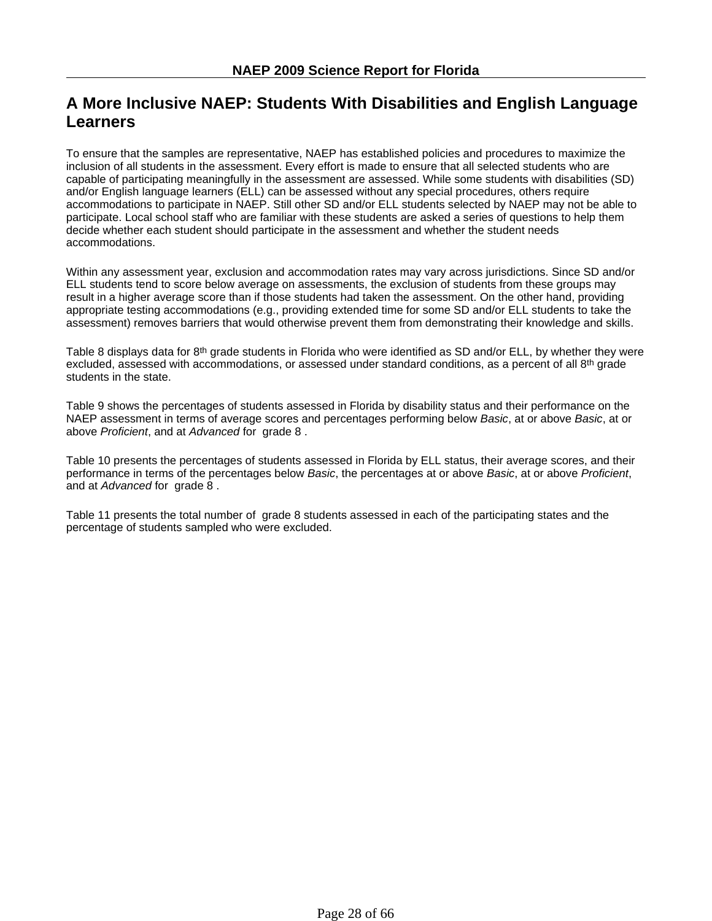# **A More Inclusive NAEP: Students With Disabilities and English Language Learners**

To ensure that the samples are representative, NAEP has established policies and procedures to maximize the inclusion of all students in the assessment. Every effort is made to ensure that all selected students who are capable of participating meaningfully in the assessment are assessed. While some students with disabilities (SD) and/or English language learners (ELL) can be assessed without any special procedures, others require accommodations to participate in NAEP. Still other SD and/or ELL students selected by NAEP may not be able to participate. Local school staff who are familiar with these students are asked a series of questions to help them decide whether each student should participate in the assessment and whether the student needs accommodations.

Within any assessment year, exclusion and accommodation rates may vary across jurisdictions. Since SD and/or ELL students tend to score below average on assessments, the exclusion of students from these groups may result in a higher average score than if those students had taken the assessment. On the other hand, providing appropriate testing accommodations (e.g., providing extended time for some SD and/or ELL students to take the assessment) removes barriers that would otherwise prevent them from demonstrating their knowledge and skills.

Table 8 displays data for 8<sup>th</sup> grade students in Florida who were identified as SD and/or ELL, by whether they were excluded, assessed with accommodations, or assessed under standard conditions, as a percent of all  $8<sup>th</sup>$  grade students in the state.

Table 9 shows the percentages of students assessed in Florida by disability status and their performance on the NAEP assessment in terms of average scores and percentages performing below *Basic*, at or above *Basic*, at or above *Proficient*, and at *Advanced* for grade 8 .

Table 10 presents the percentages of students assessed in Florida by ELL status, their average scores, and their performance in terms of the percentages below *Basic*, the percentages at or above *Basic*, at or above *Proficient*, and at *Advanced* for grade 8 .

Table 11 presents the total number of grade 8 students assessed in each of the participating states and the percentage of students sampled who were excluded.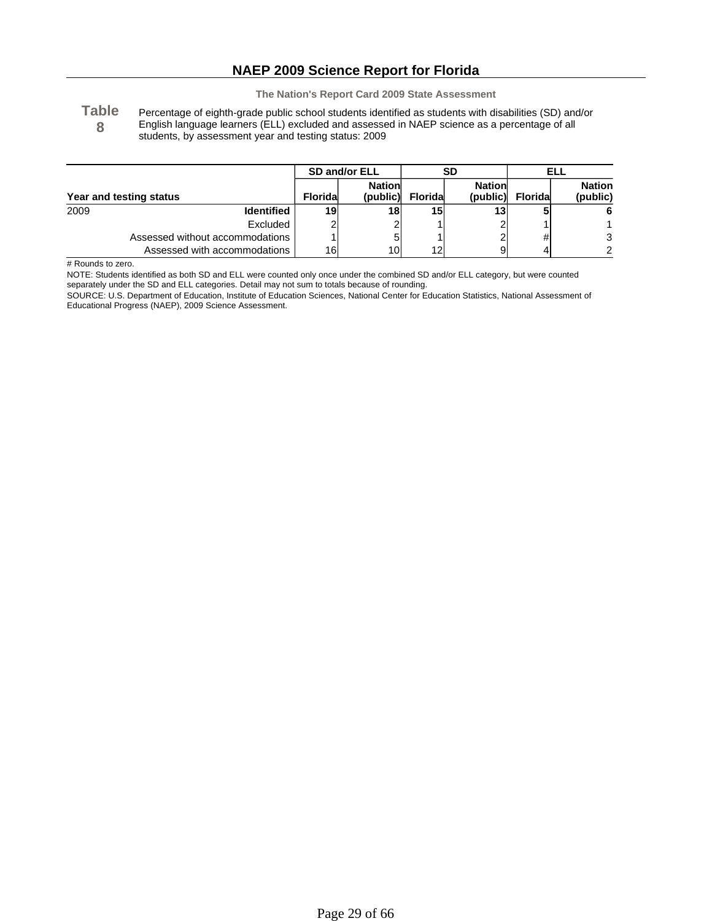## **NAEP 2009 Science Report for Florida**

**The Nation's Report Card 2009 State Assessment**

**Table 8** Percentage of eighth-grade public school students identified as students with disabilities (SD) and/or English language learners (ELL) excluded and assessed in NAEP science as a percentage of all students, by assessment year and testing status: 2009

|      |                                 | SD and/or ELL   |                            |                 | SD                        | ELL             |                           |
|------|---------------------------------|-----------------|----------------------------|-----------------|---------------------------|-----------------|---------------------------|
|      | Year and testing status         | <b>Floridal</b> | <b>Nationl</b><br>(public) | <b>Floridal</b> | <b>Nation</b><br>(public) | <b>Floridal</b> | <b>Nation</b><br>(public) |
| 2009 | <b>Identified</b>               | 19              | 18                         | 15 <sub>l</sub> | 131                       |                 | 6                         |
|      | Excluded                        |                 |                            |                 |                           |                 |                           |
|      | Assessed without accommodations |                 |                            |                 |                           | #               | 3                         |
|      | Assessed with accommodations    | 16              | 10                         | 12              | 9                         |                 | 2                         |

# Rounds to zero.

NOTE: Students identified as both SD and ELL were counted only once under the combined SD and/or ELL category, but were counted

separately under the SD and ELL categories. Detail may not sum to totals because of rounding.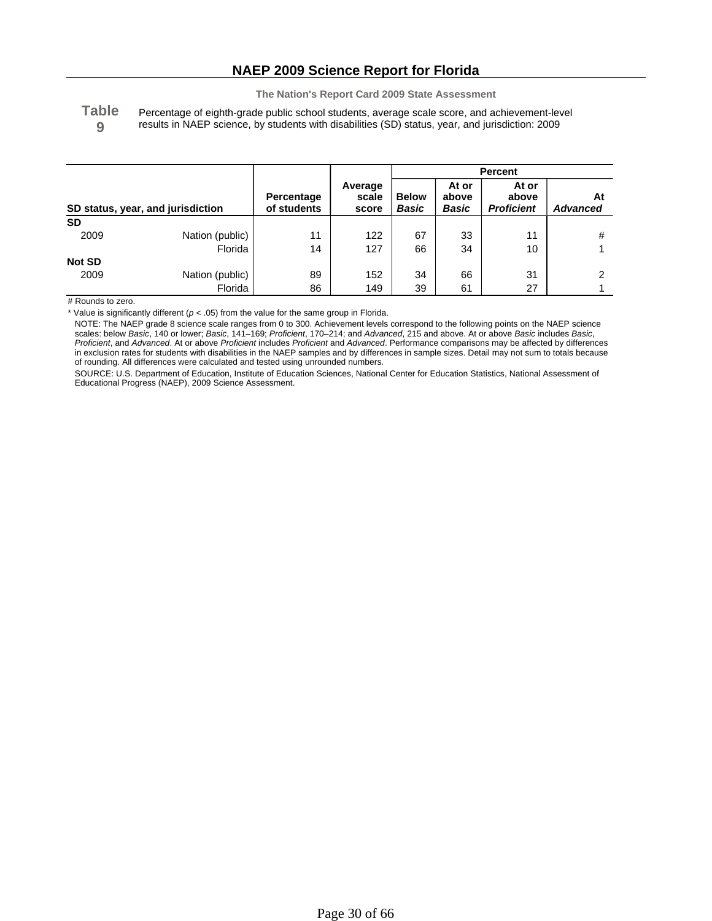**Table 9** Percentage of eighth-grade public school students, average scale score, and achievement-level results in NAEP science, by students with disabilities (SD) status, year, and jurisdiction: 2009

|               |                                   |                           |                           | <b>Percent</b>        |                         |                                     |                       |
|---------------|-----------------------------------|---------------------------|---------------------------|-----------------------|-------------------------|-------------------------------------|-----------------------|
|               | SD status, year, and jurisdiction | Percentage<br>of students | Average<br>scale<br>score | <b>Below</b><br>Basic | At or<br>above<br>Basic | At or<br>above<br><b>Proficient</b> | At<br><b>Advanced</b> |
| <b>SD</b>     |                                   |                           |                           |                       |                         |                                     |                       |
| 2009          | Nation (public)                   | 11                        | 122                       | 67                    | 33                      | 11                                  | #                     |
|               | Florida                           | 14                        | 127                       | 66                    | 34                      | 10                                  |                       |
| <b>Not SD</b> |                                   |                           |                           |                       |                         |                                     |                       |
| 2009          | Nation (public)                   | 89                        | 152                       | 34                    | 66                      | 31                                  | ົ                     |
|               | Florida                           | 86                        | 149                       | 39                    | 61                      | 27                                  |                       |

# Rounds to zero.

\* Value is significantly different ( $p < .05$ ) from the value for the same group in Florida.

NOTE: The NAEP grade 8 science scale ranges from 0 to 300. Achievement levels correspond to the following points on the NAEP science scales: below *Basic*, 140 or lower; *Basic*, 141–169; *Proficient*, 170–214; and *Advanced*, 215 and above. At or above *Basic* includes *Basic*, *Proficient*, and *Advanced*. At or above *Proficient* includes *Proficient* and *Advanced*. Performance comparisons may be affected by differences in exclusion rates for students with disabilities in the NAEP samples and by differences in sample sizes. Detail may not sum to totals because of rounding. All differences were calculated and tested using unrounded numbers.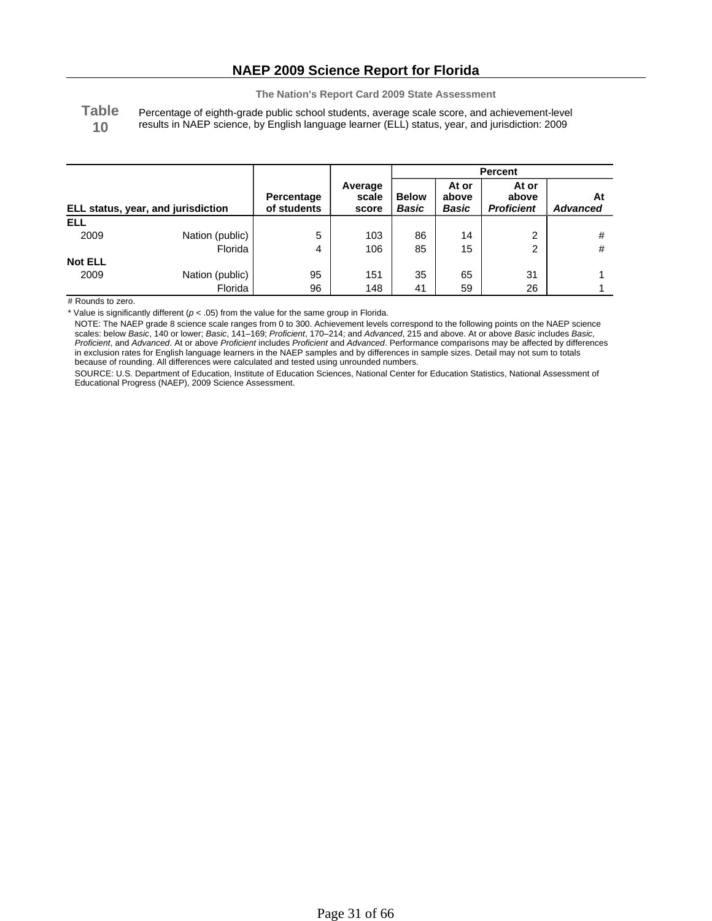**Table 10** Percentage of eighth-grade public school students, average scale score, and achievement-level results in NAEP science, by English language learner (ELL) status, year, and jurisdiction: 2009

|                                    |                 |                           |                           | <b>Percent</b>        |                                |                                     |                       |
|------------------------------------|-----------------|---------------------------|---------------------------|-----------------------|--------------------------------|-------------------------------------|-----------------------|
| ELL status, year, and jurisdiction |                 | Percentage<br>of students | Average<br>scale<br>score | <b>Below</b><br>Basic | At or<br>above<br><b>Basic</b> | At or<br>above<br><b>Proficient</b> | At<br><b>Advanced</b> |
| <b>ELL</b>                         |                 |                           |                           |                       |                                |                                     |                       |
| 2009                               | Nation (public) | 5                         | 103                       | 86                    | 14                             | 2                                   | #                     |
|                                    | Florida         | 4                         | 106                       | 85                    | 15                             | 2                                   | #                     |
| <b>Not ELL</b>                     |                 |                           |                           |                       |                                |                                     |                       |
| 2009                               | Nation (public) | 95                        | 151                       | 35                    | 65                             | 31                                  |                       |
|                                    | Florida         | 96                        | 148                       | 41                    | 59                             | 26                                  |                       |

# Rounds to zero.

\* Value is significantly different ( $p < .05$ ) from the value for the same group in Florida.

NOTE: The NAEP grade 8 science scale ranges from 0 to 300. Achievement levels correspond to the following points on the NAEP science scales: below *Basic*, 140 or lower; *Basic*, 141–169; *Proficient*, 170–214; and *Advanced*, 215 and above. At or above *Basic* includes *Basic*, *Proficient*, and *Advanced*. At or above *Proficient* includes *Proficient* and *Advanced*. Performance comparisons may be affected by differences in exclusion rates for English language learners in the NAEP samples and by differences in sample sizes. Detail may not sum to totals because of rounding. All differences were calculated and tested using unrounded numbers.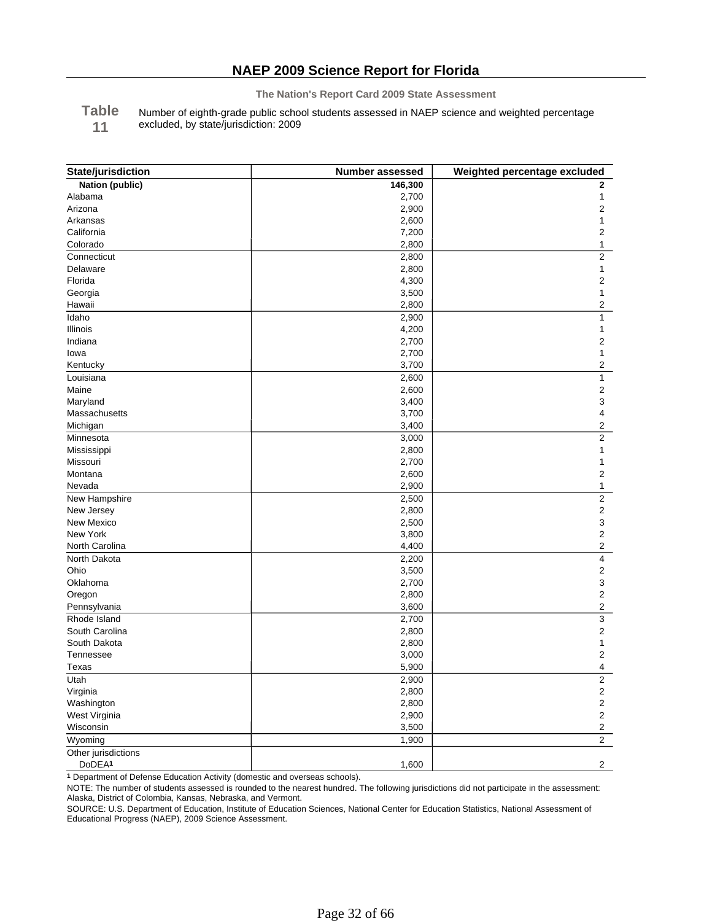**Table** Number of eighth-grade public school students assessed in NAEP science and weighted percentage

**11** excluded, by state/jurisdiction: 2009

| State/jurisdiction  | Number assessed | Weighted percentage excluded |
|---------------------|-----------------|------------------------------|
| Nation (public)     | 146,300         | $\mathbf{2}$                 |
| Alabama             | 2,700           | 1                            |
| Arizona             | 2,900           | 2                            |
| Arkansas            | 2,600           | 1                            |
| California          | 7,200           | $\overline{\mathbf{c}}$      |
| Colorado            | 2,800           | 1                            |
| Connecticut         | 2,800           | $\overline{c}$               |
| Delaware            | 2,800           | 1                            |
| Florida             | 4,300           | 2                            |
| Georgia             | 3,500           | 1                            |
| Hawaii              | 2,800           | 2                            |
| Idaho               | 2,900           | 1                            |
| Illinois            | 4,200           | 1                            |
| Indiana             | 2,700           | $\overline{\mathbf{c}}$      |
| lowa                | 2,700           | 1                            |
| Kentucky            | 3,700           | $\overline{\mathbf{c}}$      |
| Louisiana           | 2,600           | $\mathbf{1}$                 |
| Maine               | 2,600           | $\mathbf 2$                  |
| Maryland            | 3,400           | 3                            |
| Massachusetts       | 3,700           | 4                            |
| Michigan            | 3,400           | $\overline{2}$               |
| Minnesota           | 3,000           | $\overline{2}$               |
| Mississippi         | 2,800           | 1                            |
| Missouri            | 2,700           | 1                            |
| Montana             | 2,600           | 2                            |
| Nevada              | 2,900           | $\mathbf{1}$                 |
| New Hampshire       | 2,500           | $\overline{2}$               |
| New Jersey          | 2,800           | $\overline{c}$               |
| New Mexico          | 2,500           | 3                            |
| New York            | 3,800           | $\overline{c}$               |
| North Carolina      | 4,400           | $\overline{\mathbf{c}}$      |
| North Dakota        | 2,200           | 4                            |
| Ohio                | 3,500           | $\overline{2}$               |
| Oklahoma            | 2,700           | 3                            |
| Oregon              | 2,800           | $\overline{c}$               |
| Pennsylvania        | 3,600           | 2                            |
| Rhode Island        | 2,700           | 3                            |
| South Carolina      | 2,800           | $\overline{2}$               |
| South Dakota        | 2,800           | 1                            |
| Tennessee           | 3,000           | $\overline{c}$               |
| Texas               | 5,900           | 4                            |
| Utah                | 2,900           | $\boldsymbol{2}$             |
| Virginia            | 2,800           | $\overline{c}$               |
| Washington          | 2,800           | $\mathbf 2$                  |
| West Virginia       | 2,900           | $\mathbf 2$                  |
| Wisconsin           | 3,500           | 2                            |
| Wyoming             | 1,900           | $\overline{2}$               |
| Other jurisdictions |                 |                              |
| DoDEA <sup>1</sup>  | 1,600           | $\mathbf{2}$                 |

**1** Department of Defense Education Activity (domestic and overseas schools).

NOTE: The number of students assessed is rounded to the nearest hundred. The following jurisdictions did not participate in the assessment: Alaska, District of Colombia, Kansas, Nebraska, and Vermont.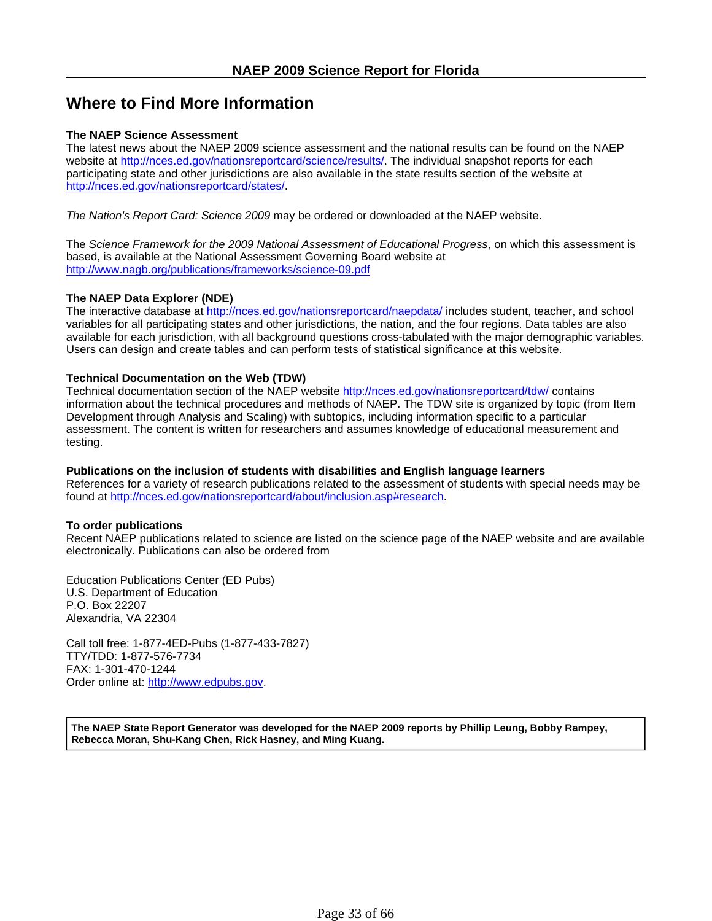# **Where to Find More Information**

### **The NAEP Science Assessment**

The latest news about the NAEP 2009 science assessment and the national results can be found on the NAEP website at http://nces.ed.gov/nationsreportcard/science/results/. The individual snapshot reports for each participating state and other jurisdictions are also available in the state results section of the website at http://nces.ed.gov/nationsreportcard/states/.

*The Nation's Report Card: Science 2009* may be ordered or downloaded at the NAEP website.

The *Science Framework for the 2009 National Assessment of Educational Progress*, on which this assessment is based, is available at the National Assessment Governing Board website at http://www.nagb.org/publications/frameworks/science-09.pdf

### **The NAEP Data Explorer (NDE)**

The interactive database at http://nces.ed.gov/nationsreportcard/naepdata/ includes student, teacher, and school variables for all participating states and other jurisdictions, the nation, and the four regions. Data tables are also available for each jurisdiction, with all background questions cross-tabulated with the major demographic variables. Users can design and create tables and can perform tests of statistical significance at this website.

### **Technical Documentation on the Web (TDW)**

Technical documentation section of the NAEP website http://nces.ed.gov/nationsreportcard/tdw/ contains information about the technical procedures and methods of NAEP. The TDW site is organized by topic (from Item Development through Analysis and Scaling) with subtopics, including information specific to a particular assessment. The content is written for researchers and assumes knowledge of educational measurement and testing.

### **Publications on the inclusion of students with disabilities and English language learners**

References for a variety of research publications related to the assessment of students with special needs may be found at http://nces.ed.gov/nationsreportcard/about/inclusion.asp#research.

### **To order publications**

Recent NAEP publications related to science are listed on the science page of the NAEP website and are available electronically. Publications can also be ordered from

Education Publications Center (ED Pubs) U.S. Department of Education P.O. Box 22207 Alexandria, VA 22304

Call toll free: 1-877-4ED-Pubs (1-877-433-7827) TTY/TDD: 1-877-576-7734 FAX: 1-301-470-1244 Order online at: http://www.edpubs.gov.

**The NAEP State Report Generator was developed for the NAEP 2009 reports by Phillip Leung, Bobby Rampey, Rebecca Moran, Shu-Kang Chen, Rick Hasney, and Ming Kuang.**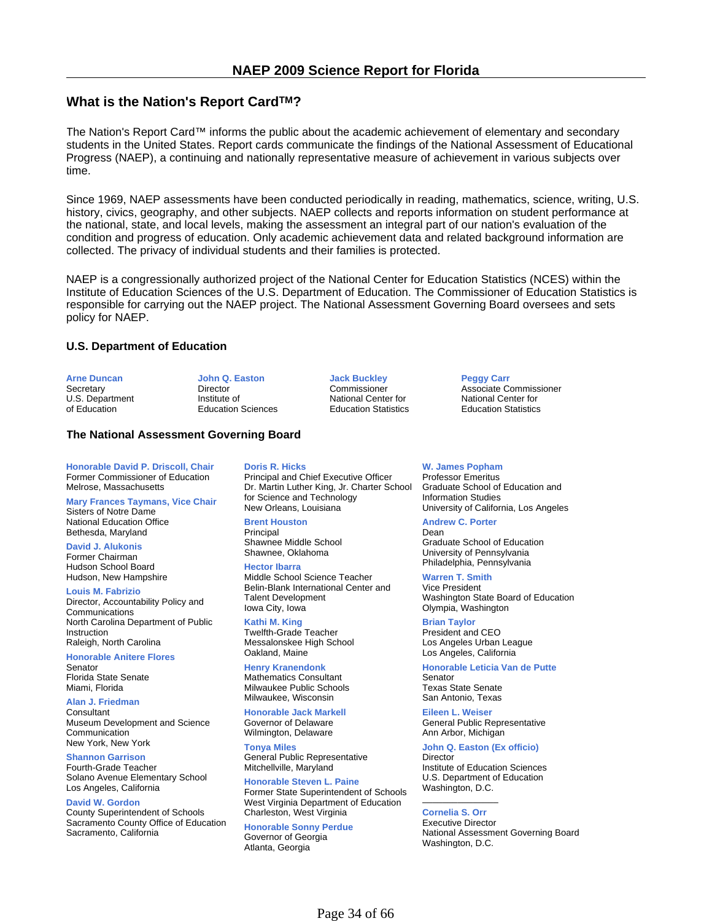### **What is the Nation's Report CardTM?**

The Nation's Report Card™ informs the public about the academic achievement of elementary and secondary students in the United States. Report cards communicate the findings of the National Assessment of Educational Progress (NAEP), a continuing and nationally representative measure of achievement in various subjects over time.

Since 1969, NAEP assessments have been conducted periodically in reading, mathematics, science, writing, U.S. history, civics, geography, and other subjects. NAEP collects and reports information on student performance at the national, state, and local levels, making the assessment an integral part of our nation's evaluation of the condition and progress of education. Only academic achievement data and related background information are collected. The privacy of individual students and their families is protected.

NAEP is a congressionally authorized project of the National Center for Education Statistics (NCES) within the Institute of Education Sciences of the U.S. Department of Education. The Commissioner of Education Statistics is responsible for carrying out the NAEP project. The National Assessment Governing Board oversees and sets policy for NAEP.

#### **U.S. Department of Education**

| <b>Arne Duncan</b> | John Q. Easton            | <b>Jack Buckley</b>         | <b>Peggy Carr</b>           |  |
|--------------------|---------------------------|-----------------------------|-----------------------------|--|
| Secretary          | Director                  | Commissioner                | Associate Commissioner      |  |
| U.S. Department    | Institute of              | National Center for         | National Center for         |  |
| of Education       | <b>Education Sciences</b> | <b>Education Statistics</b> | <b>Education Statistics</b> |  |

#### **The National Assessment Governing Board**

**Honorable David P. Driscoll, Chair** Former Commissioner of Education Melrose, Massachusetts

**Mary Frances Taymans, Vice Chair** Sisters of Notre Dame National Education Office Bethesda, Maryland

**David J. Alukonis** Former Chairman Hudson School Board Hudson, New Hampshire

**Louis M. Fabrizio**

Director, Accountability Policy and Communications North Carolina Department of Public Instruction Raleigh, North Carolina

**Honorable Anitere Flores** Senator Florida State Senate

Miami, Florida

Sacramento, California

**Alan J. Friedman Consultant** Museum Development and Science Communication New York, New York

**Shannon Garrison** Fourth-Grade Teacher Solano Avenue Elementary School

Los Angeles, California **David W. Gordon** County Superintendent of Schools Sacramento County Office of Education **Doris R. Hicks**

Principal and Chief Executive Officer Dr. Martin Luther King, Jr. Charter School for Science and Technology New Orleans, Louisiana

**Brent Houston** Principal

Shawnee Middle School Shawnee, Oklahoma

**Hector Ibarra** Middle School Science Teacher Belin-Blank International Center and Talent Development Iowa City, Iowa

**Kathi M. King** Twelfth-Grade Teacher Messalonskee High School Oakland, Maine

**Henry Kranendonk** Mathematics Consultant Milwaukee Public Schools Milwaukee, Wisconsin

**Honorable Jack Markell** Governor of Delaware Wilmington, Delaware

**Tonya Miles** General Public Representative Mitchellville, Maryland

**Honorable Steven L. Paine** Former State Superintendent of Schools West Virginia Department of Education Charleston, West Virginia

**Honorable Sonny Perdue** Governor of Georgia Atlanta, Georgia

**W. James Popham**

Professor Emeritus Graduate School of Education and Information Studies University of California, Los Angeles

**Andrew C. Porter** Dean

Graduate School of Education University of Pennsylvania Philadelphia, Pennsylvania

**Warren T. Smith** Vice President Washington State Board of Education Olympia, Washington

**Brian Taylor** President and CEO Los Angeles Urban League Los Angeles, California

**Honorable Leticia Van de Putte** Senator Texas State Senate

San Antonio, Texas **Eileen L. Weiser** General Public Representative Ann Arbor, Michigan

**John Q. Easton (Ex officio) Director** Institute of Education Sciences U.S. Department of Education Washington, D.C.

#### $\overline{\phantom{a}}$  , we can also the contract of  $\overline{\phantom{a}}$ **Cornelia S. Orr**

Executive Director National Assessment Governing Board Washington, D.C.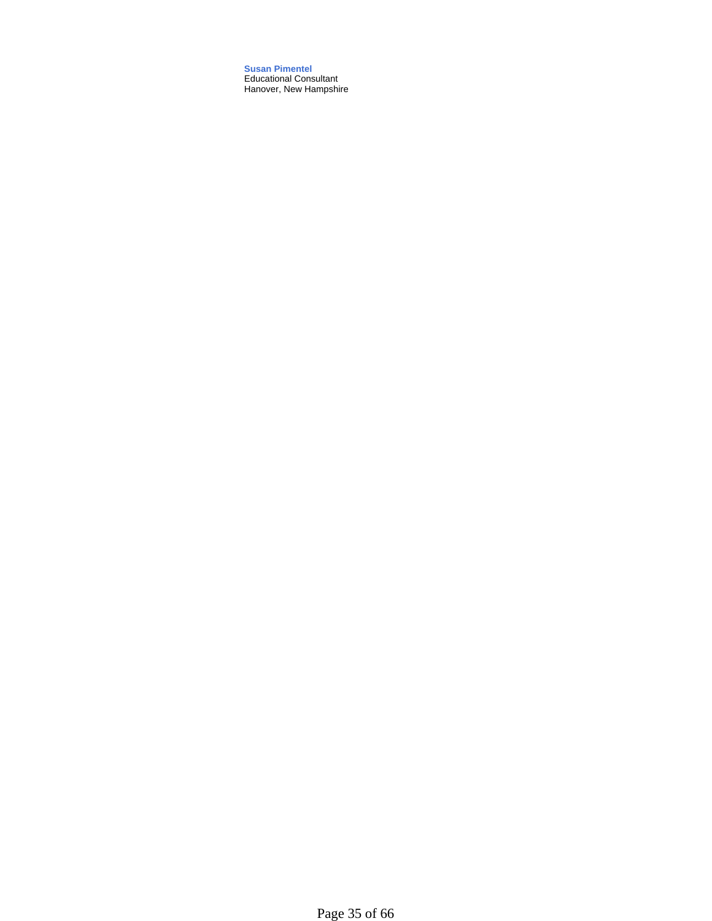**Susan Pimentel** Educational Consultant Hanover, New Hampshire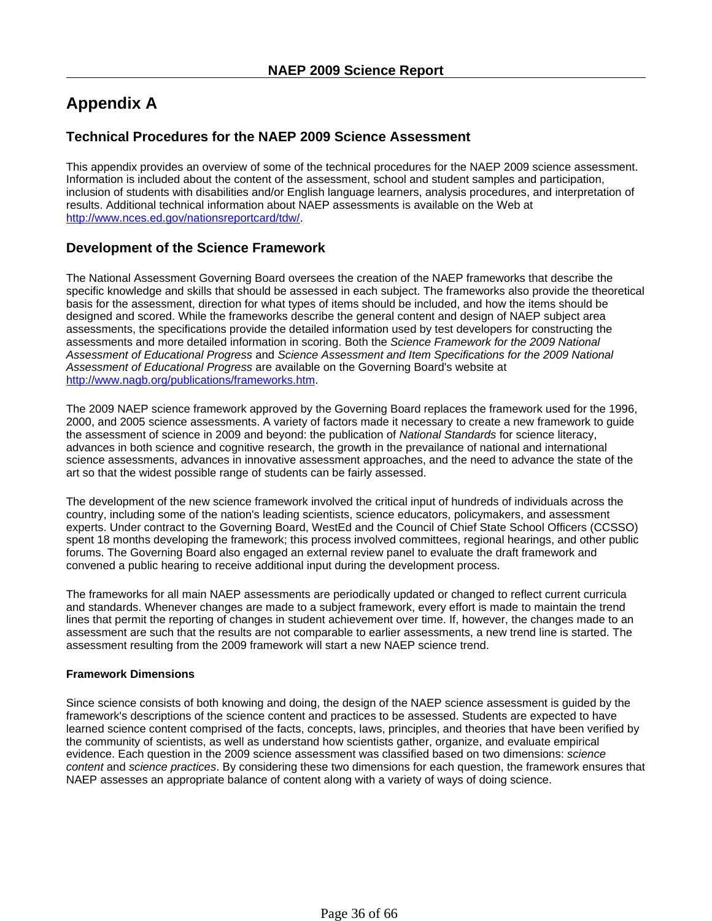# **Appendix A**

## **Technical Procedures for the NAEP 2009 Science Assessment**

This appendix provides an overview of some of the technical procedures for the NAEP 2009 science assessment. Information is included about the content of the assessment, school and student samples and participation, inclusion of students with disabilities and/or English language learners, analysis procedures, and interpretation of results. Additional technical information about NAEP assessments is available on the Web at http://www.nces.ed.gov/nationsreportcard/tdw/.

## **Development of the Science Framework**

The National Assessment Governing Board oversees the creation of the NAEP frameworks that describe the specific knowledge and skills that should be assessed in each subject. The frameworks also provide the theoretical basis for the assessment, direction for what types of items should be included, and how the items should be designed and scored. While the frameworks describe the general content and design of NAEP subject area assessments, the specifications provide the detailed information used by test developers for constructing the assessments and more detailed information in scoring. Both the *Science Framework for the 2009 National Assessment of Educational Progress* and *Science Assessment and Item Specifications for the 2009 National Assessment of Educational Progress* are available on the Governing Board's website at http://www.nagb.org/publications/frameworks.htm.

The 2009 NAEP science framework approved by the Governing Board replaces the framework used for the 1996, 2000, and 2005 science assessments. A variety of factors made it necessary to create a new framework to guide the assessment of science in 2009 and beyond: the publication of *National Standards* for science literacy, advances in both science and cognitive research, the growth in the prevailance of national and international science assessments, advances in innovative assessment approaches, and the need to advance the state of the art so that the widest possible range of students can be fairly assessed.

The development of the new science framework involved the critical input of hundreds of individuals across the country, including some of the nation's leading scientists, science educators, policymakers, and assessment experts. Under contract to the Governing Board, WestEd and the Council of Chief State School Officers (CCSSO) spent 18 months developing the framework; this process involved committees, regional hearings, and other public forums. The Governing Board also engaged an external review panel to evaluate the draft framework and convened a public hearing to receive additional input during the development process.

The frameworks for all main NAEP assessments are periodically updated or changed to reflect current curricula and standards. Whenever changes are made to a subject framework, every effort is made to maintain the trend lines that permit the reporting of changes in student achievement over time. If, however, the changes made to an assessment are such that the results are not comparable to earlier assessments, a new trend line is started. The assessment resulting from the 2009 framework will start a new NAEP science trend.

### **Framework Dimensions**

Since science consists of both knowing and doing, the design of the NAEP science assessment is guided by the framework's descriptions of the science content and practices to be assessed. Students are expected to have learned science content comprised of the facts, concepts, laws, principles, and theories that have been verified by the community of scientists, as well as understand how scientists gather, organize, and evaluate empirical evidence. Each question in the 2009 science assessment was classified based on two dimensions: *science content* and *science practices*. By considering these two dimensions for each question, the framework ensures that NAEP assesses an appropriate balance of content along with a variety of ways of doing science.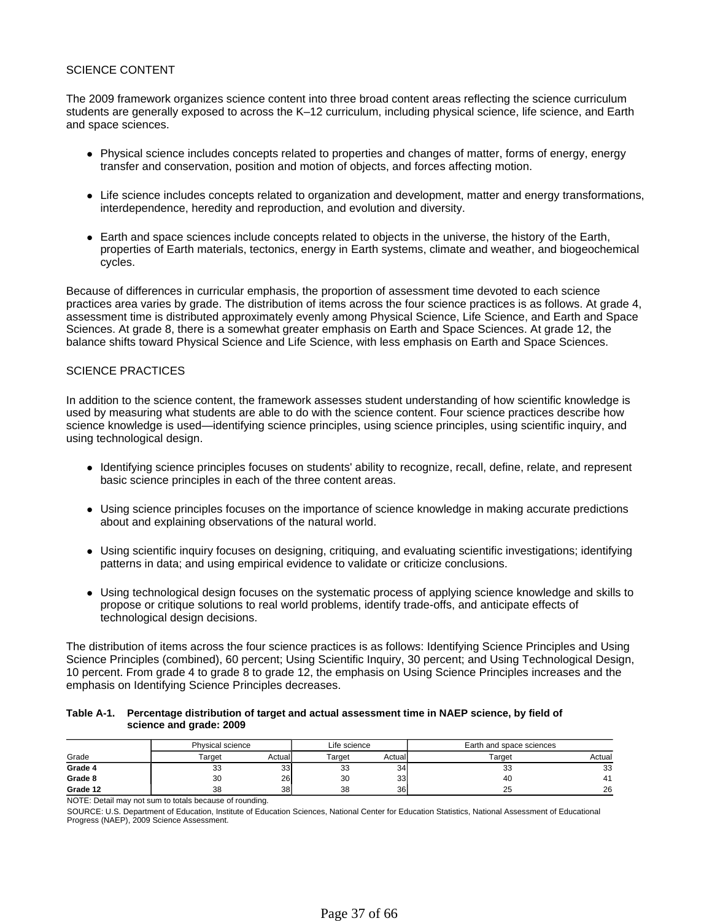### SCIENCE CONTENT

The 2009 framework organizes science content into three broad content areas reflecting the science curriculum students are generally exposed to across the K–12 curriculum, including physical science, life science, and Earth and space sciences.

- Physical science includes concepts related to properties and changes of matter, forms of energy, energy transfer and conservation, position and motion of objects, and forces affecting motion.
- Life science includes concepts related to organization and development, matter and energy transformations, interdependence, heredity and reproduction, and evolution and diversity.
- Earth and space sciences include concepts related to objects in the universe, the history of the Earth, properties of Earth materials, tectonics, energy in Earth systems, climate and weather, and biogeochemical cycles.

Because of differences in curricular emphasis, the proportion of assessment time devoted to each science practices area varies by grade. The distribution of items across the four science practices is as follows. At grade 4, assessment time is distributed approximately evenly among Physical Science, Life Science, and Earth and Space Sciences. At grade 8, there is a somewhat greater emphasis on Earth and Space Sciences. At grade 12, the balance shifts toward Physical Science and Life Science, with less emphasis on Earth and Space Sciences.

### SCIENCE PRACTICES

In addition to the science content, the framework assesses student understanding of how scientific knowledge is used by measuring what students are able to do with the science content. Four science practices describe how science knowledge is used—identifying science principles, using science principles, using scientific inquiry, and using technological design.

- Identifying science principles focuses on students' ability to recognize, recall, define, relate, and represent basic science principles in each of the three content areas.
- Using science principles focuses on the importance of science knowledge in making accurate predictions about and explaining observations of the natural world.
- Using scientific inquiry focuses on designing, critiquing, and evaluating scientific investigations; identifying patterns in data; and using empirical evidence to validate or criticize conclusions.
- Using technological design focuses on the systematic process of applying science knowledge and skills to propose or critique solutions to real world problems, identify trade-offs, and anticipate effects of technological design decisions.

The distribution of items across the four science practices is as follows: Identifying Science Principles and Using Science Principles (combined), 60 percent; Using Scientific Inquiry, 30 percent; and Using Technological Design, 10 percent. From grade 4 to grade 8 to grade 12, the emphasis on Using Science Principles increases and the emphasis on Identifying Science Principles decreases.

#### **Table A-1. Percentage distribution of target and actual assessment time in NAEP science, by field of science and grade: 2009**

|          | Physical science |                 | Life science |         | Earth and space sciences |        |
|----------|------------------|-----------------|--------------|---------|--------------------------|--------|
| Grade    | Гarget           | Actual          | Target       | Actuall | Target                   | Actual |
| Grade 4  | 33               | 33              | ົ<br>33      | 34      | 33                       | 33     |
| Grade 8  | 30               | 26              | 30           | 33      | 40                       | 41     |
| Grade 12 | 38               | 38 <sup>l</sup> | 38           | 36      | 25                       | 26     |

NOTE: Detail may not sum to totals because of rounding.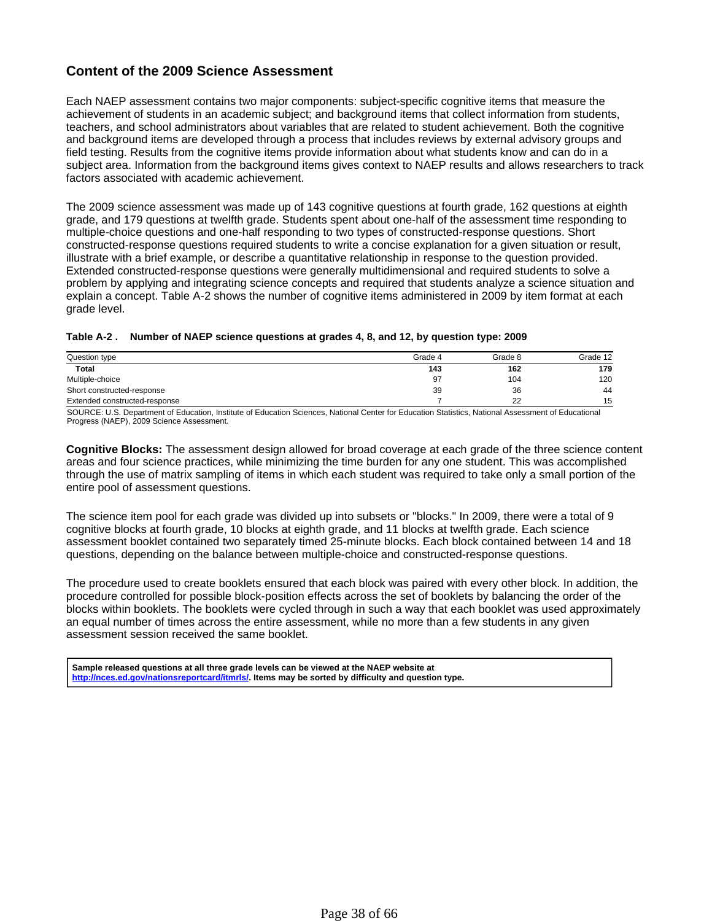# **Content of the 2009 Science Assessment**

Each NAEP assessment contains two major components: subject-specific cognitive items that measure the achievement of students in an academic subject; and background items that collect information from students, teachers, and school administrators about variables that are related to student achievement. Both the cognitive and background items are developed through a process that includes reviews by external advisory groups and field testing. Results from the cognitive items provide information about what students know and can do in a subject area. Information from the background items gives context to NAEP results and allows researchers to track factors associated with academic achievement.

The 2009 science assessment was made up of 143 cognitive questions at fourth grade, 162 questions at eighth grade, and 179 questions at twelfth grade. Students spent about one-half of the assessment time responding to multiple-choice questions and one-half responding to two types of constructed-response questions. Short constructed-response questions required students to write a concise explanation for a given situation or result, illustrate with a brief example, or describe a quantitative relationship in response to the question provided. Extended constructed-response questions were generally multidimensional and required students to solve a problem by applying and integrating science concepts and required that students analyze a science situation and explain a concept. Table A-2 shows the number of cognitive items administered in 2009 by item format at each grade level.

#### **Table A-2 . Number of NAEP science questions at grades 4, 8, and 12, by question type: 2009**

| Question type                 | Grade 4 | Grade 8 | Grade 12 |
|-------------------------------|---------|---------|----------|
| <b>Total</b>                  | 143     | 162     | 179      |
| Multiple-choice               | 97      | 104     | 120      |
| Short constructed-response    | 39      | 36      | 44       |
| Extended constructed-response |         | 22      | 15       |

SOURCE: U.S. Department of Education, Institute of Education Sciences, National Center for Education Statistics, National Assessment of Educational Progress (NAEP), 2009 Science Assessment.

**Cognitive Blocks:** The assessment design allowed for broad coverage at each grade of the three science content areas and four science practices, while minimizing the time burden for any one student. This was accomplished through the use of matrix sampling of items in which each student was required to take only a small portion of the entire pool of assessment questions.

The science item pool for each grade was divided up into subsets or "blocks." In 2009, there were a total of 9 cognitive blocks at fourth grade, 10 blocks at eighth grade, and 11 blocks at twelfth grade. Each science assessment booklet contained two separately timed 25-minute blocks. Each block contained between 14 and 18 questions, depending on the balance between multiple-choice and constructed-response questions.

The procedure used to create booklets ensured that each block was paired with every other block. In addition, the procedure controlled for possible block-position effects across the set of booklets by balancing the order of the blocks within booklets. The booklets were cycled through in such a way that each booklet was used approximately an equal number of times across the entire assessment, while no more than a few students in any given assessment session received the same booklet.

**Sample released questions at all three grade levels can be viewed at the NAEP website at http://nces.ed.gov/nationsreportcard/itmrls/. Items may be sorted by difficulty and question type.**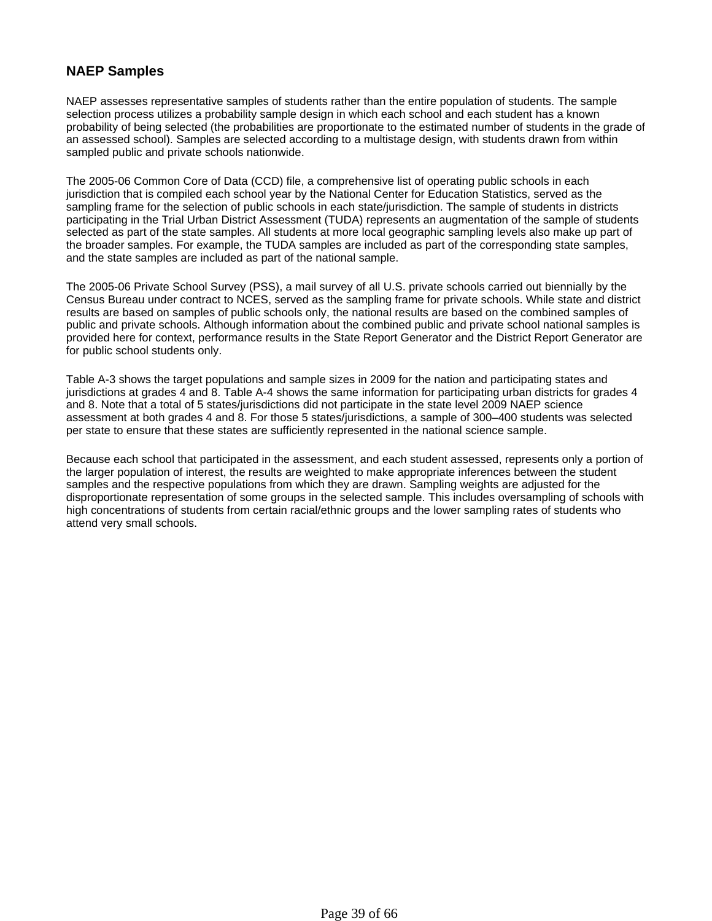# **NAEP Samples**

NAEP assesses representative samples of students rather than the entire population of students. The sample selection process utilizes a probability sample design in which each school and each student has a known probability of being selected (the probabilities are proportionate to the estimated number of students in the grade of an assessed school). Samples are selected according to a multistage design, with students drawn from within sampled public and private schools nationwide.

The 2005-06 Common Core of Data (CCD) file, a comprehensive list of operating public schools in each jurisdiction that is compiled each school year by the National Center for Education Statistics, served as the sampling frame for the selection of public schools in each state/jurisdiction. The sample of students in districts participating in the Trial Urban District Assessment (TUDA) represents an augmentation of the sample of students selected as part of the state samples. All students at more local geographic sampling levels also make up part of the broader samples. For example, the TUDA samples are included as part of the corresponding state samples, and the state samples are included as part of the national sample.

The 2005-06 Private School Survey (PSS), a mail survey of all U.S. private schools carried out biennially by the Census Bureau under contract to NCES, served as the sampling frame for private schools. While state and district results are based on samples of public schools only, the national results are based on the combined samples of public and private schools. Although information about the combined public and private school national samples is provided here for context, performance results in the State Report Generator and the District Report Generator are for public school students only.

Table A-3 shows the target populations and sample sizes in 2009 for the nation and participating states and jurisdictions at grades 4 and 8. Table A-4 shows the same information for participating urban districts for grades 4 and 8. Note that a total of 5 states/jurisdictions did not participate in the state level 2009 NAEP science assessment at both grades 4 and 8. For those 5 states/jurisdictions, a sample of 300–400 students was selected per state to ensure that these states are sufficiently represented in the national science sample.

Because each school that participated in the assessment, and each student assessed, represents only a portion of the larger population of interest, the results are weighted to make appropriate inferences between the student samples and the respective populations from which they are drawn. Sampling weights are adjusted for the disproportionate representation of some groups in the selected sample. This includes oversampling of schools with high concentrations of students from certain racial/ethnic groups and the lower sampling rates of students who attend very small schools.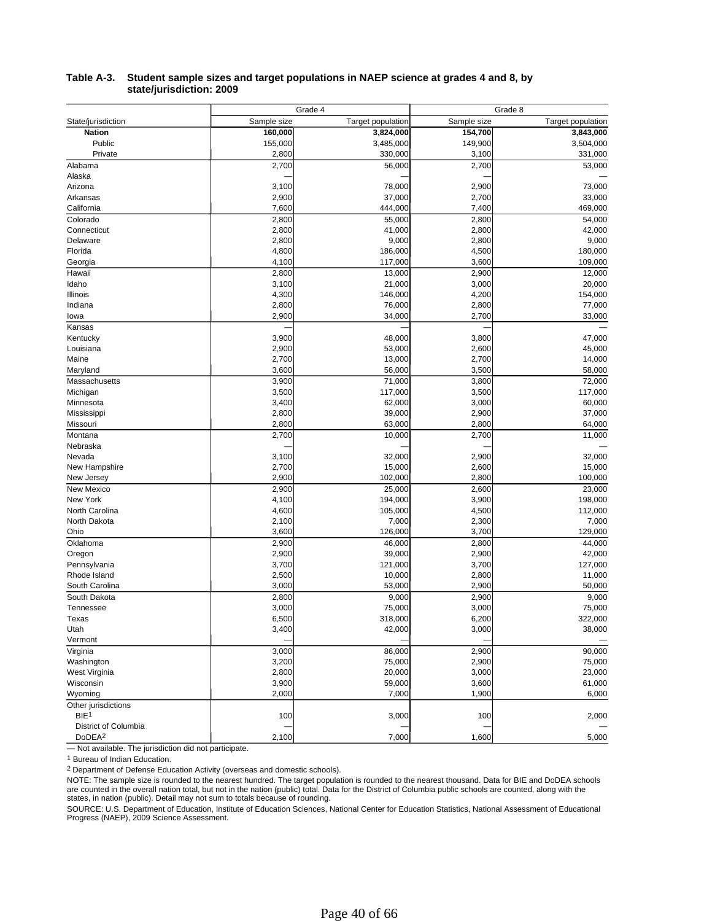|                      |             | Grade 4                  | Grade 8     |                          |  |
|----------------------|-------------|--------------------------|-------------|--------------------------|--|
| State/jurisdiction   | Sample size | <b>Target population</b> | Sample size | <b>Target population</b> |  |
| <b>Nation</b>        | 160,000     | 3,824,000                | 154,700     | 3,843,000                |  |
| Public               | 155,000     | 3,485,000                | 149,900     | 3,504,000                |  |
| Private              | 2,800       | 330,000                  | 3,100       | 331,000                  |  |
| Alabama              | 2,700       | 56,000                   | 2,700       | 53,000                   |  |
| Alaska               |             |                          |             |                          |  |
| Arizona              | 3,100       | 78,000                   | 2,900       | 73,000                   |  |
| Arkansas             | 2,900       | 37,000                   | 2,700       | 33,000                   |  |
| California           | 7,600       | 444,000                  | 7,400       | 469,000                  |  |
| Colorado             | 2,800       | 55,000                   | 2,800       | 54,000                   |  |
| Connecticut          | 2,800       | 41,000                   | 2,800       | 42,000                   |  |
| Delaware             | 2,800       | 9,000                    | 2,800       | 9,000                    |  |
| Florida              | 4,800       | 186,000                  | 4,500       | 180,000                  |  |
| Georgia              | 4,100       | 117,000                  | 3,600       | 109,000                  |  |
| Hawaii               | 2,800       | 13,000                   | 2,900       | 12,000                   |  |
| Idaho                | 3,100       | 21,000                   | 3,000       | 20,000                   |  |
| Illinois             | 4,300       | 146,000                  | 4,200       | 154,000                  |  |
| Indiana              | 2,800       | 76,000                   | 2,800       | 77,000                   |  |
| lowa                 | 2,900       | 34,000                   | 2,700       | 33,000                   |  |
| Kansas               |             |                          |             |                          |  |
| Kentucky             | 3,900       | 48,000                   | 3,800       | 47,000                   |  |
| Louisiana            | 2,900       | 53,000                   | 2,600       | 45,000                   |  |
| Maine                | 2,700       | 13,000                   | 2,700       | 14,000                   |  |
| Maryland             | 3,600       | 56,000                   | 3,500       | 58,000                   |  |
| Massachusetts        | 3,900       | 71,000                   | 3,800       | 72,000                   |  |
| Michigan             | 3,500       | 117,000                  | 3,500       | 117,000                  |  |
| Minnesota            | 3,400       | 62,000                   | 3,000       | 60,000                   |  |
| Mississippi          | 2,800       | 39,000                   | 2,900       | 37,000                   |  |
| Missouri             | 2,800       | 63,000                   | 2,800       | 64,000                   |  |
| Montana              | 2,700       | 10,000                   | 2,700       | 11,000                   |  |
| Nebraska             |             |                          |             |                          |  |
| Nevada               | 3,100       | 32,000                   | 2,900       | 32,000                   |  |
| New Hampshire        | 2,700       | 15,000                   | 2,600       | 15,000                   |  |
| New Jersey           | 2,900       | 102,000                  | 2,800       | 100,000                  |  |
| New Mexico           | 2,900       | 25,000                   | 2,600       | 23,000                   |  |
| New York             | 4,100       | 194,000                  | 3,900       | 198,000                  |  |
| North Carolina       | 4,600       | 105,000                  | 4,500       | 112,000                  |  |
| North Dakota         | 2,100       | 7,000                    | 2,300       | 7,000                    |  |
| Ohio                 | 3,600       | 126,000                  | 3,700       | 129,000                  |  |
| Oklahoma             | 2,900       | 46,000                   | 2,800       | 44,000                   |  |
| Oregon               | 2,900       | 39,000                   | 2,900       | 42,000                   |  |
| Pennsylvania         | 3,700       | 121,000                  | 3,700       | 127,000                  |  |
| Rhode Island         | 2,500       | 10,000                   | 2,800       | 11,000                   |  |
| South Carolina       | 3,000       | 53,000                   | 2,900       | 50,000                   |  |
| South Dakota         | 2,800       | 9,000                    | 2,900       | 9,000                    |  |
| Tennessee            | 3,000       | 75,000                   | 3,000       | 75,000                   |  |
| Texas                | 6,500       | 318,000                  | 6,200       | 322,000                  |  |
| Utah                 | 3,400       | 42,000                   | 3,000       | 38,000                   |  |
| Vermont              |             |                          |             |                          |  |
| Virginia             | 3,000       | 86,000                   | 2,900       | 90,000                   |  |
| Washington           | 3,200       | 75,000                   | 2,900       | 75,000                   |  |
| West Virginia        | 2,800       | 20,000                   | 3,000       | 23,000                   |  |
| Wisconsin            | 3,900       | 59,000                   | 3,600       | 61,000                   |  |
| Wyoming              | 2,000       | 7,000                    | 1,900       | 6,000                    |  |
| Other jurisdictions  |             |                          |             |                          |  |
| BIE <sup>1</sup>     | 100         | 3,000                    | 100         | 2,000                    |  |
| District of Columbia |             |                          |             |                          |  |
| DoDEA <sup>2</sup>   | 2,100       | 7,000                    | 1,600       | 5,000                    |  |

#### **Table A-3. Student sample sizes and target populations in NAEP science at grades 4 and 8, by state/jurisdiction: 2009**

— Not available. The jurisdiction did not participate.

<sup>1</sup> Bureau of Indian Education.

<sup>2</sup> Department of Defense Education Activity (overseas and domestic schools).

NOTE: The sample size is rounded to the nearest hundred. The target population is rounded to the nearest thousand. Data for BIE and DoDEA schools<br>are counted in the overall nation total, but not in the nation (public) tota states, in nation (public). Detail may not sum to totals because of rounding.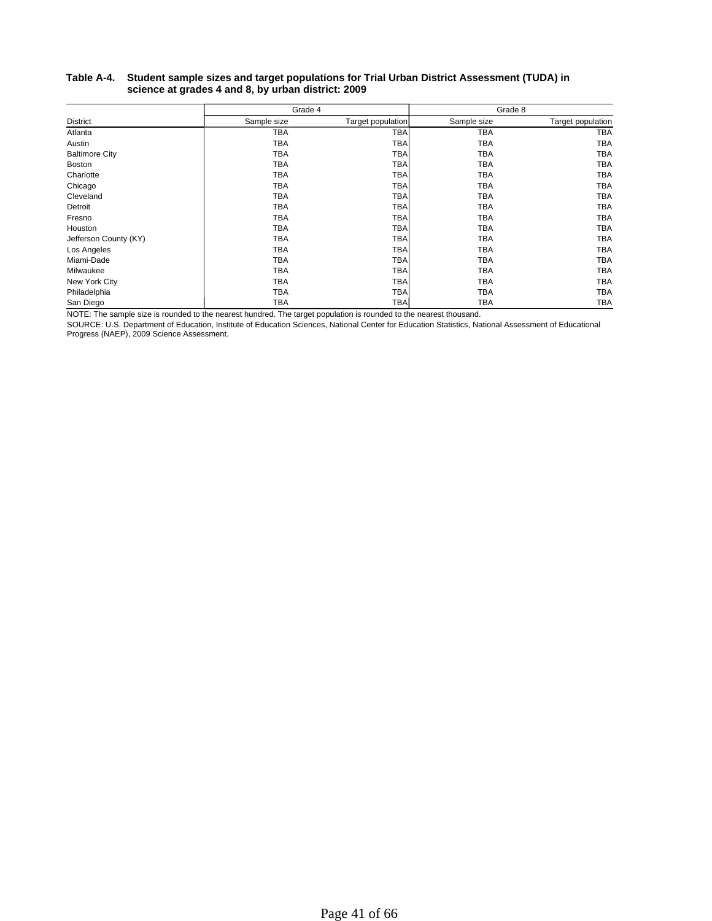#### **Table A-4. Student sample sizes and target populations for Trial Urban District Assessment (TUDA) in science at grades 4 and 8, by urban district: 2009**

|                       | Grade 4     |                   | Grade 8     |                   |  |
|-----------------------|-------------|-------------------|-------------|-------------------|--|
| District              | Sample size | Target population | Sample size | Target population |  |
| Atlanta               | <b>TBA</b>  | TBA               | <b>TBA</b>  | <b>TBA</b>        |  |
| Austin                | TBA         | <b>TBA</b>        | <b>TBA</b>  | <b>TBA</b>        |  |
| <b>Baltimore City</b> | ТВА         | <b>TBA</b>        | <b>TBA</b>  | <b>TBA</b>        |  |
| <b>Boston</b>         | ТВА         | TBA               | TBA         | TBA               |  |
| Charlotte             | TBA         | TBA               | <b>TBA</b>  | <b>TBA</b>        |  |
| Chicago               | TBA         | <b>TBA</b>        | TBA         | TBA               |  |
| Cleveland             | TBA         | <b>TBA</b>        | <b>TBA</b>  | TBA               |  |
| Detroit               | TBA         | <b>TBA</b>        | TBA         | TBA               |  |
| Fresno                | TBA         | <b>TBA</b>        | <b>TBA</b>  | TBA               |  |
| Houston               | TBA         | <b>TBA</b>        | <b>TBA</b>  | TBA               |  |
| Jefferson County (KY) | ТВА         | <b>TBA</b>        | TBA         | <b>TBA</b>        |  |
| Los Angeles           | TBA         | <b>TBA</b>        | TBA         | TBA               |  |
| Miami-Dade            | TBA         | TBA               | <b>TBA</b>  | <b>TBA</b>        |  |
| Milwaukee             | TBA         | <b>TBA</b>        | TBA         | <b>TBA</b>        |  |
| New York City         | TBA         | <b>TBA</b>        | TBA         | <b>TBA</b>        |  |
| Philadelphia          | ТВА         | <b>TBA</b>        | TBA         | TBA               |  |
| San Diego             | TBA         | <b>TBA</b>        | TBA         | <b>TBA</b>        |  |

NOTE: The sample size is rounded to the nearest hundred. The target population is rounded to the nearest thousand.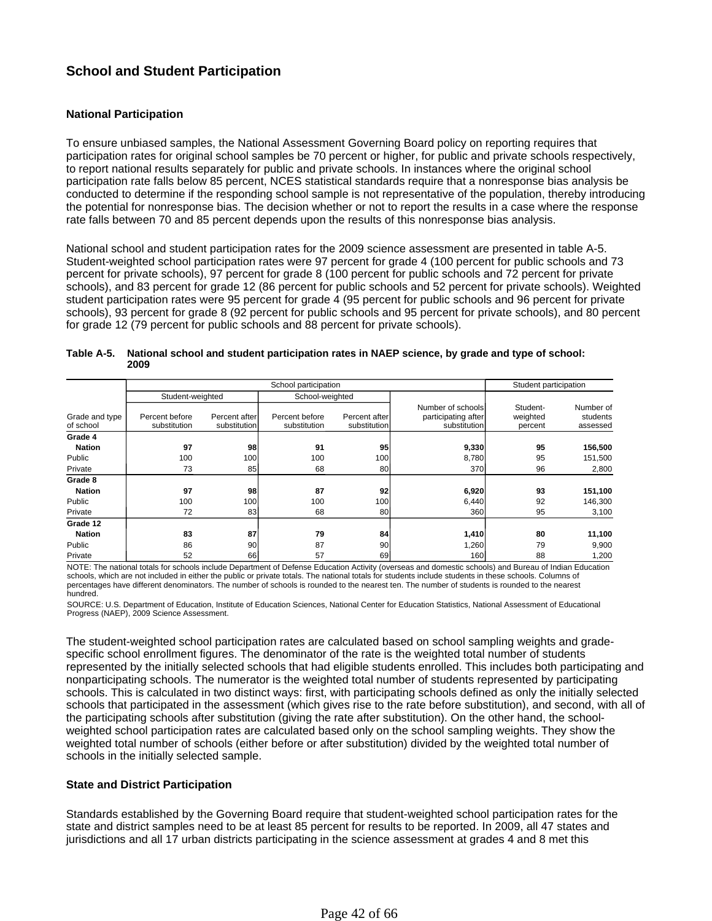# **School and Student Participation**

### **National Participation**

To ensure unbiased samples, the National Assessment Governing Board policy on reporting requires that participation rates for original school samples be 70 percent or higher, for public and private schools respectively, to report national results separately for public and private schools. In instances where the original school participation rate falls below 85 percent, NCES statistical standards require that a nonresponse bias analysis be conducted to determine if the responding school sample is not representative of the population, thereby introducing the potential for nonresponse bias. The decision whether or not to report the results in a case where the response rate falls between 70 and 85 percent depends upon the results of this nonresponse bias analysis.

National school and student participation rates for the 2009 science assessment are presented in table A-5. Student-weighted school participation rates were 97 percent for grade 4 (100 percent for public schools and 73 percent for private schools), 97 percent for grade 8 (100 percent for public schools and 72 percent for private schools), and 83 percent for grade 12 (86 percent for public schools and 52 percent for private schools). Weighted student participation rates were 95 percent for grade 4 (95 percent for public schools and 96 percent for private schools), 93 percent for grade 8 (92 percent for public schools and 95 percent for private schools), and 80 percent for grade 12 (79 percent for public schools and 88 percent for private schools).

|                             |                                | Student participation         |                                |                               |                                                          |                                 |                                   |
|-----------------------------|--------------------------------|-------------------------------|--------------------------------|-------------------------------|----------------------------------------------------------|---------------------------------|-----------------------------------|
|                             | Student-weighted               |                               | School-weighted                |                               |                                                          |                                 |                                   |
| Grade and type<br>of school | Percent before<br>substitution | Percent after<br>substitution | Percent before<br>substitution | Percent after<br>substitution | Number of schools<br>participating after<br>substitution | Student-<br>weighted<br>percent | Number of<br>students<br>assessed |
| Grade 4                     |                                |                               |                                |                               |                                                          |                                 |                                   |
| <b>Nation</b>               | 97                             | 98                            | 91                             | 95                            | 9,330                                                    | 95                              | 156,500                           |
| Public                      | 100                            | 100                           | 100                            | 100                           | 8,780                                                    | 95                              | 151,500                           |
| Private                     | 73                             | 85                            | 68                             | 80                            | 370l                                                     | 96                              | 2,800                             |
| Grade 8                     |                                |                               |                                |                               |                                                          |                                 |                                   |
| <b>Nation</b>               | 97                             | 98                            | 87                             | 92                            | 6,920                                                    | 93                              | 151,100                           |
| Public                      | 100                            | 100                           | 100                            | 100                           | 6,440                                                    | 92                              | 146,300                           |
| Private                     | 72                             | 83                            | 68                             | 80                            | 360                                                      | 95                              | 3,100                             |
| Grade 12                    |                                |                               |                                |                               |                                                          |                                 |                                   |
| <b>Nation</b>               | 83                             | 87                            | 79                             | 84                            | 1,410                                                    | 80                              | 11,100                            |
| Public                      | 86                             | 90                            | 87                             | 90                            | 1,260                                                    | 79                              | 9,900                             |
| Private                     | 52                             | 66                            | 57                             | 69                            | 160                                                      | 88                              | 1,200                             |

| Table A-5. National school and student participation rates in NAEP science, by grade and type of school: |
|----------------------------------------------------------------------------------------------------------|
| 2009                                                                                                     |

NOTE: The national totals for schools include Department of Defense Education Activity (overseas and domestic schools) and Bureau of Indian Education schools, which are not included in either the public or private totals. The national totals for students include students in these schools. Columns of percentages have different denominators. The number of schools is rounded to the nearest ten. The number of students is rounded to the nearest hundred.

SOURCE: U.S. Department of Education, Institute of Education Sciences, National Center for Education Statistics, National Assessment of Educational Progress (NAEP), 2009 Science Assessment.

The student-weighted school participation rates are calculated based on school sampling weights and gradespecific school enrollment figures. The denominator of the rate is the weighted total number of students represented by the initially selected schools that had eligible students enrolled. This includes both participating and nonparticipating schools. The numerator is the weighted total number of students represented by participating schools. This is calculated in two distinct ways: first, with participating schools defined as only the initially selected schools that participated in the assessment (which gives rise to the rate before substitution), and second, with all of the participating schools after substitution (giving the rate after substitution). On the other hand, the schoolweighted school participation rates are calculated based only on the school sampling weights. They show the weighted total number of schools (either before or after substitution) divided by the weighted total number of schools in the initially selected sample.

### **State and District Participation**

Standards established by the Governing Board require that student-weighted school participation rates for the state and district samples need to be at least 85 percent for results to be reported. In 2009, all 47 states and jurisdictions and all 17 urban districts participating in the science assessment at grades 4 and 8 met this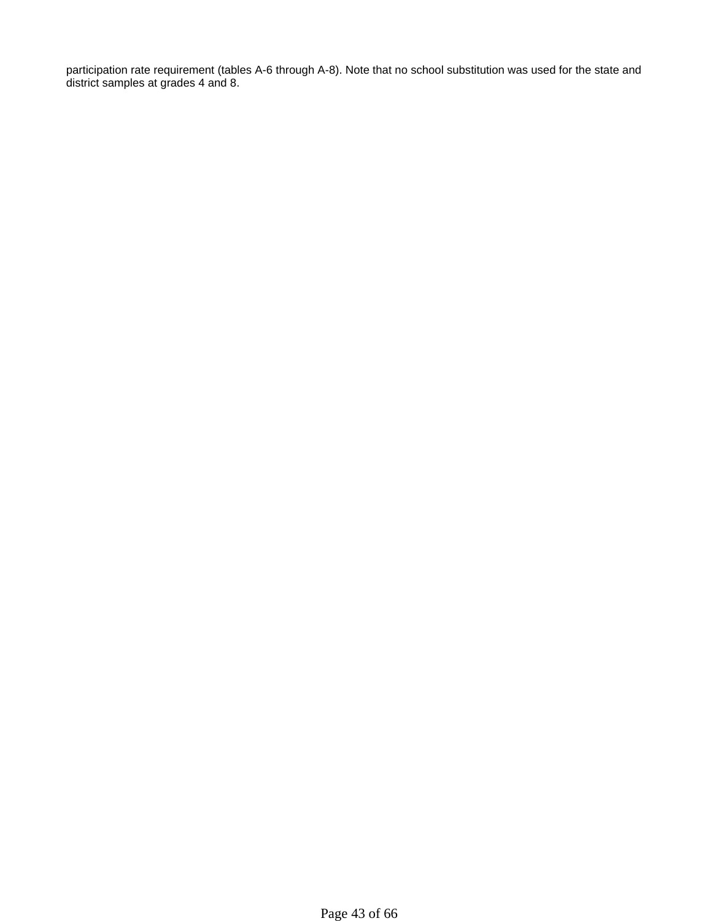participation rate requirement (tables A-6 through A-8). Note that no school substitution was used for the state and district samples at grades 4 and 8.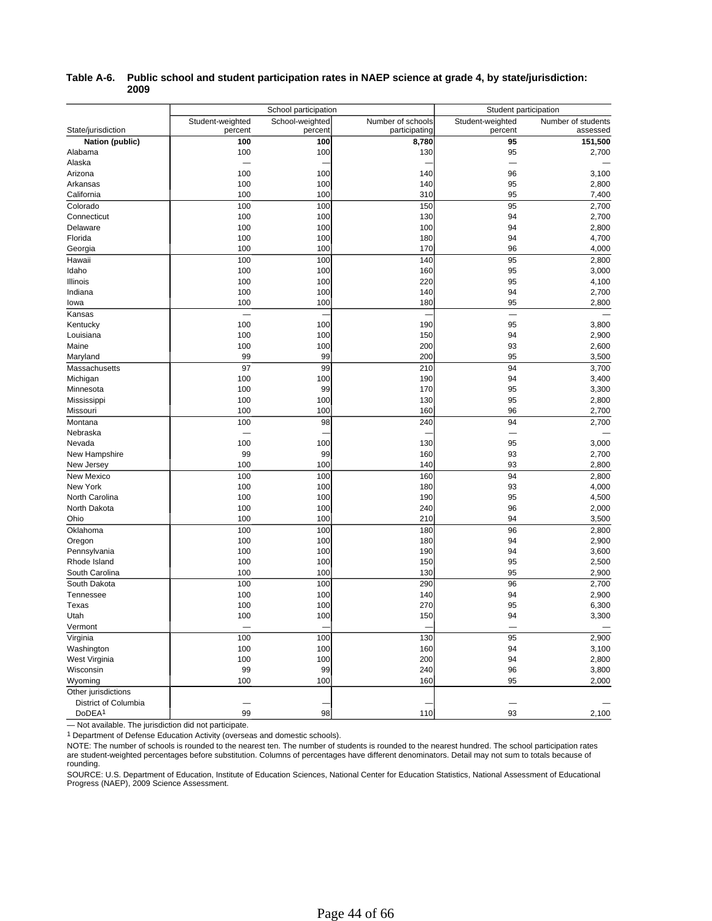|                      |                          | School participation | Student participation |                  |                          |
|----------------------|--------------------------|----------------------|-----------------------|------------------|--------------------------|
|                      | Student-weighted         | School-weighted      | Number of schools     | Student-weighted | Number of students       |
| State/jurisdiction   | percent                  | percent              | participating         | percent          | assessed                 |
| Nation (public)      | 100                      | 100                  | 8,780                 | 95               | 151,500                  |
| Alabama              | 100                      | 100                  | 130                   | 95               | 2,700                    |
| Alaska               | $\overline{\phantom{0}}$ |                      |                       | —                |                          |
| Arizona              | 100                      | 100                  | 140                   | 96               | 3,100                    |
| Arkansas             | 100                      | 100                  | 140                   | 95               | 2,800                    |
| California           | 100                      | 100                  | 310                   | 95               | 7,400                    |
| Colorado             | 100                      | 100                  | 150                   | 95               | 2,700                    |
| Connecticut          | 100                      | 100                  | 130                   | 94               | 2,700                    |
| Delaware             | 100                      | 100                  | 100                   | 94               | 2,800                    |
| Florida              | 100                      | 100                  | 180                   | 94               | 4,700                    |
| Georgia              | 100                      | 100                  | 170                   | 96               | 4,000                    |
| Hawaii               | 100                      | 100                  | 140                   | 95               | 2,800                    |
| Idaho                | 100                      | 100                  | 160                   | 95               | 3,000                    |
| Illinois             | 100                      | 100                  | 220                   | 95               | 4,100                    |
| Indiana              | 100                      | 100                  | 140                   | 94               | 2,700                    |
| lowa                 | 100                      | 100                  | 180                   | 95               | 2,800                    |
| Kansas               | $\overline{\phantom{a}}$ |                      |                       | ÷,               |                          |
| Kentucky             | 100                      | 100                  | 190                   | 95               | 3,800                    |
| Louisiana            | 100                      | 100                  | 150                   | 94               | 2,900                    |
| Maine                | 100                      | 100                  | 200                   | 93               | 2,600                    |
| Maryland             | 99                       | 99                   | 200                   | 95               | 3,500                    |
| Massachusetts        | 97                       | 99                   | 210                   | 94               | 3,700                    |
| Michigan             | 100                      | 100                  | 190                   | 94               | 3,400                    |
| Minnesota            | 100                      | 99                   | 170                   | 95               | 3,300                    |
| Mississippi          | 100                      | 100                  | 130                   | 95               | 2,800                    |
| Missouri             | 100                      | 100                  | 160                   | 96               | 2,700                    |
| Montana              | 100                      | 98                   | 240                   | 94               | 2,700                    |
| Nebraska             |                          |                      |                       |                  |                          |
| Nevada               | 100                      | 100                  | 130                   | 95               | 3,000                    |
| New Hampshire        | 99                       | 99                   | 160                   | 93               | 2,700                    |
| New Jersey           | 100                      | 100                  | 140                   | 93               | 2,800                    |
| New Mexico           | 100                      | 100                  | 160                   | 94               | 2,800                    |
| New York             | 100                      | 100                  | 180                   | 93               | 4,000                    |
| North Carolina       | 100                      | 100                  | 190                   | 95               | 4,500                    |
| North Dakota         | 100                      | 100                  | 240                   | 96               | 2,000                    |
| Ohio                 | 100                      | 100                  | 210                   | 94               | 3,500                    |
| Oklahoma             | 100                      | 100                  | 180                   | 96               | 2,800                    |
| Oregon               | 100                      | 100                  | 180                   | 94               | 2,900                    |
| Pennsylvania         | 100                      | 100                  | 190                   | 94               | 3,600                    |
| Rhode Island         | 100                      | 100                  | 150                   | 95               | 2,500                    |
| South Carolina       | 100                      | 100                  | 130                   | 95               | 2,900                    |
| South Dakota         | 100                      | 100                  | 290                   | 96               | 2,700                    |
| Tennessee            | 100                      | 100                  | 140                   | 94               | 2,900                    |
| Texas                | 100                      | 100                  | 270                   | 95               | 6,300                    |
| Utah                 | 100                      | 100                  | 150                   | 94               | 3,300                    |
| Vermont              |                          |                      |                       |                  | $\overline{\phantom{0}}$ |
| Virginia             | 100                      | 100                  | 130                   | 95               | 2,900                    |
| Washington           | 100                      | 100                  | 160                   | 94               | 3,100                    |
| West Virginia        | 100                      | 100                  | 200                   | 94               | 2,800                    |
| Wisconsin            | 99                       | 99                   | 240                   | 96               | 3,800                    |
| Wyoming              | 100                      | 100                  | 160                   | 95               | 2,000                    |
| Other jurisdictions  |                          |                      |                       |                  |                          |
| District of Columbia |                          |                      |                       |                  |                          |
| DoDEA <sup>1</sup>   | 99                       | 98                   | 110                   | 93               | 2,100                    |

#### **Table A-6. Public school and student participation rates in NAEP science at grade 4, by state/jurisdiction: 2009**

— Not available. The jurisdiction did not participate.

<sup>1</sup> Department of Defense Education Activity (overseas and domestic schools).

NOTE: The number of schools is rounded to the nearest ten. The number of students is rounded to the nearest hundred. The school participation rates are student-weighted percentages before substitution. Columns of percentages have different denominators. Detail may not sum to totals because of rounding.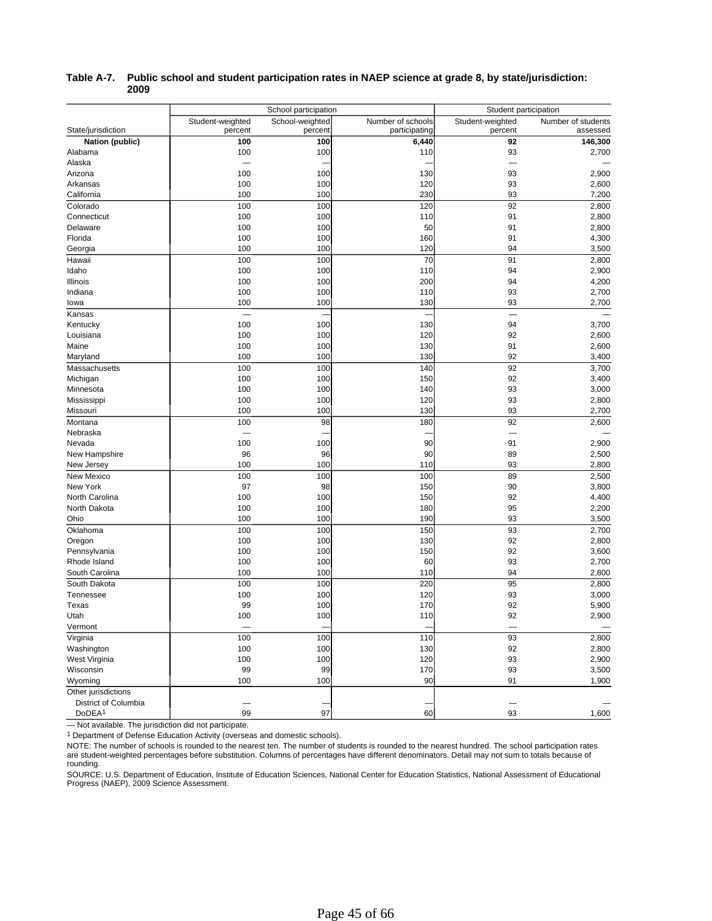|                      | School participation |                 |                   | Student participation    |                    |  |
|----------------------|----------------------|-----------------|-------------------|--------------------------|--------------------|--|
|                      | Student-weighted     | School-weighted | Number of schools | Student-weighted         | Number of students |  |
| State/jurisdiction   | percent              | percent         | participating     | percent                  | assessed           |  |
| Nation (public)      | 100                  | 100             | 6,440             | 92                       | 146,300            |  |
| Alabama              | 100                  | 100             | 110               | 93                       | 2,700              |  |
| Alaska               |                      |                 |                   | $\overline{\phantom{0}}$ |                    |  |
| Arizona              | 100                  | 100             | 130               | 93                       | 2,900              |  |
| Arkansas             | 100                  | 100             | 120               | 93                       | 2,600              |  |
| California           | 100                  | 100             | 230               | 93                       | 7,200              |  |
| Colorado             | 100                  | 100             | 120               | 92                       | 2,800              |  |
| Connecticut          | 100                  | 100             | 110               | 91                       | 2,800              |  |
| Delaware             | 100                  | 100             | 50                | 91                       | 2,800              |  |
| Florida              | 100                  | 100             | 160               | 91                       | 4,300              |  |
| Georgia              | 100                  | 100             | 120               | 94                       | 3,500              |  |
| Hawaii               | 100                  | 100             | 70                | 91                       | 2,800              |  |
| Idaho                | 100                  | 100             | 110               | 94                       | 2,900              |  |
| Illinois             | 100                  | 100             | 200               | 94                       | 4,200              |  |
| Indiana              | 100                  | 100             | 110               | 93                       | 2,700              |  |
| lowa                 | 100                  | 100             | 130               | 93                       | 2,700              |  |
| Kansas               |                      |                 |                   | $\overline{\phantom{0}}$ |                    |  |
| Kentucky             | 100                  | 100             | 130               | 94                       | 3,700              |  |
| Louisiana            | 100                  | 100             | 120               | 92                       | 2,600              |  |
| Maine                | 100                  | 100             | 130               | 91                       | 2,600              |  |
| Maryland             | 100                  | 100             | 130               | 92                       | 3,400              |  |
| Massachusetts        | 100                  | 100             | 140               | 92                       | 3,700              |  |
| Michigan             | 100                  | 100             | 150               | 92                       | 3,400              |  |
| Minnesota            | 100                  | 100             | 140               | 93                       | 3,000              |  |
| Mississippi          | 100                  | 100             | 120               | 93                       | 2,800              |  |
| Missouri             | 100                  | 100             | 130               | 93                       | 2,700              |  |
| Montana              | 100                  | 98              | 180               | 92                       | 2,600              |  |
| Nebraska             |                      |                 |                   |                          |                    |  |
| Nevada               | 100                  | 100             | 90                | 91                       | 2,900              |  |
| New Hampshire        | 96                   | 96              | 90                | 89                       | 2,500              |  |
| New Jersey           | 100                  | 100             | 110               | 93                       | 2,800              |  |
| New Mexico           | 100                  | 100             | 100               | 89                       | 2,500              |  |
| New York             | 97                   | 98              | 150               | 90                       | 3,800              |  |
| North Carolina       | 100                  | 100             | 150               | 92                       | 4,400              |  |
| North Dakota         | 100                  | 100             | 180               | 95                       | 2,200              |  |
| Ohio                 | 100                  | 100             | 190               | 93                       | 3,500              |  |
| Oklahoma             | 100                  | 100             | 150               | 93                       | 2,700              |  |
| Oregon               | 100                  | 100             | 130               | 92                       | 2,800              |  |
| Pennsylvania         | 100                  | 100             | 150               | 92                       | 3,600              |  |
| Rhode Island         | 100                  | 100             | 60                | 93                       | 2,700              |  |
| South Carolina       | 100                  | 100             | 110               | 94                       | 2,800              |  |
| South Dakota         | 100                  | 100             | 220               | 95                       | 2,800              |  |
| Tennessee            | 100                  | 100             | 120               | 93                       | 3,000              |  |
| Texas                | 99                   | 100             | 170               | 92                       | 5,900              |  |
| Utah                 | 100                  | 100             | 110               | 92                       | 2,900              |  |
| Vermont              |                      |                 |                   |                          |                    |  |
| Virginia             | 100                  | 100             | 110               | 93                       | 2,800              |  |
| Washington           | 100                  | 100             | 130               | 92                       | 2,800              |  |
| West Virginia        | 100                  | 100             | 120               | 93                       | 2,900              |  |
| Wisconsin            | 99                   | 99              | 170               | 93                       | 3,500              |  |
| Wyoming              | 100                  | 100             | 90                | 91                       | 1,900              |  |
| Other jurisdictions  |                      |                 |                   |                          |                    |  |
| District of Columbia |                      |                 |                   |                          |                    |  |
| DoDEA <sup>1</sup>   | 99                   | 97              | 60                | 93                       | 1,600              |  |
|                      |                      |                 |                   |                          |                    |  |

### **Table A-7. Public school and student participation rates in NAEP science at grade 8, by state/jurisdiction: 2009**

— Not available. The jurisdiction did not participate.

<sup>1</sup> Department of Defense Education Activity (overseas and domestic schools).

NOTE: The number of schools is rounded to the nearest ten. The number of students is rounded to the nearest hundred. The school participation rates are student-weighted percentages before substitution. Columns of percentages have different denominators. Detail may not sum to totals because of rounding.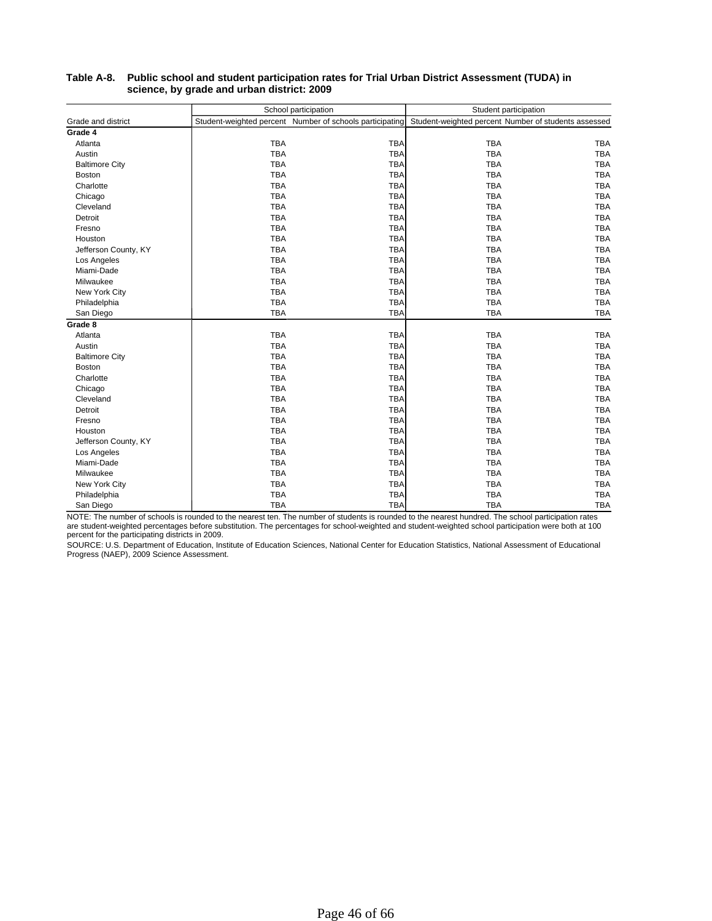|                       |            | School participation                                     | Student participation                                |            |  |
|-----------------------|------------|----------------------------------------------------------|------------------------------------------------------|------------|--|
| Grade and district    |            | Student-weighted percent Number of schools participating | Student-weighted percent Number of students assessed |            |  |
| Grade 4               |            |                                                          |                                                      |            |  |
| Atlanta               | <b>TBA</b> | <b>TBA</b>                                               | <b>TBA</b>                                           | <b>TBA</b> |  |
| Austin                | <b>TBA</b> | <b>TBA</b>                                               | <b>TBA</b>                                           | <b>TBA</b> |  |
| <b>Baltimore City</b> | <b>TBA</b> | <b>TBA</b>                                               | <b>TBA</b>                                           | <b>TBA</b> |  |
| <b>Boston</b>         | <b>TBA</b> | <b>TBA</b>                                               | <b>TBA</b>                                           | <b>TBA</b> |  |
| Charlotte             | <b>TBA</b> | <b>TBA</b>                                               | <b>TBA</b>                                           | <b>TBA</b> |  |
| Chicago               | <b>TBA</b> | <b>TBA</b>                                               | <b>TBA</b>                                           | <b>TBA</b> |  |
| Cleveland             | <b>TBA</b> | <b>TBA</b>                                               | <b>TBA</b>                                           | <b>TBA</b> |  |
| Detroit               | <b>TBA</b> | <b>TBA</b>                                               | <b>TBA</b>                                           | <b>TBA</b> |  |
| Fresno                | <b>TBA</b> | <b>TBA</b>                                               | <b>TBA</b>                                           | <b>TBA</b> |  |
| Houston               | <b>TBA</b> | <b>TBA</b>                                               | <b>TBA</b>                                           | <b>TBA</b> |  |
| Jefferson County, KY  | <b>TBA</b> | <b>TBA</b>                                               | <b>TBA</b>                                           | <b>TBA</b> |  |
| Los Angeles           | <b>TBA</b> | <b>TBA</b>                                               | <b>TBA</b>                                           | <b>TBA</b> |  |
| Miami-Dade            | <b>TBA</b> | <b>TBA</b>                                               | <b>TBA</b>                                           | <b>TBA</b> |  |
| Milwaukee             | <b>TBA</b> | <b>TBA</b>                                               | <b>TBA</b>                                           | <b>TBA</b> |  |
| New York City         | <b>TBA</b> | <b>TBA</b>                                               | <b>TBA</b>                                           | <b>TBA</b> |  |
| Philadelphia          | <b>TBA</b> | <b>TBA</b>                                               | <b>TBA</b>                                           | <b>TBA</b> |  |
| San Diego             | <b>TBA</b> | <b>TBA</b>                                               | <b>TBA</b>                                           | <b>TBA</b> |  |
| Grade 8               |            |                                                          |                                                      |            |  |
| Atlanta               | <b>TBA</b> | <b>TBA</b>                                               | <b>TBA</b>                                           | <b>TBA</b> |  |
| Austin                | <b>TBA</b> | <b>TBA</b>                                               | <b>TBA</b>                                           | <b>TBA</b> |  |
| <b>Baltimore City</b> | <b>TBA</b> | <b>TBA</b>                                               | <b>TBA</b>                                           | <b>TBA</b> |  |
| Boston                | <b>TBA</b> | <b>TBA</b>                                               | <b>TBA</b>                                           | <b>TBA</b> |  |
| Charlotte             | <b>TBA</b> | <b>TBA</b>                                               | <b>TBA</b>                                           | <b>TBA</b> |  |
| Chicago               | <b>TBA</b> | <b>TBA</b>                                               | <b>TBA</b>                                           | <b>TBA</b> |  |
| Cleveland             | <b>TBA</b> | <b>TBA</b>                                               | <b>TBA</b>                                           | <b>TBA</b> |  |
| Detroit               | <b>TBA</b> | <b>TBA</b>                                               | <b>TBA</b>                                           | <b>TBA</b> |  |
| Fresno                | <b>TBA</b> | <b>TBA</b>                                               | <b>TBA</b>                                           | <b>TBA</b> |  |
| Houston               | <b>TBA</b> | <b>TBA</b>                                               | <b>TBA</b>                                           | <b>TBA</b> |  |
| Jefferson County, KY  | <b>TBA</b> | <b>TBA</b>                                               | <b>TBA</b>                                           | <b>TBA</b> |  |
| Los Angeles           | <b>TBA</b> | <b>TBA</b>                                               | <b>TBA</b>                                           | <b>TBA</b> |  |
| Miami-Dade            | <b>TBA</b> | <b>TBA</b>                                               | <b>TBA</b>                                           | <b>TBA</b> |  |
| Milwaukee             | <b>TBA</b> | <b>TBA</b>                                               | <b>TBA</b>                                           | <b>TBA</b> |  |
| New York City         | <b>TBA</b> | <b>TBA</b>                                               | <b>TBA</b>                                           | <b>TBA</b> |  |
| Philadelphia          | <b>TBA</b> | <b>TBA</b>                                               | <b>TBA</b>                                           | <b>TBA</b> |  |
| San Diego             | <b>TBA</b> | <b>TBA</b>                                               | <b>TBA</b>                                           | <b>TBA</b> |  |

#### **Table A-8. Public school and student participation rates for Trial Urban District Assessment (TUDA) in science, by grade and urban district: 2009**

NOTE: The number of schools is rounded to the nearest ten. The number of students is rounded to the nearest hundred. The school participation rates<br>are student-weighted percentages before substitution. The percentages for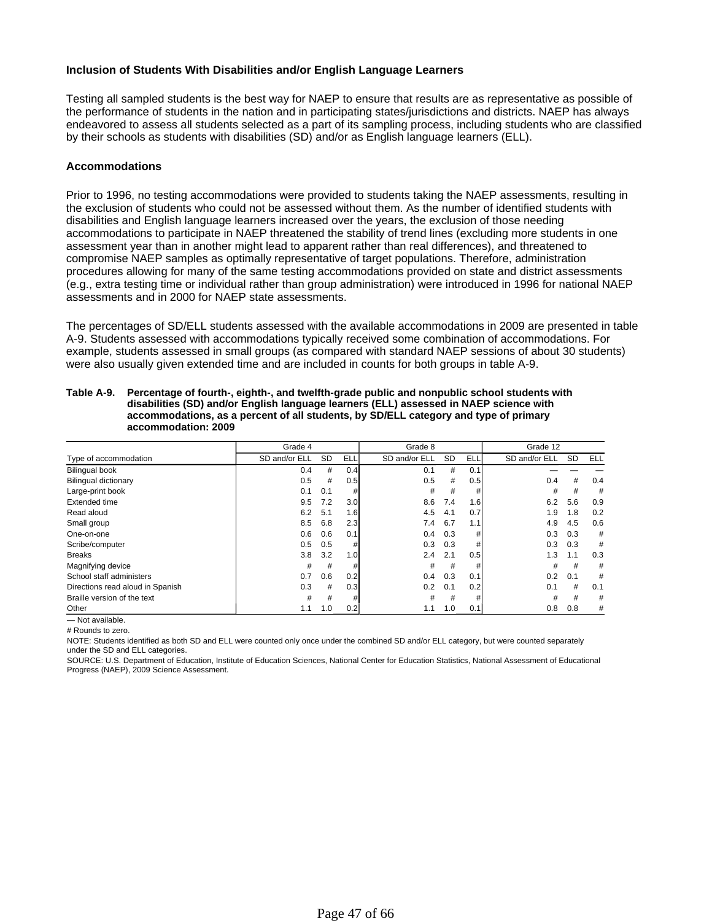### **Inclusion of Students With Disabilities and/or English Language Learners**

Testing all sampled students is the best way for NAEP to ensure that results are as representative as possible of the performance of students in the nation and in participating states/jurisdictions and districts. NAEP has always endeavored to assess all students selected as a part of its sampling process, including students who are classified by their schools as students with disabilities (SD) and/or as English language learners (ELL).

### **Accommodations**

Prior to 1996, no testing accommodations were provided to students taking the NAEP assessments, resulting in the exclusion of students who could not be assessed without them. As the number of identified students with disabilities and English language learners increased over the years, the exclusion of those needing accommodations to participate in NAEP threatened the stability of trend lines (excluding more students in one assessment year than in another might lead to apparent rather than real differences), and threatened to compromise NAEP samples as optimally representative of target populations. Therefore, administration procedures allowing for many of the same testing accommodations provided on state and district assessments (e.g., extra testing time or individual rather than group administration) were introduced in 1996 for national NAEP assessments and in 2000 for NAEP state assessments.

The percentages of SD/ELL students assessed with the available accommodations in 2009 are presented in table A-9. Students assessed with accommodations typically received some combination of accommodations. For example, students assessed in small groups (as compared with standard NAEP sessions of about 30 students) were also usually given extended time and are included in counts for both groups in table A-9.

|                                  | Grade 4       |     |            | Grade 8       |           |            | Grade 12      |           |     |  |
|----------------------------------|---------------|-----|------------|---------------|-----------|------------|---------------|-----------|-----|--|
| Type of accommodation            | SD and/or ELL | SD  | <b>ELL</b> | SD and/or ELL | <b>SD</b> | <b>ELL</b> | SD and/or ELL | <b>SD</b> | ELL |  |
| <b>Bilingual book</b>            | 0.4           | #   | 0.4        | 0.1           | #         | 0.1        |               |           |     |  |
| <b>Bilingual dictionary</b>      | 0.5           | #   | 0.5        | 0.5           | #         | 0.5        | 0.4           | #         | 0.4 |  |
| Large-print book                 | 0.1           | 0.1 | #          | #             | #         | #          | #             | #         | #   |  |
| Extended time                    | 9.5           | 7.2 | 3.0        | 8.6           | 7.4       | 1.6        | 6.2           | 5.6       | 0.9 |  |
| Read aloud                       | 6.2           | 5.1 | 1.6        | 4.5           | 4.1       | 0.7        | 1.9           | 1.8       | 0.2 |  |
| Small group                      | 8.5           | 6.8 | 2.3        | 7.4           | 6.7       | 1.1        | 4.9           | 4.5       | 0.6 |  |
| One-on-one                       | 0.6           | 0.6 | 0.1        | 0.4           | 0.3       | #          | 0.3           | 0.3       | #   |  |
| Scribe/computer                  | 0.5           | 0.5 | #          | 0.3           | 0.3       | #          | 0.3           | 0.3       | #   |  |
| <b>Breaks</b>                    | 3.8           | 3.2 | 1.0        | 2.4           | 2.1       | 0.5        | 1.3           | 1.1       | 0.3 |  |
| Magnifying device                | #             | #   | #          | #             | #         | #          | #             | #         | #   |  |
| School staff administers         | 0.7           | 0.6 | 0.2        | 0.4           | 0.3       | 0.1        | 0.2           | 0.1       | #   |  |
| Directions read aloud in Spanish | 0.3           | #   | 0.3        | 0.2           | 0.1       | 0.2        | 0.1           | #         | 0.1 |  |
| Braille version of the text      | #             | #   | #          | #             | #         | #          | #             | #         | #   |  |
| Other                            | 1.1           | 1.0 | 0.2        | 1.1           | 1.0       | 0.1        | 0.8           | 0.8       | #   |  |
| - Not available.                 |               |     |            |               |           |            |               |           |     |  |

#### **Table A-9. Percentage of fourth-, eighth-, and twelfth-grade public and nonpublic school students with disabilities (SD) and/or English language learners (ELL) assessed in NAEP science with accommodations, as a percent of all students, by SD/ELL category and type of primary accommodation: 2009**

# Rounds to zero.

NOTE: Students identified as both SD and ELL were counted only once under the combined SD and/or ELL category, but were counted separately under the SD and ELL categories.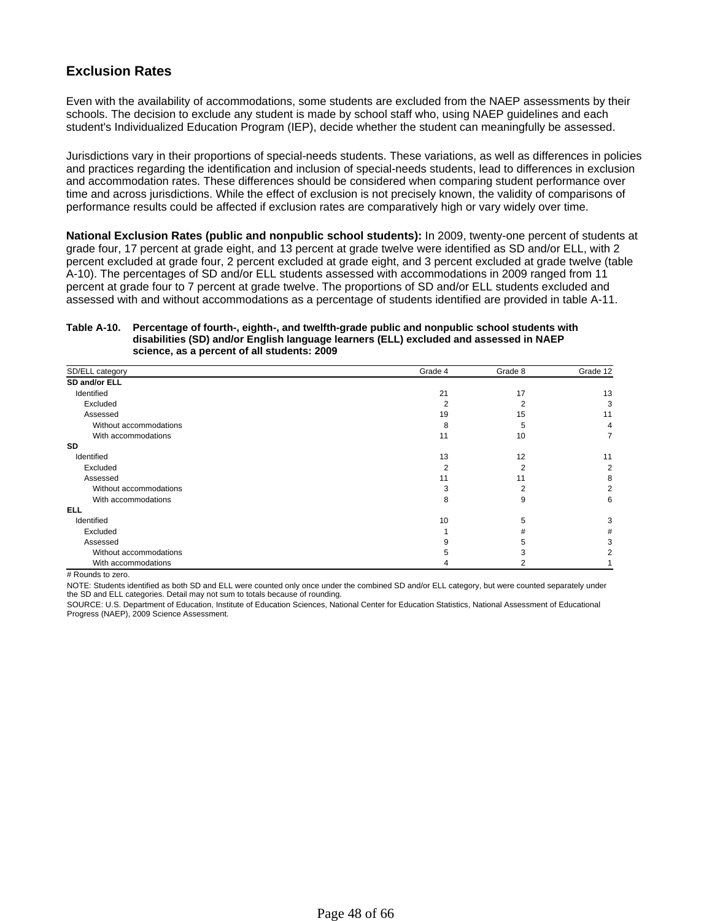# **Exclusion Rates**

Even with the availability of accommodations, some students are excluded from the NAEP assessments by their schools. The decision to exclude any student is made by school staff who, using NAEP guidelines and each student's Individualized Education Program (IEP), decide whether the student can meaningfully be assessed.

Jurisdictions vary in their proportions of special-needs students. These variations, as well as differences in policies and practices regarding the identification and inclusion of special-needs students, lead to differences in exclusion and accommodation rates. These differences should be considered when comparing student performance over time and across jurisdictions. While the effect of exclusion is not precisely known, the validity of comparisons of performance results could be affected if exclusion rates are comparatively high or vary widely over time.

**National Exclusion Rates (public and nonpublic school students):** In 2009, twenty-one percent of students at grade four, 17 percent at grade eight, and 13 percent at grade twelve were identified as SD and/or ELL, with 2 percent excluded at grade four, 2 percent excluded at grade eight, and 3 percent excluded at grade twelve (table A-10). The percentages of SD and/or ELL students assessed with accommodations in 2009 ranged from 11 percent at grade four to 7 percent at grade twelve. The proportions of SD and/or ELL students excluded and assessed with and without accommodations as a percentage of students identified are provided in table A-11.

#### **Table A-10. Percentage of fourth-, eighth-, and twelfth-grade public and nonpublic school students with disabilities (SD) and/or English language learners (ELL) excluded and assessed in NAEP science, as a percent of all students: 2009**

| SD/ELL category        | Grade 4 | Grade 8 | Grade 12 |
|------------------------|---------|---------|----------|
| SD and/or ELL          |         |         |          |
| Identified             | 21      | 17      | 13       |
| Excluded               |         |         | 3        |
| Assessed               | 19      | 15      | 11       |
| Without accommodations | 8       | 5       | 4        |
| With accommodations    | 11      | 10      |          |
| SD                     |         |         |          |
| Identified             | 13      | 12      | 11       |
| Excluded               |         | 2       | 2        |
| Assessed               |         | 11      | 8        |
| Without accommodations |         |         |          |
| With accommodations    | 8       | 9       | 6        |
| <b>ELL</b>             |         |         |          |
| Identified             | 10      | 5       | 3        |
| Excluded               |         | #       | #        |
| Assessed               |         |         | 3        |
| Without accommodations |         |         |          |
| With accommodations    |         |         |          |

# Rounds to zero.

NOTE: Students identified as both SD and ELL were counted only once under the combined SD and/or ELL category, but were counted separately under the SD and ELL categories. Detail may not sum to totals because of rounding.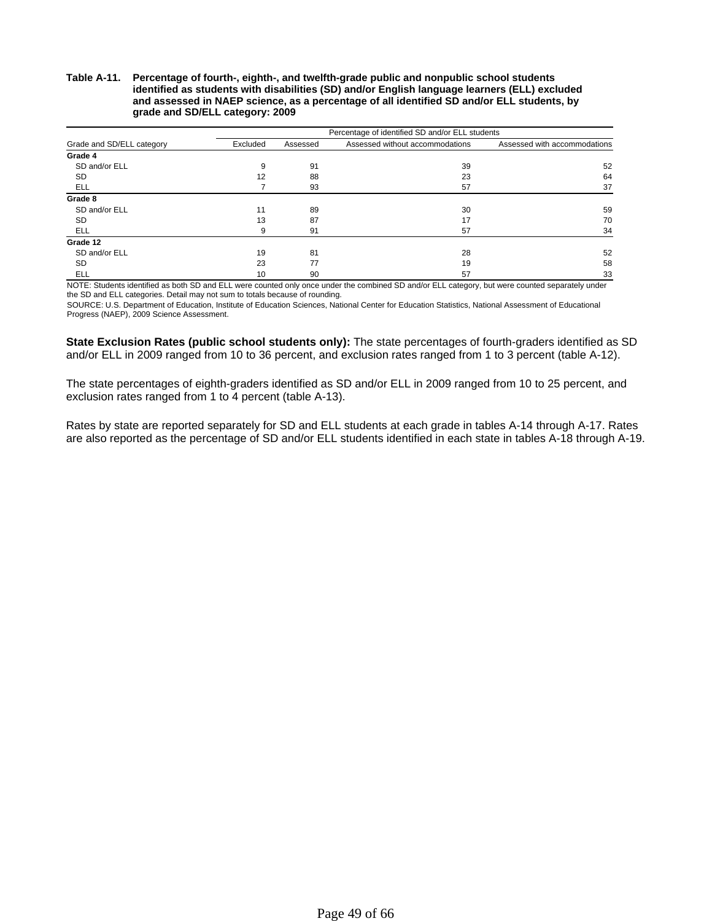**Table A-11. Percentage of fourth-, eighth-, and twelfth-grade public and nonpublic school students identified as students with disabilities (SD) and/or English language learners (ELL) excluded and assessed in NAEP science, as a percentage of all identified SD and/or ELL students, by grade and SD/ELL category: 2009**

|                           | Percentage of identified SD and/or ELL students |          |                                 |                              |  |  |  |  |
|---------------------------|-------------------------------------------------|----------|---------------------------------|------------------------------|--|--|--|--|
| Grade and SD/ELL category | Excluded                                        | Assessed | Assessed without accommodations | Assessed with accommodations |  |  |  |  |
| Grade 4                   |                                                 |          |                                 |                              |  |  |  |  |
| SD and/or ELL             | 9                                               | 91       | 39                              | 52                           |  |  |  |  |
| <b>SD</b>                 | 12                                              | 88       | 23                              | 64                           |  |  |  |  |
| ELL                       |                                                 | 93       | 57                              | 37                           |  |  |  |  |
| Grade 8                   |                                                 |          |                                 |                              |  |  |  |  |
| SD and/or ELL             | 11                                              | 89       | 30                              | 59                           |  |  |  |  |
| SD                        | 13                                              | 87       | 17                              | 70                           |  |  |  |  |
| ELL                       | 9                                               | 91       | 57                              | 34                           |  |  |  |  |
| Grade 12                  |                                                 |          |                                 |                              |  |  |  |  |
| SD and/or ELL             | 19                                              | 81       | 28                              | 52                           |  |  |  |  |
| <b>SD</b>                 | 23                                              | 77       | 19                              | 58                           |  |  |  |  |
| ELL                       | 10                                              | 90       | 57                              | 33                           |  |  |  |  |

NOTE: Students identified as both SD and ELL were counted only once under the combined SD and/or ELL category, but were counted separately under the SD and ELL categories. Detail may not sum to totals because of rounding.

SOURCE: U.S. Department of Education, Institute of Education Sciences, National Center for Education Statistics, National Assessment of Educational Progress (NAEP), 2009 Science Assessment.

**State Exclusion Rates (public school students only):** The state percentages of fourth-graders identified as SD and/or ELL in 2009 ranged from 10 to 36 percent, and exclusion rates ranged from 1 to 3 percent (table A-12).

The state percentages of eighth-graders identified as SD and/or ELL in 2009 ranged from 10 to 25 percent, and exclusion rates ranged from 1 to 4 percent (table A-13).

Rates by state are reported separately for SD and ELL students at each grade in tables A-14 through A-17. Rates are also reported as the percentage of SD and/or ELL students identified in each state in tables A-18 through A-19.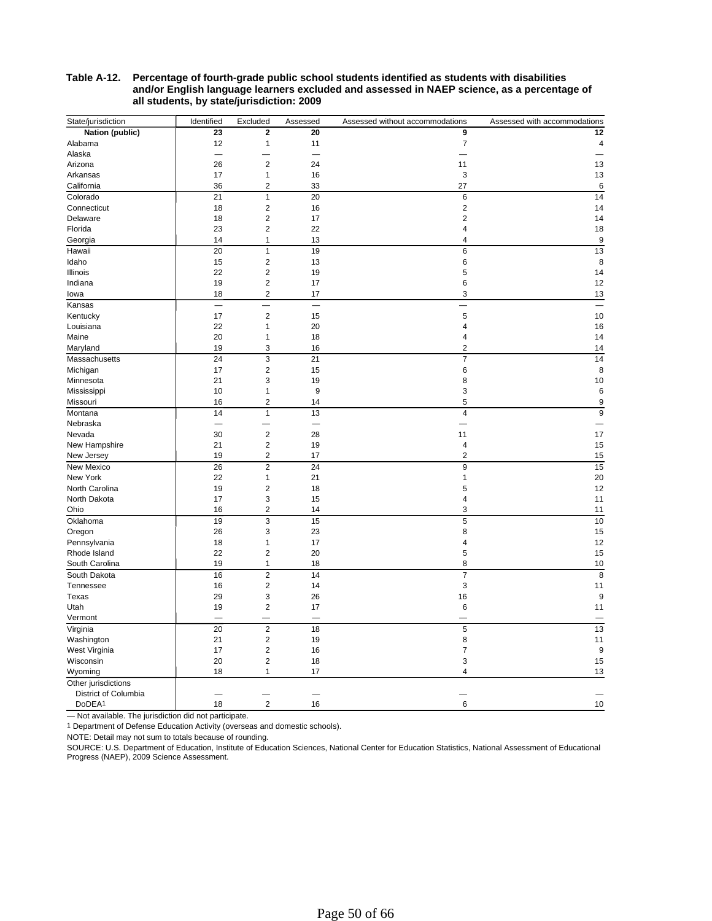#### **Table A-12. Percentage of fourth-grade public school students identified as students with disabilities and/or English language learners excluded and assessed in NAEP science, as a percentage of all students, by state/jurisdiction: 2009**

| State/jurisdiction   | Identified | Excluded                | Assessed | Assessed without accommodations | Assessed with accommodations |
|----------------------|------------|-------------------------|----------|---------------------------------|------------------------------|
| Nation (public)      | 23         | $\overline{2}$          | 20       | 9                               | 12                           |
| Alabama              | 12         | 1                       | 11       | $\boldsymbol{7}$                | 4                            |
| Alaska               |            |                         |          |                                 |                              |
| Arizona              | 26         | $\overline{2}$          | 24       | 11                              | 13                           |
| Arkansas             | 17         | 1                       | 16       | 3                               | 13                           |
| California           | 36         | $\overline{c}$          | 33       | 27                              | 6                            |
| Colorado             | 21         | 1                       | 20       | 6                               | 14                           |
| Connecticut          | 18         | $\overline{\mathbf{c}}$ | 16       | $\overline{\mathbf{c}}$         | 14                           |
| Delaware             | 18         | $\overline{2}$          | 17       | $\overline{2}$                  | 14                           |
| Florida              | 23         | $\overline{c}$          | 22       | 4                               | 18                           |
| Georgia              | 14         | 1                       | 13       | 4                               | 9                            |
| Hawaii               | 20         | $\mathbf{1}$            | 19       | 6                               | 13                           |
| Idaho                | 15         | $\overline{\mathbf{c}}$ | 13       | 6                               | 8                            |
| Illinois             | 22         | $\overline{\mathbf{c}}$ | 19       | 5                               | 14                           |
| Indiana              | 19         | 2                       | 17       | 6                               | 12                           |
| lowa                 | 18         | 2                       | 17       | 3                               | 13                           |
| Kansas               |            | ÷.                      |          |                                 |                              |
| Kentucky             | 17         | $\overline{2}$          | 15       | 5                               | 10                           |
| Louisiana            | 22         | 1                       | 20       | 4                               | 16                           |
| Maine                | 20         | 1                       | 18       | 4                               | 14                           |
| Maryland             | 19         | 3                       | 16       | 2                               | 14                           |
| Massachusetts        | 24         | 3                       | 21       | $\overline{7}$                  | 14                           |
| Michigan             | 17         | $\overline{\mathbf{c}}$ | 15       | 6                               | 8                            |
| Minnesota            | 21         | 3                       | 19       | 8                               | 10                           |
| Mississippi          | 10         | 1                       | 9        | 3                               | 6                            |
| Missouri             | 16         | $\overline{\mathbf{c}}$ | 14       | 5                               | 9                            |
| Montana              | 14         | 1                       | 13       | 4                               | 9                            |
| Nebraska             |            |                         |          |                                 |                              |
| Nevada               | 30         | $\overline{c}$          | 28       | 11                              | 17                           |
| New Hampshire        | 21         | $\overline{\mathbf{c}}$ | 19       | 4                               | 15                           |
| New Jersey           | 19         | $\overline{c}$          | 17       | $\overline{2}$                  | 15                           |
| New Mexico           | 26         | $\overline{2}$          | 24       | 9                               | 15                           |
| New York             | 22         | 1                       | 21       | 1                               | 20                           |
| North Carolina       | 19         | 2                       |          | 5                               | 12                           |
| North Dakota         | 17         | 3                       | 18<br>15 | 4                               | 11                           |
| Ohio                 | 16         | 2                       | 14       | 3                               | 11                           |
|                      | 19         | 3                       | 15       | 5                               | 10                           |
| Oklahoma             |            | 3                       |          |                                 |                              |
| Oregon               | 26         |                         | 23       | 8                               | 15                           |
| Pennsylvania         | 18         | 1<br>$\overline{c}$     | 17       | 4                               | 12                           |
| Rhode Island         | 22         |                         | 20       | 5                               | 15                           |
| South Carolina       | 19         | 1                       | 18       | 8                               | 10                           |
| South Dakota         | 16         | $\overline{c}$          | 14       | $\overline{7}$                  | 8                            |
| Tennessee            | 16         | $\overline{c}$          | 14       | 3                               | 11                           |
| Texas                | 29         | 3                       | 26       | 16                              | 9                            |
| Utah                 | 19         | $\overline{c}$          | 17       | 6                               | 11                           |
| Vermont              |            |                         |          |                                 |                              |
| Virginia             | 20         | $\overline{2}$          | 18       | $\sqrt{5}$                      | 13                           |
| Washington           | 21         | 2                       | 19       | 8                               | 11                           |
| West Virginia        | 17         | $\overline{c}$          | 16       | 7                               | 9                            |
| Wisconsin            | 20         | $\overline{\mathbf{c}}$ | 18       | 3                               | 15                           |
| Wyoming              | 18         | 1                       | 17       | 4                               | 13                           |
| Other jurisdictions  |            |                         |          |                                 |                              |
| District of Columbia |            |                         |          |                                 |                              |
| DoDEA <sup>1</sup>   | 18         | $\overline{c}$          | 16       | 6                               | 10                           |

— Not available. The jurisdiction did not participate.

<sup>1</sup> Department of Defense Education Activity (overseas and domestic schools).

NOTE: Detail may not sum to totals because of rounding.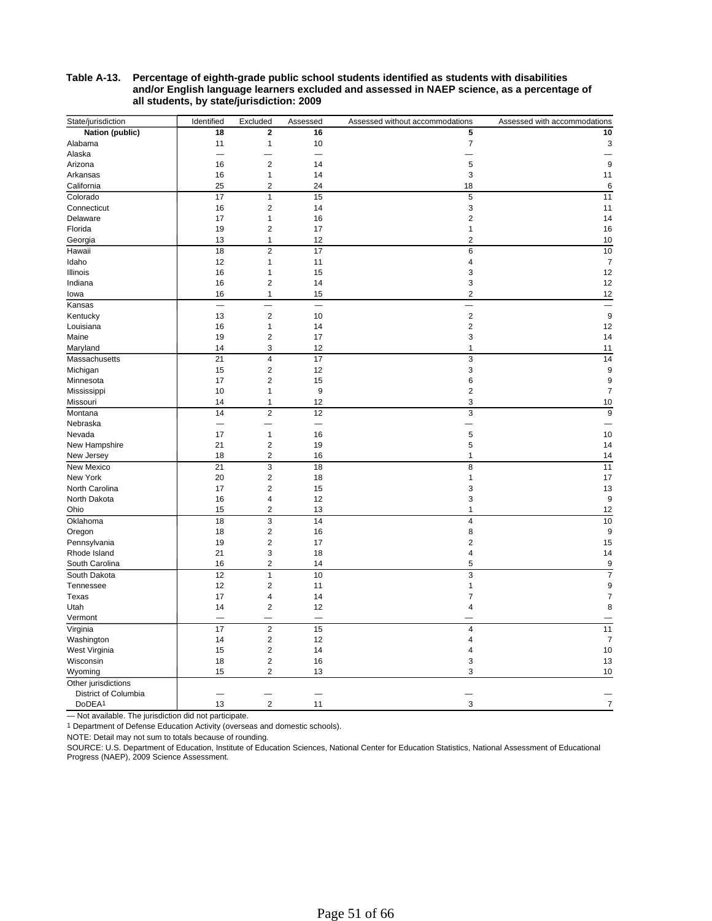#### **Table A-13. Percentage of eighth-grade public school students identified as students with disabilities and/or English language learners excluded and assessed in NAEP science, as a percentage of all students, by state/jurisdiction: 2009**

| State/jurisdiction             | Identified | Excluded                | Assessed                 | Assessed without accommodations | Assessed with accommodations |
|--------------------------------|------------|-------------------------|--------------------------|---------------------------------|------------------------------|
| Nation (public)                | 18         | 2                       | 16                       | 5                               | 10                           |
| Alabama                        | 11         | $\mathbf{1}$            | 10                       | $\overline{7}$                  | 3                            |
| Alaska                         |            |                         |                          |                                 |                              |
| Arizona                        | 16         | $\mathbf 2$             | 14                       | 5                               | 9                            |
| Arkansas                       | 16         | $\mathbf{1}$            | 14                       | 3                               | 11                           |
| California                     | 25         | $\overline{2}$          | 24                       | 18                              | 6                            |
| Colorado                       | 17         | 1                       | 15                       | 5                               | 11                           |
| Connecticut                    | 16         | $\overline{2}$          | 14                       | 3                               | 11                           |
| Delaware                       | 17         | $\mathbf{1}$            | 16                       | $\overline{2}$                  | 14                           |
| Florida                        | 19         | $\overline{2}$          | 17                       | $\mathbf{1}$                    | 16                           |
| Georgia                        | 13         | $\mathbf{1}$            | 12                       | $\overline{2}$                  | 10                           |
| Hawaii                         | 18         | $\overline{2}$          | 17                       | 6                               | 10                           |
| Idaho                          | 12         | 1                       | 11                       | $\overline{4}$                  | 7                            |
| Illinois                       | 16         | 1                       | 15                       | 3                               | 12                           |
| Indiana                        | 16         | $\overline{2}$          | 14                       | 3                               | 12                           |
| lowa                           | 16         | $\mathbf{1}$            | 15                       | $\overline{2}$                  | 12                           |
| Kansas                         |            |                         |                          |                                 |                              |
| Kentucky                       | 13         | $\mathbf 2$             | 10                       | $\overline{2}$                  | 9                            |
| Louisiana                      | 16         | $\mathbf{1}$            | 14                       | $\mathbf 2$                     | 12                           |
| Maine                          | 19         | $\overline{2}$          | 17                       | 3                               | 14                           |
| Maryland                       | 14         | 3                       | 12                       | $\mathbf{1}$                    | 11                           |
| Massachusetts                  | 21         | $\overline{\mathbf{4}}$ | 17                       | 3                               | 14                           |
| Michigan                       | 15         | $\mathbf 2$             | 12                       | 3                               | 9                            |
| Minnesota                      | 17         | $\overline{2}$          | 15                       | 6                               | 9                            |
| Mississippi                    | 10         | $\mathbf{1}$            | $\boldsymbol{9}$         | $\mathbf 2$                     | $\overline{7}$               |
| Missouri                       | 14         | $\mathbf{1}$            | 12                       | 3                               | 10                           |
| Montana                        | 14         | $\overline{2}$          | 12                       | $\overline{3}$                  | 9                            |
| Nebraska                       |            |                         | ÷.                       |                                 |                              |
| Nevada                         | 17         | $\mathbf{1}$            | 16                       | 5                               | 10                           |
| New Hampshire                  | 21         | $\overline{\mathbf{c}}$ | 19                       | 5                               | 14                           |
| New Jersey                     | 18         | $\overline{\mathbf{c}}$ | 16                       | $\mathbf{1}$                    | 14                           |
| New Mexico                     | 21         | 3                       | 18                       | 8                               | 11                           |
| New York                       | 20         | $\overline{\mathbf{c}}$ | 18                       | $\mathbf{1}$                    | 17                           |
| North Carolina                 | 17         | $\overline{2}$          | 15                       | 3                               | 13                           |
| North Dakota                   | 16         | 4                       | 12                       | 3                               | 9                            |
| Ohio                           | 15         | 2                       | 13                       | $\mathbf{1}$                    | 12                           |
|                                |            |                         |                          | $\overline{4}$                  |                              |
| Oklahoma                       | 18         | 3<br>$\overline{2}$     | 14                       |                                 | 10                           |
| Oregon                         | 18<br>19   | $\overline{2}$          | 16<br>17                 | 8<br>$\overline{2}$             | 9                            |
| Pennsylvania                   | 21         |                         |                          | $\overline{4}$                  | 15                           |
| Rhode Island<br>South Carolina | 16         | 3<br>$\overline{c}$     | 18<br>14                 | 5                               | 14                           |
|                                |            |                         |                          |                                 | 9                            |
| South Dakota                   | 12         | $\mathbf{1}$            | 10                       | 3                               | $\overline{7}$               |
| Tennessee                      | 12         | $\overline{2}$          | 11                       | $\mathbf{1}$                    | 9                            |
| Texas                          | 17         | 4                       | 14                       | $\overline{7}$                  | $\overline{7}$               |
| Utah                           | 14         | $\mathbf 2$             | 12                       | $\overline{4}$                  | 8                            |
| Vermont                        |            |                         | $\overline{\phantom{0}}$ |                                 |                              |
| Virginia                       | 17         | $\overline{2}$          | 15                       | $\overline{4}$                  | 11                           |
| Washington                     | 14         | $\overline{2}$          | 12                       | $\overline{4}$                  | $\overline{7}$               |
| West Virginia                  | 15         | $\overline{\mathbf{c}}$ | 14                       | $\overline{4}$                  | 10                           |
| Wisconsin                      | 18         | $\mathbf 2$             | 16                       | 3                               | 13                           |
| Wyoming                        | 15         | $\overline{2}$          | 13                       | 3                               | 10                           |
| Other jurisdictions            |            |                         |                          |                                 |                              |
| District of Columbia           |            |                         |                          |                                 |                              |
| DoDEA <sup>1</sup>             | 13         | $\mathbf 2$             | 11                       | 3                               | $\overline{7}$               |

— Not available. The jurisdiction did not participate.

<sup>1</sup> Department of Defense Education Activity (overseas and domestic schools).

NOTE: Detail may not sum to totals because of rounding.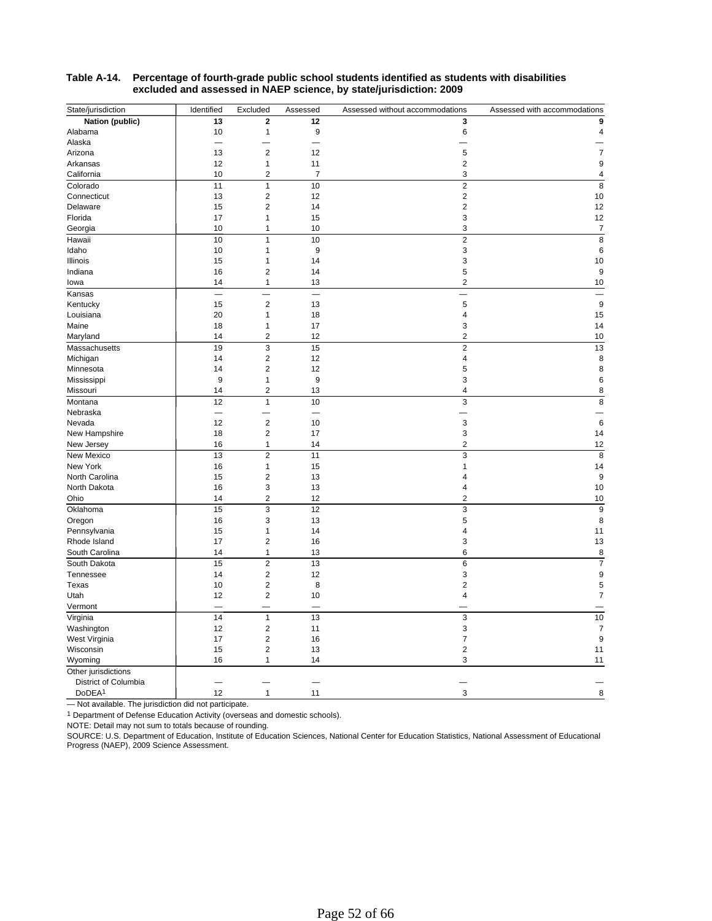| State/jurisdiction                         | Identified | Excluded                | Assessed                 | Assessed without accommodations | Assessed with accommodations |
|--------------------------------------------|------------|-------------------------|--------------------------|---------------------------------|------------------------------|
| Nation (public)                            | 13         | $\mathbf 2$             | 12                       | 3                               | 9                            |
| Alabama                                    | 10         | 1                       | 9                        | 6                               | 4                            |
| Alaska                                     |            |                         |                          |                                 |                              |
| Arizona                                    | 13         | $\overline{2}$          | 12                       | 5                               | $\overline{7}$               |
| Arkansas                                   | 12         | 1                       | 11                       | $\overline{2}$                  | 9                            |
| California                                 | 10         | $\overline{2}$          | $\overline{7}$           | 3                               | 4                            |
| Colorado                                   | 11         | 1                       | 10                       | $\overline{2}$                  | 8                            |
| Connecticut                                | 13         | 2                       | 12                       | 2                               | 10                           |
| Delaware                                   | 15         | $\overline{\mathbf{c}}$ | 14                       | $\overline{\mathbf{c}}$         | 12                           |
| Florida                                    | 17         | 1                       | 15                       | 3                               | 12                           |
| Georgia                                    | 10         | 1                       | 10                       | 3                               | $\overline{7}$               |
| Hawaii                                     | 10         | 1                       | 10                       | $\overline{2}$                  | 8                            |
| Idaho                                      | 10         | 1                       | 9                        | 3                               | 6                            |
| Illinois                                   | 15         | 1                       | 14                       | 3                               | 10                           |
| Indiana                                    | 16         | $\overline{2}$          | 14                       | 5                               | 9                            |
| lowa                                       | 14         | 1                       | 13                       | $\overline{2}$                  | 10                           |
| Kansas                                     |            |                         |                          |                                 |                              |
| Kentucky                                   | 15         | $\overline{c}$          | 13                       | 5                               | 9                            |
| Louisiana                                  | 20         | 1                       | 18                       | 4                               | 15                           |
| Maine                                      | 18         | 1                       | 17                       | 3                               | 14                           |
| Maryland                                   | 14         | $\overline{\mathbf{c}}$ | 12                       | $\overline{2}$                  | 10                           |
| Massachusetts                              | 19         | 3                       | 15                       | $\overline{2}$                  | 13                           |
| Michigan                                   | 14         | $\overline{c}$          | 12                       | 4                               | 8                            |
| Minnesota                                  | 14         | $\overline{2}$          | 12                       | 5                               | 8                            |
| Mississippi                                | $9\,$      | 1                       | 9                        | 3                               | 6                            |
| Missouri                                   | 14         | $\overline{\mathbf{c}}$ | 13                       | 4                               | 8                            |
| Montana                                    | 12         | $\mathbf{1}$            | 10                       | 3                               | 8                            |
| Nebraska                                   |            |                         | $\overline{\phantom{0}}$ |                                 |                              |
| Nevada                                     | 12         | $\overline{c}$          | 10                       | 3                               | 6                            |
| New Hampshire                              | 18         | $\overline{2}$          | 17                       | 3                               | 14                           |
| New Jersey                                 | 16         | 1                       | 14                       | 2                               | 12                           |
| New Mexico                                 | 13         | $\overline{2}$          | 11                       | 3                               | 8                            |
| New York                                   | 16         | 1                       | 15                       | 1                               | 14                           |
| North Carolina                             | 15         | $\overline{c}$          | 13                       | 4                               | 9                            |
| North Dakota                               | 16         | 3                       | 13                       | 4                               | 10                           |
| Ohio                                       | 14         | 2                       | 12                       | 2                               | 10                           |
| Oklahoma                                   | 15         | 3                       | 12                       | 3                               | 9                            |
| Oregon                                     | 16         | 3                       | 13                       | 5                               | 8                            |
| Pennsylvania                               | 15         | 1                       | 14                       | 4                               | 11                           |
| Rhode Island                               | 17         | $\overline{c}$          | 16                       | 3                               | 13                           |
| South Carolina                             | 14         | 1                       | 13                       | 6                               | 8                            |
| South Dakota                               | 15         | $\overline{2}$          | 13                       | 6                               | $\overline{7}$               |
| Tennessee                                  | 14         | 2                       | 12                       | 3                               | 9                            |
| Texas                                      | 10         | $\mathbf 2$             | 8                        | $\overline{\mathbf{c}}$         | 5                            |
| Utah                                       | 12         | $\overline{c}$          | 10                       | 4                               | $\overline{7}$               |
| Vermont                                    |            |                         |                          |                                 |                              |
| Virginia                                   | 14         | $\mathbf{1}$            | 13                       | 3                               | 10                           |
|                                            | 12         | $\mathbf 2$             | 11                       | 3                               | 7                            |
| Washington<br>West Virginia                | 17         | $\overline{c}$          | 16                       | 7                               | 9                            |
| Wisconsin                                  | 15         | $\overline{2}$          | 13                       | $\overline{2}$                  | 11                           |
| Wyoming                                    | 16         | 1                       | 14                       | 3                               | 11                           |
|                                            |            |                         |                          |                                 |                              |
| Other jurisdictions                        |            |                         | ۳                        |                                 |                              |
| District of Columbia<br>DoDEA <sup>1</sup> | 12         |                         |                          |                                 |                              |
|                                            |            | 1                       | 11                       | 3                               | 8                            |

#### **Table A-14. Percentage of fourth-grade public school students identified as students with disabilities excluded and assessed in NAEP science, by state/jurisdiction: 2009**

— Not available. The jurisdiction did not participate.

Department of Defense Education Activity (overseas and domestic schools). 1

NOTE: Detail may not sum to totals because of rounding.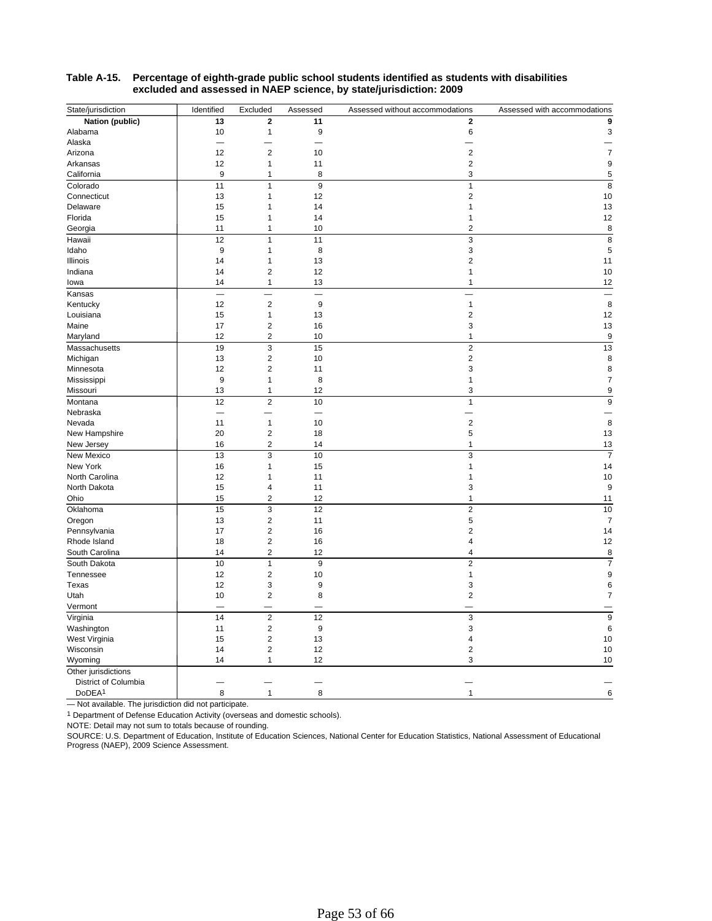| State/jurisdiction     | Identified               | Excluded                 | Assessed                 | Assessed without accommodations | Assessed with accommodations |
|------------------------|--------------------------|--------------------------|--------------------------|---------------------------------|------------------------------|
| Nation (public)        | 13                       | $\mathbf 2$              | 11                       | $\mathbf 2$                     | 9                            |
| Alabama                | 10                       | $\mathbf{1}$             | $\boldsymbol{9}$         | 6                               | 3                            |
| Alaska                 |                          |                          |                          |                                 |                              |
| Arizona                | 12                       | $\mathbf 2$              | $10$                     | $\overline{2}$                  | $\boldsymbol{7}$             |
| Arkansas               | 12                       | $\mathbf{1}$             | 11                       | $\overline{2}$                  | 9                            |
| California             | 9                        | 1                        | 8                        | 3                               | 5                            |
| Colorado               | 11                       | $\mathbf{1}$             | 9                        | $\mathbf{1}$                    | 8                            |
| Connecticut            | 13                       | 1                        | 12                       | $\overline{2}$                  | 10                           |
| Delaware               | 15                       | 1                        | 14                       | 1                               | 13                           |
| Florida                | 15                       | 1                        | 14                       | $\mathbf{1}$                    | 12                           |
| Georgia                | 11                       | 1                        | 10                       | $\overline{2}$                  | 8                            |
| Hawaii                 | 12                       | $\mathbf{1}$             | 11                       | 3                               | 8                            |
| Idaho                  | 9                        | 1                        | 8                        | 3                               | 5                            |
| Illinois               | 14                       | $\mathbf{1}$             | 13                       | $\overline{2}$                  | 11                           |
| Indiana                | 14                       | $\mathbf 2$              | 12                       | $\mathbf{1}$                    | 10                           |
| lowa                   | 14                       | 1                        | 13                       | 1                               | 12                           |
| Kansas                 | $\overline{\phantom{0}}$ | $\overline{\phantom{a}}$ | $\overline{\phantom{0}}$ |                                 | $\frac{1}{2}$                |
| Kentucky               | 12                       | $\overline{2}$           | 9                        | $\mathbf{1}$                    | 8                            |
| Louisiana              | 15                       | 1                        | 13                       | $\mathbf 2$                     | 12                           |
| Maine                  | 17                       | $\overline{\mathbf{c}}$  | 16                       | 3                               | 13                           |
| Maryland               | 12                       | $\overline{c}$           | 10                       | $\mathbf{1}$                    | 9                            |
| Massachusetts          | 19                       | 3                        | 15                       | $\overline{2}$                  | 13                           |
| Michigan               | 13                       | $\mathbf 2$              | 10                       | $\mathbf 2$                     | 8                            |
| Minnesota              | 12                       | $\overline{2}$           | 11                       | 3                               | 8                            |
| Mississippi            | 9                        | 1                        | 8                        | 1                               | $\overline{7}$               |
| Missouri               | 13                       | 1                        | 12                       | 3                               | 9                            |
| Montana                | 12                       | $\mathbf 2$              | 10                       | $\mathbf{1}$                    | 9                            |
| Nebraska               |                          |                          | $\overline{\phantom{0}}$ |                                 |                              |
| Nevada                 | 11                       | $\mathbf{1}$             | 10                       | $\overline{2}$                  | 8                            |
| New Hampshire          | 20                       | $\overline{\mathbf{c}}$  | 18                       | 5                               | 13                           |
| New Jersey             | 16                       | $\overline{2}$           | 14                       | $\mathbf{1}$                    | 13                           |
|                        | 13                       | 3                        | 10                       | 3                               | $\overline{7}$               |
| New Mexico<br>New York | 16                       | 1                        | 15                       | 1                               | 14                           |
| North Carolina         | 12                       | 1                        | 11                       | 1                               | 10                           |
| North Dakota           | 15                       | $\overline{4}$           | 11                       | 3                               | 9                            |
|                        |                          | $\mathbf 2$              | 12                       | 1                               |                              |
| Ohio                   | 15                       |                          |                          |                                 | 11                           |
| Oklahoma               | 15                       | 3                        | 12                       | $\overline{2}$                  | 10                           |
| Oregon                 | 13                       | $\mathbf 2$              | 11                       | 5                               | $\overline{7}$               |
| Pennsylvania           | 17                       | $\mathbf 2$              | 16                       | $\overline{2}$                  | 14                           |
| Rhode Island           | 18                       | $\overline{2}$           | 16                       | 4                               | 12                           |
| South Carolina         | 14                       | $\overline{\mathbf{c}}$  | 12                       | $\overline{4}$                  | 8                            |
| South Dakota           | 10                       | $\mathbf{1}$             | 9                        | $\overline{2}$                  | $\overline{7}$               |
| Tennessee              | 12                       | $\mathbf 2$              | 10                       | 1                               | 9                            |
| Texas                  | 12                       | 3                        | 9                        | 3                               | 6                            |
| Utah                   | 10                       | $\overline{2}$           | 8                        | $\overline{2}$                  | $\overline{7}$               |
| Vermont                |                          |                          |                          |                                 |                              |
| Virginia               | 14                       | $\overline{2}$           | 12                       | 3                               | 9                            |
| Washington             | 11                       | $\overline{\mathbf{c}}$  | 9                        | 3                               | 6                            |
| West Virginia          | 15                       | $\mathbf 2$              | 13                       | $\overline{\mathbf{4}}$         | 10                           |
| Wisconsin              | 14                       | $\overline{2}$           | 12                       | $\overline{2}$                  | 10                           |
| Wyoming                | 14                       | 1                        | 12                       | 3                               | 10                           |
| Other jurisdictions    |                          |                          |                          |                                 |                              |
| District of Columbia   |                          |                          |                          |                                 |                              |
| DoDEA <sup>1</sup>     | 8                        | $\mathbf{1}$             | 8                        | $\mathbf{1}$                    | 6                            |
|                        |                          |                          |                          |                                 |                              |

#### **Table A-15. Percentage of eighth-grade public school students identified as students with disabilities excluded and assessed in NAEP science, by state/jurisdiction: 2009**

— Not available. The jurisdiction did not participate.

Department of Defense Education Activity (overseas and domestic schools). 1

NOTE: Detail may not sum to totals because of rounding.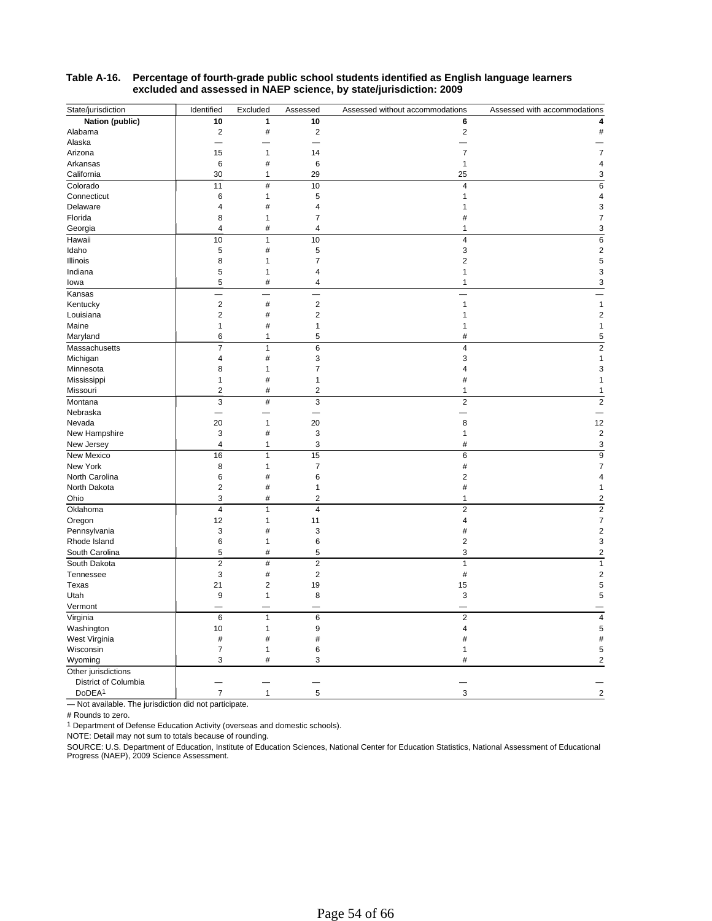| State/jurisdiction   | Identified     | Excluded                | Assessed                | Assessed without accommodations | Assessed with accommodations |
|----------------------|----------------|-------------------------|-------------------------|---------------------------------|------------------------------|
| Nation (public)      | 10             | 1                       | 10                      | 6                               | 4                            |
| Alabama              | $\overline{c}$ | $\#$                    | $\overline{2}$          | $\overline{\mathbf{c}}$         | #                            |
| Alaska               |                |                         |                         |                                 |                              |
| Arizona              | 15             | 1                       | 14                      | $\overline{7}$                  | $\overline{7}$               |
| Arkansas             | 6              | #                       | 6                       | $\mathbf{1}$                    | 4                            |
| California           | 30             | 1                       | 29                      | 25                              | 3                            |
| Colorado             | 11             | $\#$                    | $10$                    | $\overline{4}$                  | 6                            |
| Connecticut          | 6              | $\mathbf{1}$            | 5                       | 1                               | $\overline{4}$               |
| Delaware             | 4              | #                       | $\overline{\mathbf{4}}$ | 1                               | 3                            |
| Florida              | 8              | 1                       | $\overline{7}$          | #                               | 7                            |
| Georgia              | 4              | #                       | $\overline{4}$          | 1                               | 3                            |
| Hawaii               | 10             | 1                       | 10                      | 4                               | 6                            |
| Idaho                | 5              | $\#$                    | 5                       | 3                               | $\overline{c}$               |
| Illinois             | 8              | $\mathbf{1}$            | $\overline{7}$          | $\overline{2}$                  | 5                            |
| Indiana              | 5              | $\mathbf{1}$            | 4                       | $\mathbf{1}$                    | 3                            |
| lowa                 | 5              | $\#$                    | 4                       | 1                               | 3                            |
| Kansas               |                |                         |                         |                                 |                              |
| Kentucky             | $\overline{c}$ | $^{\rm \#}$             | $\overline{2}$          | $\mathbf{1}$                    | $\mathbf{1}$                 |
| Louisiana            | $\overline{c}$ | $\#$                    | $\overline{2}$          | 1                               | $\overline{2}$               |
| Maine                | $\mathbf{1}$   | #                       | $\mathbf{1}$            | 1                               | 1                            |
| Maryland             | 6              | $\mathbf{1}$            | 5                       | #                               | 5                            |
| Massachusetts        | $\overline{7}$ | $\mathbf{1}$            | 6                       | 4                               | $\overline{2}$               |
| Michigan             | 4              | $\#$                    | 3                       | 3                               | 1                            |
| Minnesota            | 8              | 1                       | $\overline{7}$          | 4                               | 3                            |
| Mississippi          | 1              | $\#$                    | 1                       | #                               | 1                            |
| Missouri             | $\overline{2}$ | #                       | $\overline{\mathbf{c}}$ | 1                               | 1                            |
| Montana              | 3              | $\#$                    | 3                       | $\overline{2}$                  | $\overline{2}$               |
| Nebraska             |                |                         |                         |                                 |                              |
|                      | 20             | 1                       | 20                      | 8                               | 12                           |
| Nevada               | 3              | $\#$                    | 3                       | 1                               | $\overline{2}$               |
| New Hampshire        | 4              | 1                       | 3                       | #                               | 3                            |
| New Jersey           |                |                         |                         |                                 |                              |
| New Mexico           | 16             | $\mathbf{1}$            | 15                      | 6                               | 9                            |
| New York             | 8<br>6         | 1<br>#                  | $\overline{7}$<br>6     | #                               | $\overline{7}$<br>4          |
| North Carolina       | $\overline{c}$ | #                       | $\mathbf{1}$            | $\overline{\mathbf{c}}$         |                              |
| North Dakota         | 3              | #                       | $\overline{2}$          | #<br>1                          | 1                            |
| Ohio                 |                |                         |                         |                                 | 2                            |
| Oklahoma             | $\overline{4}$ | $\mathbf{1}$            | $\overline{4}$          | $\overline{2}$                  | $\overline{c}$               |
| Oregon               | 12             | 1                       | 11                      | 4                               | $\overline{7}$               |
| Pennsylvania         | 3              | #                       | 3                       | #                               | $\overline{2}$               |
| Rhode Island         | 6              | 1                       | 6                       | $\overline{c}$                  | 3                            |
| South Carolina       | 5              | $\#$                    | 5                       | 3                               | $\overline{2}$               |
| South Dakota         | $\overline{2}$ | $\#$                    | $\overline{2}$          | $\mathbf{1}$                    | 1                            |
| Tennessee            | 3              | $\#$                    | $\overline{2}$          | $\#$                            | $\overline{c}$               |
| Texas                | 21             | $\overline{\mathbf{c}}$ | 19                      | 15                              | 5                            |
| Utah                 | 9              | 1                       | 8                       | 3                               | 5                            |
| Vermont              |                |                         |                         |                                 |                              |
| Virginia             | 6              | $\mathbf{1}$            | 6                       | $\overline{2}$                  | $\overline{4}$               |
| Washington           | 10             | 1                       | $\boldsymbol{9}$        | 4                               | 5                            |
| West Virginia        | $\#$           | $\#$                    | $\#$                    | #                               | #                            |
| Wisconsin            | $\overline{7}$ | 1                       | 6                       | 1                               | 5                            |
| Wyoming              | 3              | #                       | 3                       | #                               | $\overline{2}$               |
| Other jurisdictions  |                |                         |                         |                                 |                              |
| District of Columbia |                |                         |                         |                                 |                              |
| DoDEA <sup>1</sup>   | $\overline{7}$ | 1                       | 5                       | 3                               | $\overline{2}$               |
|                      |                |                         |                         |                                 |                              |

#### **Table A-16. Percentage of fourth-grade public school students identified as English language learners excluded and assessed in NAEP science, by state/jurisdiction: 2009**

— Not available. The jurisdiction did not participate.

# Rounds to zero.

<sup>1</sup> Department of Defense Education Activity (overseas and domestic schools).

NOTE: Detail may not sum to totals because of rounding.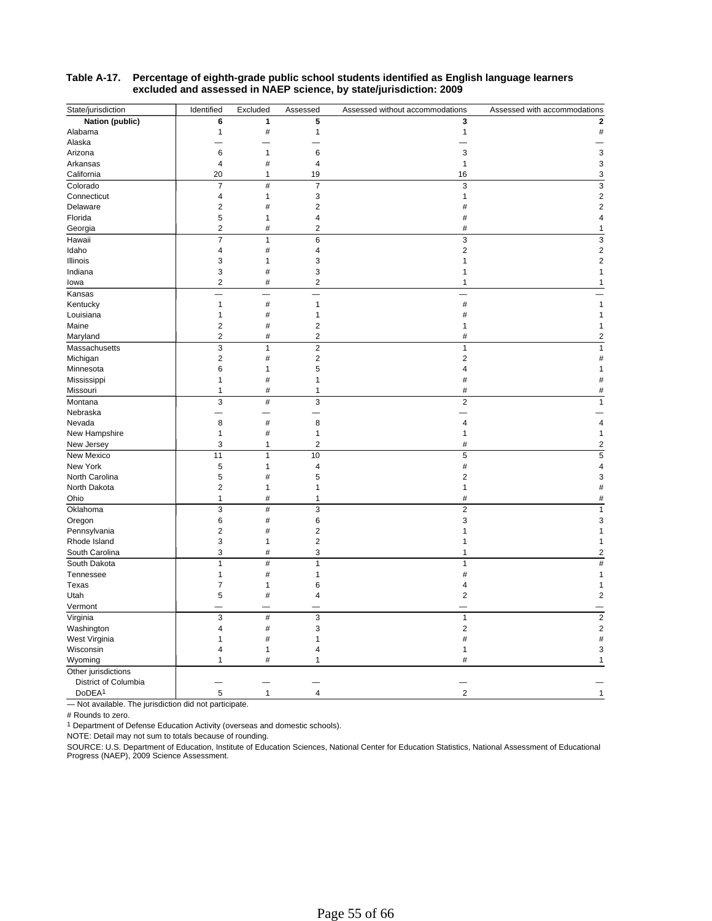| State/jurisdiction   | Identified              | Excluded     | Assessed                | Assessed without accommodations | Assessed with accommodations |
|----------------------|-------------------------|--------------|-------------------------|---------------------------------|------------------------------|
| Nation (public)      | 6                       | 1            | 5                       | 3                               | $\overline{2}$               |
| Alabama              | 1                       | #            | 1                       | 1                               | #                            |
| Alaska               |                         |              |                         |                                 |                              |
| Arizona              | 6                       | 1            | 6                       | 3                               | 3                            |
| Arkansas             | $\overline{4}$          | #            | $\overline{\mathbf{4}}$ | $\mathbf{1}$                    | 3                            |
| California           | 20                      | 1            | 19                      | 16                              | 3                            |
| Colorado             | $\overline{7}$          | $\#$         | $\overline{7}$          | 3                               | 3                            |
| Connecticut          | $\overline{4}$          | $\mathbf{1}$ | 3                       | 1                               | $\overline{2}$               |
| Delaware             | $\overline{\mathbf{c}}$ | #            | $\mathbf 2$             | #                               | $\overline{2}$               |
| Florida              | 5                       | $\mathbf{1}$ | $\overline{4}$          | #                               | 4                            |
| Georgia              | $\overline{2}$          | #            | $\overline{2}$          | #                               | 1                            |
| Hawaii               | 7                       | 1            | 6                       | 3                               | 3                            |
| Idaho                | $\overline{4}$          | #            | $\overline{4}$          | $\overline{c}$                  | $\overline{2}$               |
| Illinois             | 3                       | $\mathbf{1}$ | 3                       | 1                               | $\overline{2}$               |
| Indiana              | 3                       | #            | 3                       | 1                               |                              |
| lowa                 | $\overline{2}$          | $\#$         | $\overline{2}$          | 1                               | 1                            |
| Kansas               |                         |              |                         |                                 |                              |
| Kentucky             | $\mathbf{1}$            | #            | 1                       | $\#$                            |                              |
| Louisiana            | $\mathbf{1}$            | $\#$         | 1                       | #                               |                              |
| Maine                | $\overline{c}$          | #            | $\overline{2}$          | 1                               |                              |
| Maryland             | $\overline{2}$          | #            | $\overline{2}$          | #                               | 2                            |
| Massachusetts        | 3                       | $\mathbf{1}$ | $\overline{2}$          | $\mathbf{1}$                    |                              |
| Michigan             | $\overline{c}$          | $^{\rm \#}$  | $\overline{2}$          | $\overline{2}$                  |                              |
| Minnesota            | 6                       | 1            | 5                       | 4                               |                              |
| Mississippi          | 1                       | #            | 1                       | #                               | ħ                            |
| Missouri             | 1                       | #            | 1                       | #                               | #                            |
| Montana              | 3                       | $\#$         | 3                       | $\overline{2}$                  | $\mathbf{1}$                 |
| Nebraska             |                         |              |                         |                                 |                              |
| Nevada               | 8                       | $\#$         | 8                       | $\overline{4}$                  | 4                            |
| New Hampshire        | $\mathbf{1}$            | $\#$         | $\mathbf{1}$            | 1                               | 1                            |
| New Jersey           | 3                       | 1            | 2                       | #                               | $\overline{2}$               |
| New Mexico           | 11                      | 1            | 10                      | 5                               | 5                            |
| New York             | 5                       | 1            | $\overline{4}$          | #                               | 4                            |
| North Carolina       | 5                       | #            | 5                       | $\overline{\mathbf{c}}$         | 3                            |
| North Dakota         | $\overline{2}$          | 1            | 1                       | $\mathbf{1}$                    | #                            |
| Ohio                 | $\mathbf{1}$            | #            | 1                       | #                               | #                            |
| Oklahoma             | 3                       | $\#$         | 3                       | $\overline{2}$                  | 1                            |
| Oregon               | 6                       | $\#$         | 6                       | 3                               | 3                            |
| Pennsylvania         | $\overline{c}$          | #            | $\overline{2}$          | 1                               | 1                            |
| Rhode Island         | 3                       | 1            | $\overline{2}$          | 1                               | 1                            |
| South Carolina       | 3                       | $\#$         | 3                       | 1                               | $\overline{2}$               |
| South Dakota         | $\mathbf{1}$            | $\#$         | $\mathbf{1}$            | $\mathbf{1}$                    | #                            |
| Tennessee            | 1                       | $\#$         | 1                       | #                               | 1                            |
| Texas                | $\overline{7}$          | 1            | 6                       | 4                               |                              |
| Utah                 | 5                       | #            | 4                       | $\overline{\mathbf{c}}$         | 2                            |
| Vermont              |                         |              |                         |                                 |                              |
| Virginia             | 3                       | $\#$         | 3                       | $\mathbf{1}$                    | $\overline{2}$               |
| Washington           | 4                       | $\#$         | 3                       | 2                               | $\overline{c}$               |
| West Virginia        | 1                       | #            | 1                       | $\#$                            | #                            |
| Wisconsin            | 4                       | $\mathbf{1}$ | $\overline{4}$          | 1                               | 3                            |
| Wyoming              | 1                       | #            | 1                       | #                               | 1                            |
| Other jurisdictions  |                         |              |                         |                                 |                              |
| District of Columbia |                         |              |                         |                                 |                              |
| DoDEA <sup>1</sup>   | 5                       | $\mathbf{1}$ | $\overline{4}$          | $\overline{2}$                  | $\mathbf{1}$                 |
|                      |                         |              |                         |                                 |                              |

#### **Table A-17. Percentage of eighth-grade public school students identified as English language learners excluded and assessed in NAEP science, by state/jurisdiction: 2009**

— Not available. The jurisdiction did not participate.

# Rounds to zero.

<sup>1</sup> Department of Defense Education Activity (overseas and domestic schools).

NOTE: Detail may not sum to totals because of rounding.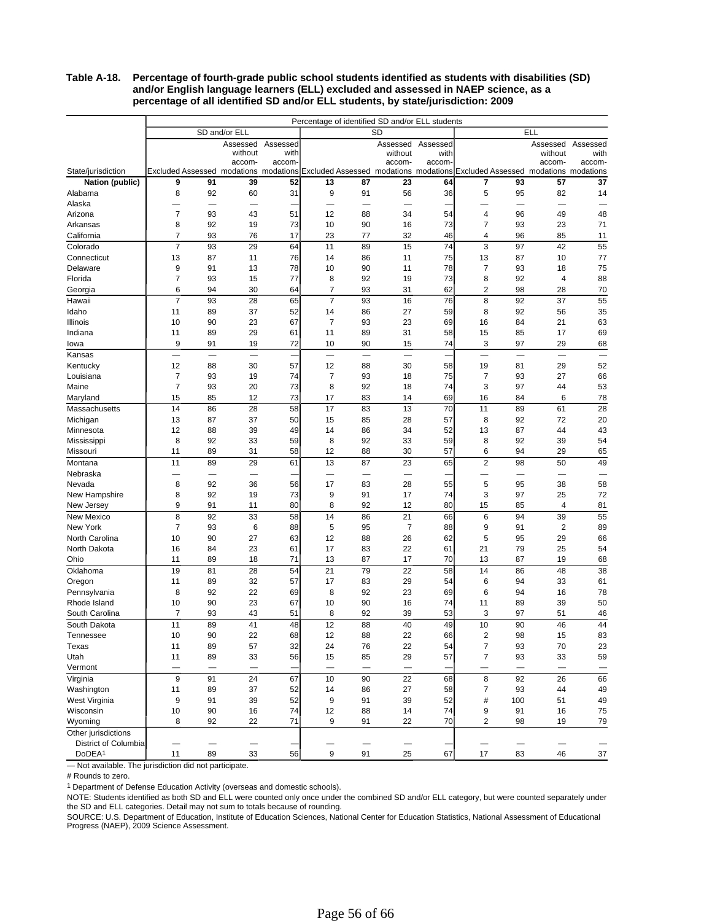#### **Table A-18. Percentage of fourth-grade public school students identified as students with disabilities (SD) and/or English language learners (ELL) excluded and assessed in NAEP science, as a percentage of all identified SD and/or ELL students, by state/jurisdiction: 2009**

|                            | Percentage of identified SD and/or ELL students |                          |                                                                             |                   |                |                          |           |                |                |                          |                                       |                          |  |
|----------------------------|-------------------------------------------------|--------------------------|-----------------------------------------------------------------------------|-------------------|----------------|--------------------------|-----------|----------------|----------------|--------------------------|---------------------------------------|--------------------------|--|
|                            |                                                 |                          | SD and/or ELL                                                               |                   |                |                          | <b>SD</b> |                |                |                          | <b>ELL</b>                            |                          |  |
|                            |                                                 |                          |                                                                             | Assessed Assessed |                |                          | Assessed  | Assessed       |                |                          | Assessed                              | Assessed                 |  |
|                            |                                                 |                          | without                                                                     | with              |                |                          | without   | with           |                |                          | without                               | with                     |  |
|                            |                                                 |                          | accom-                                                                      | accom-            |                |                          | accom-    | accom          |                |                          | accom-                                | accom-                   |  |
| State/jurisdiction         |                                                 |                          | Excluded Assessed modations modations Excluded Assessed modations modations |                   |                |                          |           |                |                |                          | Excluded Assessed modations modations |                          |  |
| Nation (public)            | 9                                               | 91                       | 39                                                                          | 52                | 13             | 87                       | 23        | 64             | 7              | 93                       | 57                                    | 37                       |  |
| Alabama                    | 8                                               | 92                       | 60                                                                          | 31                | 9              | 91                       | 56        | 36             | 5              | 95                       | 82                                    | 14                       |  |
| Alaska<br>Arizona          | $\overline{7}$                                  | 93                       | 43                                                                          | 51                | 12             | 88                       | 34        | 54             | 4              | 96                       | 49                                    | 48                       |  |
| Arkansas                   | 8                                               | 92                       | 19                                                                          | 73                | 10             | 90                       | 16        | 73             | $\overline{7}$ | 93                       | 23                                    | 71                       |  |
| California                 | $\overline{7}$                                  | 93                       | 76                                                                          | 17                | 23             | 77                       | 32        | 46             | 4              | 96                       | 85                                    | 11                       |  |
| Colorado                   | $\overline{7}$                                  | 93                       | 29                                                                          | 64                | 11             | 89                       | 15        | 74             | 3              | 97                       | 42                                    | 55                       |  |
| Connecticut                | 13                                              | 87                       | 11                                                                          | 76                | 14             | 86                       | 11        | 75             | 13             | 87                       | 10                                    | 77                       |  |
| Delaware                   | 9                                               | 91                       | 13                                                                          | 78                | 10             | 90                       | 11        | 78             | 7              | 93                       | 18                                    | 75                       |  |
| Florida                    | $\overline{7}$                                  | 93                       | 15                                                                          | 77                | 8              | 92                       | 19        | 73             | 8              | 92                       | 4                                     | 88                       |  |
| Georgia                    | 6                                               | 94                       | 30                                                                          | 64                | $\overline{7}$ | 93                       | 31        | 62             | 2              | 98                       | 28                                    | 70                       |  |
| Hawaii                     | $\overline{7}$                                  | 93                       | 28                                                                          | 65                | $\overline{7}$ | 93                       | 16        | 76             | 8              | 92                       | 37                                    | 55                       |  |
| Idaho                      | 11                                              | 89                       | 37                                                                          | 52                | 14             | 86                       | 27        | 59             | 8              | 92                       | 56                                    | 35                       |  |
| Illinois                   | 10                                              | 90                       | 23                                                                          | 67                | $\overline{7}$ | 93                       | 23        | 69             | 16             | 84                       | 21                                    | 63                       |  |
| Indiana                    | 11                                              | 89                       | 29                                                                          | 61                | 11             | 89                       | 31        | 58             | 15             | 85                       | 17                                    | 69                       |  |
| lowa                       | 9                                               | 91                       | 19                                                                          | 72                | 10             | 90                       | 15        | 74             | 3              | 97                       | 29                                    | 68                       |  |
| Kansas                     | $\overline{\phantom{0}}$                        | $\overline{\phantom{0}}$ | $\overline{\phantom{0}}$                                                    |                   | $\equiv$       | $\overline{\phantom{0}}$ | $\equiv$  | $\overline{a}$ | $\equiv$       | $\overline{\phantom{0}}$ | $\overline{\phantom{0}}$              | $\overline{\phantom{0}}$ |  |
| Kentucky                   | 12                                              | 88                       | 30                                                                          | 57                | 12             | 88                       | 30        | 58             | 19             | 81                       | 29                                    | 52                       |  |
| Louisiana                  | $\overline{7}$                                  | 93                       | 19                                                                          | 74                | $\overline{7}$ | 93                       | 18        | 75             | $\overline{7}$ | 93                       | 27                                    | 66                       |  |
| Maine                      | $\overline{7}$                                  | 93                       | 20                                                                          | 73                | 8              | 92                       | 18        | 74             | 3              | 97                       | 44                                    | 53                       |  |
| Maryland                   | 15                                              | 85                       | 12                                                                          | 73                | 17             | 83                       | 14        | 69             | 16             | 84                       | 6                                     | 78                       |  |
| Massachusetts              | 14                                              | 86                       | 28                                                                          | 58                | 17             | 83                       | 13        | 70             | 11             | 89                       | 61                                    | 28                       |  |
| Michigan                   | 13                                              | 87                       | 37                                                                          | 50                | 15             | 85                       | 28        | 57             | 8              | 92                       | 72                                    | 20                       |  |
| Minnesota                  | 12                                              | 88                       | 39                                                                          | 49                | 14             | 86                       | 34        | 52             | 13             | 87                       | 44                                    | 43                       |  |
| Mississippi                | 8                                               | 92                       | 33                                                                          | 59                | 8              | 92                       | 33        | 59             | 8              | 92                       | 39                                    | 54                       |  |
| Missouri                   | 11                                              | 89                       | 31                                                                          | 58                | 12             | 88                       | 30        | 57             | 6              | 94                       | 29                                    | 65                       |  |
| Montana                    | 11                                              | 89                       | 29                                                                          | 61                | 13             | 87                       | 23        | 65             | $\overline{2}$ | 98                       | 50                                    | 49                       |  |
| Nebraska                   |                                                 | -                        |                                                                             |                   | -              | $\overline{\phantom{0}}$ |           |                |                | —                        | -                                     |                          |  |
| Nevada                     | 8                                               | 92                       | 36                                                                          | 56                | 17             | 83                       | 28        | 55             | 5              | 95                       | 38                                    | 58                       |  |
| New Hampshire              | 8                                               | 92                       | 19                                                                          | 73                | 9              | 91                       | 17        | 74             | 3              | 97                       | 25                                    | 72                       |  |
| New Jersey                 | 9                                               | 91                       | 11                                                                          | 80                | 8              | 92                       | 12        | 80             | 15             | 85                       | $\overline{4}$                        | 81                       |  |
| New Mexico                 | 8<br>$\overline{7}$                             | 92                       | 33                                                                          | 58                | 14             | 86                       | 21        | 66             | 6              | 94                       | 39                                    | 55                       |  |
| New York<br>North Carolina | 10                                              | 93<br>90                 | 6<br>27                                                                     | 88<br>63          | 5<br>12        | 95<br>88                 | 7<br>26   | 88<br>62       | 9<br>5         | 91<br>95                 | $\overline{2}$<br>29                  | 89<br>66                 |  |
| North Dakota               | 16                                              | 84                       | 23                                                                          | 61                | 17             | 83                       | 22        | 61             | 21             | 79                       | 25                                    | 54                       |  |
| Ohio                       | 11                                              | 89                       | 18                                                                          | 71                | 13             | 87                       | 17        | 70             | 13             | 87                       | 19                                    | 68                       |  |
| Oklahoma                   | 19                                              | 81                       | 28                                                                          | 54                | 21             | 79                       | 22        | 58             | 14             | 86                       | 48                                    | 38                       |  |
| Oregon                     | 11                                              | 89                       | 32                                                                          | 57                | 17             | 83                       | 29        | 54             | 6              | 94                       | 33                                    | 61                       |  |
| Pennsylvania               | 8                                               | 92                       | 22                                                                          | 69                | 8              | 92                       | 23        | 69             | 6              | 94                       | 16                                    | 78                       |  |
| Rhode Island               | 10                                              | 90                       | 23                                                                          | 67                | 10             | 90                       | 16        | 74             | 11             | 89                       | 39                                    | 50                       |  |
| South Carolina             | $\overline{7}$                                  | 93                       | 43                                                                          | 51                | 8              | 92                       | 39        | 53             | 3              | 97                       | 51                                    | 46                       |  |
| South Dakota               | 11                                              | 89                       | 41                                                                          | 48                | 12             | 88                       | 40        | 49             | 10             | 90                       | 46                                    | 44                       |  |
| Tennessee                  | 10                                              | 90                       | 22                                                                          | 68                | 12             | 88                       | 22        | 66             | 2              | 98                       | 15                                    | 83                       |  |
| Texas                      | 11                                              | 89                       | 57                                                                          | 32                | 24             | 76                       | 22        | 54             | $\overline{7}$ | 93                       | 70                                    | 23                       |  |
| Utah                       | 11                                              | 89                       | 33                                                                          | 56                | 15             | 85                       | 29        | 57             | $\overline{7}$ | 93                       | 33                                    | 59                       |  |
| Vermont                    | —                                               | -                        | -                                                                           |                   | —              | —                        | —         |                | —              | —                        | -                                     |                          |  |
| Virginia                   | 9                                               | 91                       | 24                                                                          | 67                | 10             | 90                       | 22        | 68             | 8              | 92                       | 26                                    | 66                       |  |
| Washington                 | 11                                              | 89                       | 37                                                                          | 52                | 14             | 86                       | 27        | 58             | 7              | 93                       | 44                                    | 49                       |  |
| West Virginia              | 9                                               | 91                       | 39                                                                          | 52                | 9              | 91                       | 39        | 52             | $\#$           | 100                      | 51                                    | 49                       |  |
| Wisconsin                  | 10                                              | 90                       | 16                                                                          | 74                | 12             | 88                       | 14        | 74             | 9              | 91                       | 16                                    | 75                       |  |
| Wyoming                    | 8                                               | 92                       | 22                                                                          | 71                | 9              | 91                       | 22        | 70             | 2              | 98                       | 19                                    | 79                       |  |
| Other jurisdictions        |                                                 |                          |                                                                             |                   |                |                          |           |                |                |                          |                                       |                          |  |
| District of Columbia       |                                                 |                          |                                                                             |                   |                |                          |           |                | —              |                          |                                       |                          |  |
| DoDEA <sup>1</sup>         | 11                                              | 89                       | 33                                                                          | 56                | 9              | 91                       | 25        | 67             | 17             | 83                       | 46                                    | 37                       |  |

— Not available. The jurisdiction did not participate.

# Rounds to zero.

<sup>1</sup> Department of Defense Education Activity (overseas and domestic schools).

NOTE: Students identified as both SD and ELL were counted only once under the combined SD and/or ELL category, but were counted separately under the SD and ELL categories. Detail may not sum to totals because of rounding.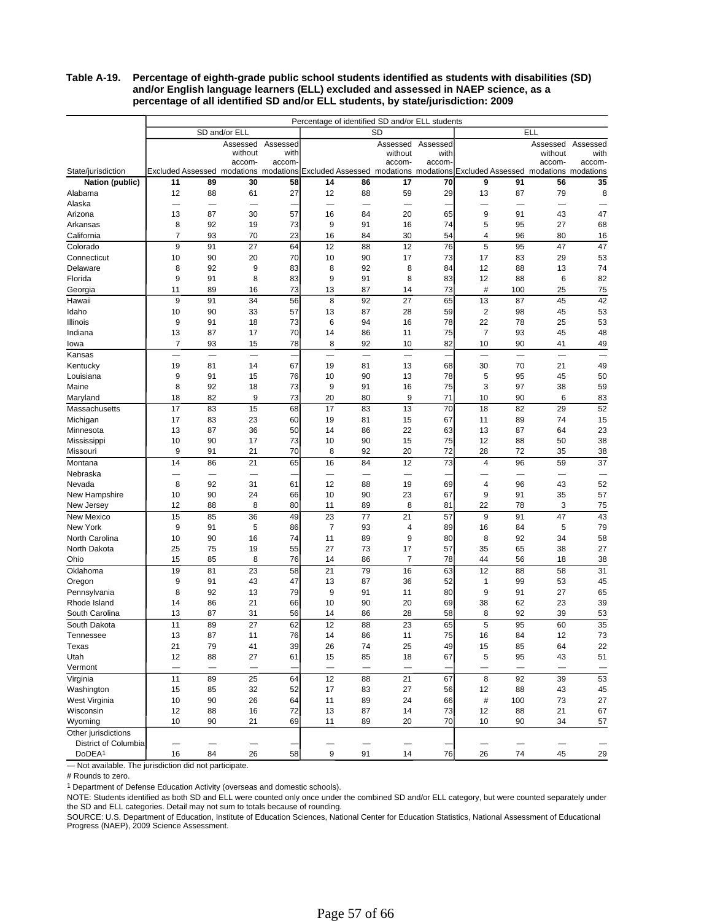#### **Table A-19. Percentage of eighth-grade public school students identified as students with disabilities (SD) and/or English language learners (ELL) excluded and assessed in NAEP science, as a percentage of all identified SD and/or ELL students, by state/jurisdiction: 2009**

|                            |                          | Percentage of identified SD and/or ELL students |                                                               |                   |                          |                          |                                                                 |          |                          |          |            |          |  |  |
|----------------------------|--------------------------|-------------------------------------------------|---------------------------------------------------------------|-------------------|--------------------------|--------------------------|-----------------------------------------------------------------|----------|--------------------------|----------|------------|----------|--|--|
|                            |                          |                                                 | SD and/or ELL                                                 |                   |                          |                          | SD                                                              |          |                          |          | <b>ELL</b> |          |  |  |
|                            |                          |                                                 |                                                               | Assessed Assessed |                          |                          | Assessed                                                        | Assessed |                          |          | Assessed   | Assessed |  |  |
|                            |                          |                                                 | without                                                       | with              |                          |                          | without                                                         | with     |                          |          | without    | with     |  |  |
|                            |                          |                                                 | accom-                                                        | accom-            |                          |                          | accom-                                                          | accom-   |                          |          | accom-     | accom-   |  |  |
| State/jurisdiction         | 11                       | 89                                              | Excluded Assessed modations modations Excluded Assessed<br>30 | 58                | 14                       |                          | modations modations Excluded Assessed modations modations<br>17 | 70       | 9                        | 91       | 56         | 35       |  |  |
| Nation (public)<br>Alabama | 12                       | 88                                              | 61                                                            | 27                | 12                       | 86<br>88                 | 59                                                              | 29       | 13                       | 87       | 79         | 8        |  |  |
| Alaska                     | ÷.                       |                                                 |                                                               |                   | —                        |                          |                                                                 |          |                          |          |            |          |  |  |
| Arizona                    | 13                       | 87                                              | 30                                                            | 57                | 16                       | 84                       | 20                                                              | 65       | 9                        | 91       | 43         | 47       |  |  |
| Arkansas                   | 8                        | 92                                              | 19                                                            | 73                | 9                        | 91                       | 16                                                              | 74       | 5                        | 95       | 27         | 68       |  |  |
| California                 | $\overline{7}$           | 93                                              | 70                                                            | 23                | 16                       | 84                       | 30                                                              | 54       | 4                        | 96       | 80         | 16       |  |  |
| Colorado                   | 9                        | 91                                              | 27                                                            | 64                | 12                       | 88                       | 12                                                              | 76       | 5                        | 95       | 47         | 47       |  |  |
| Connecticut                | 10                       | 90                                              | 20                                                            | 70                | 10                       | 90                       | 17                                                              | 73       | 17                       | 83       | 29         | 53       |  |  |
| Delaware                   | 8                        | 92                                              | 9                                                             | 83                | 8                        | 92                       | 8                                                               | 84       | 12                       | 88       | 13         | 74       |  |  |
| Florida                    | 9                        | 91                                              | 8                                                             | 83                | 9                        | 91                       | 8                                                               | 83       | 12                       | 88       | 6          | 82       |  |  |
| Georgia                    | 11                       | 89                                              | 16                                                            | 73                | 13                       | 87                       | 14                                                              | 73       | #                        | 100      | 25         | 75       |  |  |
| Hawaii                     | 9                        | 91                                              | 34                                                            | 56                | 8                        | 92                       | 27                                                              | 65       | 13                       | 87       | 45         | 42       |  |  |
| Idaho                      | 10                       | 90                                              | 33                                                            | 57                | 13                       | 87                       | 28                                                              | 59       | 2                        | 98       | 45         | 53       |  |  |
| Illinois                   | 9                        | 91                                              | 18                                                            | 73                | 6                        | 94                       | 16                                                              | 78       | 22                       | 78       | 25         | 53       |  |  |
| Indiana                    | 13                       | 87                                              | 17                                                            | 70                | 14                       | 86                       | 11                                                              | 75       | $\overline{7}$           | 93       | 45         | 48       |  |  |
| lowa                       | $\overline{7}$           | 93                                              | 15                                                            | 78                | 8                        | 92                       | 10                                                              | 82       | 10                       | 90       | 41         | 49       |  |  |
| Kansas                     |                          | $\overline{\phantom{0}}$                        | $\overline{\phantom{0}}$                                      |                   | $\overline{\phantom{0}}$ | $\overline{\phantom{0}}$ | $\overline{\phantom{0}}$                                        |          | $\overline{\phantom{0}}$ |          | -          |          |  |  |
| Kentucky                   | 19                       | 81                                              | 14                                                            | 67                | 19                       | 81                       | 13                                                              | 68       | 30                       | 70       | 21         | 49       |  |  |
| Louisiana                  | 9                        | 91                                              | 15                                                            | 76                | 10                       | 90                       | 13                                                              | 78       | 5                        | 95       | 45         | 50       |  |  |
| Maine                      | 8                        | 92                                              | 18                                                            | 73                | 9                        | 91                       | 16                                                              | 75       | 3                        | 97       | 38         | 59       |  |  |
| Maryland                   | 18                       | 82                                              | 9                                                             | 73                | 20                       | 80                       | 9                                                               | 71       | 10                       | 90       | 6          | 83       |  |  |
| <b>Massachusetts</b>       | 17                       | 83                                              | 15                                                            | 68                | 17                       | 83                       | 13                                                              | 70       | 18                       | 82       | 29         | 52       |  |  |
| Michigan                   | 17                       | 83                                              | 23                                                            | 60                | 19                       | 81                       | 15                                                              | 67       | 11                       | 89       | 74         | 15       |  |  |
| Minnesota                  | 13                       | 87                                              | 36                                                            | 50                | 14                       | 86                       | 22                                                              | 63       | 13                       | 87       | 64         | 23       |  |  |
| Mississippi                | 10                       | 90                                              | 17                                                            | 73                | 10                       | 90                       | 15                                                              | 75       | 12                       | 88       | 50         | 38       |  |  |
| Missouri                   | 9                        | 91                                              | 21                                                            | 70                | 8                        | 92                       | 20                                                              | 72       | 28                       | 72       | 35         | 38       |  |  |
| Montana                    | 14                       | 86                                              | 21                                                            | 65                | 16                       | 84                       | 12                                                              | 73       | $\overline{4}$           | 96       | 59         | 37       |  |  |
| Nebraska                   | —                        | -                                               | $\overline{\phantom{0}}$                                      |                   | -                        | —                        | -                                                               |          |                          | —        | -          |          |  |  |
| Nevada                     | 8                        | 92                                              | 31                                                            | 61                | 12                       | 88                       | 19                                                              | 69       | 4                        | 96       | 43         | 52       |  |  |
| New Hampshire              | 10                       | 90                                              | 24                                                            | 66                | 10                       | 90                       | 23                                                              | 67       | 9<br>22                  | 91       | 35         | 57       |  |  |
| New Jersey                 | 12                       | 88                                              | 8                                                             | 80                | 11                       | 89                       | 8                                                               | 81<br>57 | 9                        | 78       | 3          | 75       |  |  |
| New Mexico<br>New York     | 15<br>9                  | 85<br>91                                        | 36<br>5                                                       | 49<br>86          | 23<br>$\overline{7}$     | 77<br>93                 | 21<br>4                                                         | 89       | 16                       | 91<br>84 | 47<br>5    | 43<br>79 |  |  |
| North Carolina             | 10                       | 90                                              | 16                                                            | 74                | 11                       | 89                       | 9                                                               | 80       | 8                        | 92       | 34         | 58       |  |  |
| North Dakota               | 25                       | 75                                              | 19                                                            | 55                | 27                       | 73                       | 17                                                              | 57       | 35                       | 65       | 38         | 27       |  |  |
| Ohio                       | 15                       | 85                                              | 8                                                             | 76                | 14                       | 86                       | $\overline{7}$                                                  | 78       | 44                       | 56       | 18         | 38       |  |  |
| Oklahoma                   | 19                       | 81                                              | 23                                                            | 58                | 21                       | 79                       | 16                                                              | 63       | 12                       | 88       | 58         | 31       |  |  |
| Oregon                     | 9                        | 91                                              | 43                                                            | 47                | 13                       | 87                       | 36                                                              | 52       | 1                        | 99       | 53         | 45       |  |  |
| Pennsylvania               | 8                        | 92                                              | 13                                                            | 79                | 9                        | 91                       | 11                                                              | 80       | 9                        | 91       | 27         | 65       |  |  |
| Rhode Island               | 14                       | 86                                              | 21                                                            | 66                | 10                       | 90                       | 20                                                              | 69       | 38                       | 62       | 23         | 39       |  |  |
| South Carolina             | 13                       | 87                                              | 31                                                            | 56                | 14                       | 86                       | 28                                                              | 58       | 8                        | 92       | 39         | 53       |  |  |
| South Dakota               | 11                       | 89                                              | 27                                                            | 62                | 12                       | 88                       | 23                                                              | 65       | 5                        | 95       | 60         | 35       |  |  |
| Tennessee                  | 13                       | 87                                              | 11                                                            | 76                | 14                       | 86                       | 11                                                              | 75       | 16                       | 84       | 12         | 73       |  |  |
| Texas                      | 21                       | 79                                              | 41                                                            | 39                | 26                       | 74                       | 25                                                              | 49       | 15                       | 85       | 64         | 22       |  |  |
| Utah                       | 12                       | 88                                              | 27                                                            | 61                | 15                       | 85                       | 18                                                              | 67       | 5                        | 95       | 43         | 51       |  |  |
| Vermont                    | $\overline{\phantom{0}}$ | $\overline{\phantom{0}}$                        | —                                                             |                   | $\overline{\phantom{0}}$ | —                        | —                                                               |          |                          | -        | —          |          |  |  |
| Virginia                   | 11                       | 89                                              | 25                                                            | 64                | 12                       | 88                       | 21                                                              | 67       | 8                        | 92       | 39         | 53       |  |  |
| Washington                 | 15                       | 85                                              | 32                                                            | 52                | 17                       | 83                       | 27                                                              | 56       | 12                       | 88       | 43         | 45       |  |  |
| West Virginia              | 10                       | 90                                              | 26                                                            | 64                | 11                       | 89                       | 24                                                              | 66       | $\#$                     | 100      | 73         | 27       |  |  |
| Wisconsin                  | 12                       | 88                                              | 16                                                            | 72                | 13                       | 87                       | 14                                                              | 73       | 12                       | 88       | 21         | 67       |  |  |
| Wyoming                    | 10                       | 90                                              | 21                                                            | 69                | 11                       | 89                       | 20                                                              | 70       | 10                       | 90       | 34         | 57       |  |  |
| Other jurisdictions        |                          |                                                 |                                                               |                   |                          |                          |                                                                 |          |                          |          |            |          |  |  |
| District of Columbia       |                          |                                                 |                                                               |                   |                          |                          |                                                                 |          |                          |          |            |          |  |  |
| DoDEA <sup>1</sup>         | 16                       | 84                                              | 26                                                            | 58                | 9                        | 91                       | 14                                                              | 76       | 26                       | 74       | 45         | 29       |  |  |

— Not available. The jurisdiction did not participate.

# Rounds to zero.

<sup>1</sup> Department of Defense Education Activity (overseas and domestic schools).

NOTE: Students identified as both SD and ELL were counted only once under the combined SD and/or ELL category, but were counted separately under the SD and ELL categories. Detail may not sum to totals because of rounding.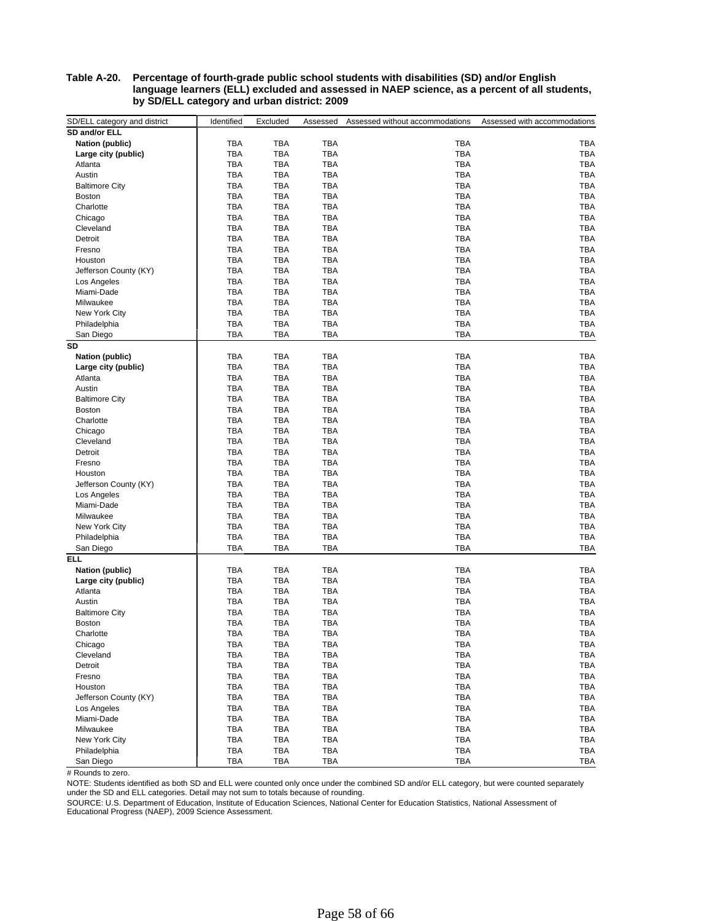#### **Table A-20. Percentage of fourth-grade public school students with disabilities (SD) and/or English language learners (ELL) excluded and assessed in NAEP science, as a percent of all students, by SD/ELL category and urban district: 2009**

| SD/ELL category and district | Identified | Excluded   | Assessed   | Assessed without accommodations | Assessed with accommodations |
|------------------------------|------------|------------|------------|---------------------------------|------------------------------|
| SD and/or ELL                |            |            |            |                                 |                              |
| <b>Nation (public)</b>       | <b>TBA</b> | <b>TBA</b> | TBA        | TBA                             | TBA                          |
| Large city (public)          | <b>TBA</b> | <b>TBA</b> | TBA        | TBA                             | TBA                          |
| Atlanta                      | <b>TBA</b> | <b>TBA</b> | TBA        | TBA                             | TBA                          |
| Austin                       | <b>TBA</b> | <b>TBA</b> | TBA        | TBA                             | TBA                          |
| <b>Baltimore City</b>        | <b>TBA</b> | <b>TBA</b> | TBA        | TBA                             | TBA                          |
| <b>Boston</b>                | <b>TBA</b> | <b>TBA</b> | TBA        | <b>TBA</b>                      | <b>TBA</b>                   |
| Charlotte                    | <b>TBA</b> | <b>TBA</b> | TBA        | TBA                             | TBA                          |
| Chicago                      | <b>TBA</b> | <b>TBA</b> | TBA        | <b>TBA</b>                      | <b>TBA</b>                   |
| Cleveland                    | <b>TBA</b> | <b>TBA</b> | TBA        | <b>TBA</b>                      | TBA                          |
| Detroit                      | <b>TBA</b> | <b>TBA</b> | TBA        | <b>TBA</b>                      | TBA                          |
| Fresno                       | <b>TBA</b> | <b>TBA</b> | TBA        | <b>TBA</b>                      | TBA                          |
| Houston                      | <b>TBA</b> | <b>TBA</b> | TBA        | TBA                             | TBA                          |
| Jefferson County (KY)        | <b>TBA</b> | <b>TBA</b> | TBA        | <b>TBA</b>                      | TBA                          |
| Los Angeles                  | <b>TBA</b> | <b>TBA</b> | TBA        | <b>TBA</b>                      | TBA                          |
| Miami-Dade                   | <b>TBA</b> | <b>TBA</b> | TBA        | TBA                             | TBA                          |
| Milwaukee                    | <b>TBA</b> | <b>TBA</b> | TBA        | <b>TBA</b>                      | <b>TBA</b>                   |
| New York City                | <b>TBA</b> | <b>TBA</b> | TBA        | <b>TBA</b>                      | TBA                          |
| Philadelphia                 | <b>TBA</b> | <b>TBA</b> | TBA        | <b>TBA</b>                      | <b>TBA</b>                   |
| San Diego                    | <b>TBA</b> | TBA        | TBA        | TBA                             | TBA                          |
| <b>SD</b>                    |            |            |            |                                 |                              |
| <b>Nation (public)</b>       | <b>TBA</b> | <b>TBA</b> | TBA        | TBA                             | TBA                          |
| Large city (public)          | <b>TBA</b> | <b>TBA</b> | TBA        | <b>TBA</b>                      | TBA                          |
| Atlanta                      | <b>TBA</b> | <b>TBA</b> | TBA        | TBA                             | <b>TBA</b>                   |
| Austin                       | <b>TBA</b> | <b>TBA</b> | TBA        | <b>TBA</b>                      | TBA                          |
| <b>Baltimore City</b>        | <b>TBA</b> | <b>TBA</b> | TBA        | <b>TBA</b>                      | <b>TBA</b>                   |
| <b>Boston</b>                | <b>TBA</b> | <b>TBA</b> | TBA        | <b>TBA</b>                      | TBA                          |
| Charlotte                    | <b>TBA</b> | <b>TBA</b> | TBA        | TBA                             | TBA                          |
| Chicago                      | <b>TBA</b> | <b>TBA</b> | TBA        | <b>TBA</b>                      | TBA                          |
| Cleveland                    | <b>TBA</b> | <b>TBA</b> | TBA        | TBA                             | TBA                          |
| Detroit                      | <b>TBA</b> | <b>TBA</b> | TBA        | <b>TBA</b>                      | <b>TBA</b>                   |
| Fresno                       | <b>TBA</b> | <b>TBA</b> | TBA        | <b>TBA</b>                      | TBA                          |
| Houston                      | <b>TBA</b> | <b>TBA</b> | TBA        | TBA                             | <b>TBA</b>                   |
| Jefferson County (KY)        | <b>TBA</b> | <b>TBA</b> | TBA        | <b>TBA</b>                      | <b>TBA</b>                   |
| Los Angeles                  | <b>TBA</b> | <b>TBA</b> | <b>TBA</b> | <b>TBA</b>                      | <b>TBA</b>                   |
| Miami-Dade                   | <b>TBA</b> | <b>TBA</b> | TBA        | <b>TBA</b>                      | TBA                          |
| Milwaukee                    | <b>TBA</b> | <b>TBA</b> | <b>TBA</b> | <b>TBA</b>                      | <b>TBA</b>                   |
| New York City                | <b>TBA</b> | TBA        | TBA        | <b>TBA</b>                      | TBA                          |
| Philadelphia                 | <b>TBA</b> | TBA        | TBA        | <b>TBA</b>                      | TBA                          |
| San Diego                    | <b>TBA</b> | TBA        | TBA        | TBA                             | TBA                          |
| ELL                          |            |            |            |                                 |                              |
| <b>Nation (public)</b>       | <b>TBA</b> | <b>TBA</b> | TBA        | TBA                             | TBA                          |
| Large city (public)          | <b>TBA</b> | TBA        | TBA        | <b>TBA</b>                      | TBA                          |
| Atlanta                      | <b>TBA</b> | <b>TBA</b> | TBA        | <b>TBA</b>                      | TBA                          |
| Austin                       | <b>TBA</b> | <b>TBA</b> | TBA        | TBA                             | TBA                          |
| <b>Baltimore City</b>        | <b>TBA</b> | <b>TBA</b> | TBA        | <b>TBA</b>                      | TBA                          |
| <b>Boston</b>                | <b>TBA</b> | <b>TBA</b> | TBA        | <b>TBA</b>                      | <b>TBA</b>                   |
| Charlotte                    | TBA        | <b>TBA</b> | TBA        | TBA                             | TBA                          |
| Chicago                      | <b>TBA</b> | <b>TBA</b> | TBA        | TBA                             | TBA                          |
| Cleveland                    | <b>TBA</b> | TBA        | TBA        | TBA                             | TBA                          |
| Detroit                      | <b>TBA</b> | <b>TBA</b> | TBA        | TBA                             | TBA                          |
| Fresno                       | <b>TBA</b> | <b>TBA</b> | TBA        | TBA                             | TBA                          |
| Houston                      | <b>TBA</b> | TBA        | <b>TBA</b> | TBA                             | TBA                          |
| Jefferson County (KY)        | <b>TBA</b> | <b>TBA</b> | TBA        | <b>TBA</b>                      | <b>TBA</b>                   |
| Los Angeles                  | TBA        | TBA        | TBA        | TBA                             | TBA                          |
| Miami-Dade                   | TBA        | <b>TBA</b> | TBA        | TBA                             | TBA                          |
| Milwaukee                    | <b>TBA</b> | TBA        | TBA        | <b>TBA</b>                      | TBA                          |
| New York City                | <b>TBA</b> | <b>TBA</b> | TBA        | TBA                             | TBA                          |
| Philadelphia                 | <b>TBA</b> | TBA        | TBA        | TBA                             | TBA                          |
| San Diego                    | <b>TBA</b> | <b>TBA</b> | TBA        | TBA                             | TBA                          |

# Rounds to zero.

NOTE: Students identified as both SD and ELL were counted only once under the combined SD and/or ELL category, but were counted separately under the SD and ELL categories. Detail may not sum to totals because of rounding.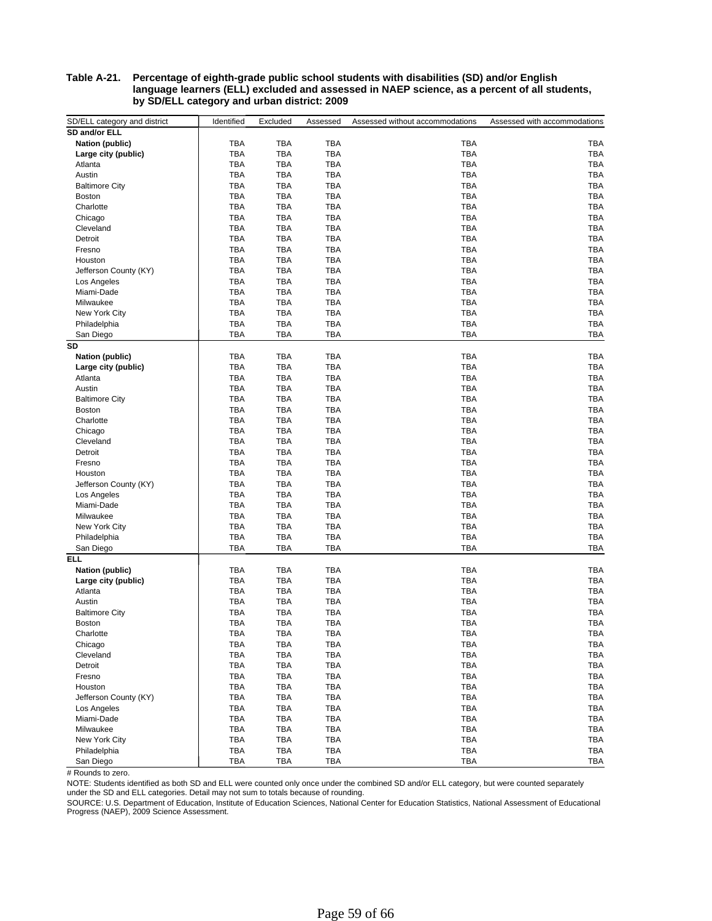#### **Table A-21. Percentage of eighth-grade public school students with disabilities (SD) and/or English language learners (ELL) excluded and assessed in NAEP science, as a percent of all students, by SD/ELL category and urban district: 2009**

| SD and/or ELL<br>Nation (public)<br><b>TBA</b><br>TBA<br><b>TBA</b><br>TBA<br>TBA<br>Large city (public)<br><b>TBA</b><br>TBA<br><b>TBA</b><br>TBA<br>TBA<br><b>TBA</b><br>TBA<br><b>TBA</b><br>TBA<br>TBA<br>Atlanta<br>Austin<br><b>TBA</b><br>TBA<br><b>TBA</b><br>TBA<br>TBA<br>TBA<br><b>TBA</b><br><b>Baltimore City</b><br><b>TBA</b><br>TBA<br>TBA<br><b>TBA</b><br><b>TBA</b><br>TBA<br><b>TBA</b><br>TBA<br><b>Boston</b><br><b>TBA</b><br><b>TBA</b><br>Charlotte<br><b>TBA</b><br>TBA<br><b>TBA</b><br>TBA<br><b>TBA</b><br>TBA<br><b>TBA</b><br><b>TBA</b><br>Chicago<br><b>TBA</b><br>TBA<br>Cleveland<br><b>TBA</b><br>TBA<br>TBA<br><b>TBA</b><br>TBA<br>Detroit<br><b>TBA</b><br>TBA<br><b>TBA</b><br>TBA<br>Fresno<br><b>TBA</b><br>TBA<br>TBA<br>TBA<br>TBA<br>TBA<br><b>TBA</b><br>TBA<br><b>TBA</b><br>Houston<br><b>TBA</b><br><b>TBA</b><br>Jefferson County (KY)<br><b>TBA</b><br><b>TBA</b><br>TBA<br><b>TBA</b><br><b>TBA</b><br><b>TBA</b><br>TBA<br><b>TBA</b><br>Los Angeles<br><b>TBA</b><br><b>TBA</b><br><b>TBA</b><br>TBA<br>TBA<br>Miami-Dade<br><b>TBA</b><br><b>TBA</b><br><b>TBA</b><br>TBA<br><b>TBA</b><br>Milwaukee<br><b>TBA</b><br>TBA<br><b>TBA</b><br><b>TBA</b><br><b>TBA</b><br>New York City<br><b>TBA</b><br><b>TBA</b><br>TBA<br>TBA<br><b>TBA</b><br>Philadelphia<br>TBA<br>TBA<br><b>TBA</b><br>TBA<br><b>TBA</b><br>San Diego<br>SD<br><b>TBA</b><br>TBA<br><b>TBA</b><br>TBA<br>TBA<br><b>Nation (public)</b><br>TBA<br><b>TBA</b><br><b>TBA</b><br>TBA<br><b>TBA</b><br>Large city (public)<br>TBA<br>TBA<br>TBA<br><b>TBA</b><br>TBA<br>Atlanta<br>TBA<br>TBA<br>Austin<br><b>TBA</b><br>TBA<br><b>TBA</b><br>TBA<br><b>TBA</b><br>TBA<br><b>Baltimore City</b><br><b>TBA</b><br>TBA<br><b>TBA</b><br>TBA<br><b>TBA</b><br>TBA<br>Boston<br><b>TBA</b><br>TBA<br><b>TBA</b><br><b>TBA</b><br>TBA<br>Charlotte<br><b>TBA</b><br><b>TBA</b><br>TBA<br>Chicago<br><b>TBA</b><br>TBA<br>TBA<br><b>TBA</b><br>Cleveland<br><b>TBA</b><br>TBA<br>TBA<br>TBA<br><b>TBA</b><br>Detroit<br><b>TBA</b><br>TBA<br>TBA<br>TBA<br><b>TBA</b><br><b>TBA</b><br><b>TBA</b><br>TBA<br><b>TBA</b><br>Fresno<br><b>TBA</b><br><b>TBA</b><br><b>TBA</b><br><b>TBA</b><br>TBA<br>Houston<br><b>TBA</b><br>TBA<br>TBA<br><b>TBA</b><br><b>TBA</b><br>Jefferson County (KY)<br><b>TBA</b><br><b>TBA</b><br><b>TBA</b><br><b>TBA</b><br><b>TBA</b><br>Los Angeles<br><b>TBA</b><br>TBA<br>Miami-Dade<br><b>TBA</b><br>TBA<br><b>TBA</b><br><b>TBA</b><br><b>TBA</b><br>TBA<br><b>TBA</b><br>TBA<br>Milwaukee<br>TBA<br><b>TBA</b><br>TBA<br>TBA<br>TBA<br>New York City<br>TBA<br>Philadelphia<br><b>TBA</b><br>TBA<br><b>TBA</b><br>TBA<br><b>TBA</b><br><b>TBA</b><br><b>TBA</b><br>TBA<br><b>TBA</b><br>San Diego<br>ELL<br><b>TBA</b><br>TBA<br><b>TBA</b><br><b>TBA</b><br><b>TBA</b><br><b>Nation (public)</b><br><b>TBA</b><br>TBA<br>TBA<br>TBA<br>TBA<br>Large city (public)<br><b>TBA</b><br>TBA<br>Atlanta<br><b>TBA</b><br>TBA<br>TBA<br><b>TBA</b><br>TBA<br><b>TBA</b><br>TBA<br>TBA<br>Austin<br><b>TBA</b><br>TBA<br><b>TBA</b><br>TBA<br>TBA<br><b>Baltimore City</b><br><b>TBA</b><br><b>TBA</b><br><b>TBA</b><br>TBA<br><b>TBA</b><br><b>Boston</b><br><b>TBA</b><br><b>TBA</b><br><b>TBA</b><br><b>TBA</b><br>TBA<br>Charlotte<br>TBA<br>TBA<br>TBA<br>Chicago<br><b>TBA</b><br>TBA<br>TBA<br>TBA<br>TBA<br>TBA<br>Cleveland<br>TBA<br><b>TBA</b><br>TBA<br>Detroit<br><b>TBA</b><br>TBA<br>TBA<br><b>TBA</b><br>TBA<br>Fresno<br><b>TBA</b><br>TBA<br>TBA<br>TBA<br>TBA<br>Houston<br><b>TBA</b><br>TBA<br>TBA<br>TBA<br>TBA<br>Jefferson County (KY)<br><b>TBA</b><br>TBA<br>TBA<br>TBA<br>TBA<br>Los Angeles<br><b>TBA</b><br>TBA<br>TBA<br>TBA<br>TBA<br>Miami-Dade<br><b>TBA</b><br>TBA<br><b>TBA</b><br>TBA<br>Milwaukee<br><b>TBA</b><br>TBA<br>TBA<br>TBA<br>New York City<br><b>TBA</b><br>TBA<br>TBA<br><b>TBA</b><br>TBA<br>Philadelphia<br>TBA<br>TBA<br>TBA<br>TBA<br>TBA<br>San Diego<br>TBA<br>TBA<br>TBA<br>TBA<br>TBA | SD/ELL category and district | Identified | Excluded | Assessed | Assessed without accommodations | Assessed with accommodations |
|--------------------------------------------------------------------------------------------------------------------------------------------------------------------------------------------------------------------------------------------------------------------------------------------------------------------------------------------------------------------------------------------------------------------------------------------------------------------------------------------------------------------------------------------------------------------------------------------------------------------------------------------------------------------------------------------------------------------------------------------------------------------------------------------------------------------------------------------------------------------------------------------------------------------------------------------------------------------------------------------------------------------------------------------------------------------------------------------------------------------------------------------------------------------------------------------------------------------------------------------------------------------------------------------------------------------------------------------------------------------------------------------------------------------------------------------------------------------------------------------------------------------------------------------------------------------------------------------------------------------------------------------------------------------------------------------------------------------------------------------------------------------------------------------------------------------------------------------------------------------------------------------------------------------------------------------------------------------------------------------------------------------------------------------------------------------------------------------------------------------------------------------------------------------------------------------------------------------------------------------------------------------------------------------------------------------------------------------------------------------------------------------------------------------------------------------------------------------------------------------------------------------------------------------------------------------------------------------------------------------------------------------------------------------------------------------------------------------------------------------------------------------------------------------------------------------------------------------------------------------------------------------------------------------------------------------------------------------------------------------------------------------------------------------------------------------------------------------------------------------------------------------------------------------------------------------------------------------------------------------------------------------------------------------------------------------------------------------------------------------------------------------------------------------------------------------------------------------------------------------------------------------------------------------------------------------------------------------------------------------------------------------------------------------------------------------------------------------------------------------------------------------------------------------------------------------------------------------------------------------------------------------------------------------------------------------------------------------------------------------|------------------------------|------------|----------|----------|---------------------------------|------------------------------|
|                                                                                                                                                                                                                                                                                                                                                                                                                                                                                                                                                                                                                                                                                                                                                                                                                                                                                                                                                                                                                                                                                                                                                                                                                                                                                                                                                                                                                                                                                                                                                                                                                                                                                                                                                                                                                                                                                                                                                                                                                                                                                                                                                                                                                                                                                                                                                                                                                                                                                                                                                                                                                                                                                                                                                                                                                                                                                                                                                                                                                                                                                                                                                                                                                                                                                                                                                                                                                                                                                                                                                                                                                                                                                                                                                                                                                                                                                                                                                                                            |                              |            |          |          |                                 |                              |
|                                                                                                                                                                                                                                                                                                                                                                                                                                                                                                                                                                                                                                                                                                                                                                                                                                                                                                                                                                                                                                                                                                                                                                                                                                                                                                                                                                                                                                                                                                                                                                                                                                                                                                                                                                                                                                                                                                                                                                                                                                                                                                                                                                                                                                                                                                                                                                                                                                                                                                                                                                                                                                                                                                                                                                                                                                                                                                                                                                                                                                                                                                                                                                                                                                                                                                                                                                                                                                                                                                                                                                                                                                                                                                                                                                                                                                                                                                                                                                                            |                              |            |          |          |                                 |                              |
|                                                                                                                                                                                                                                                                                                                                                                                                                                                                                                                                                                                                                                                                                                                                                                                                                                                                                                                                                                                                                                                                                                                                                                                                                                                                                                                                                                                                                                                                                                                                                                                                                                                                                                                                                                                                                                                                                                                                                                                                                                                                                                                                                                                                                                                                                                                                                                                                                                                                                                                                                                                                                                                                                                                                                                                                                                                                                                                                                                                                                                                                                                                                                                                                                                                                                                                                                                                                                                                                                                                                                                                                                                                                                                                                                                                                                                                                                                                                                                                            |                              |            |          |          |                                 |                              |
|                                                                                                                                                                                                                                                                                                                                                                                                                                                                                                                                                                                                                                                                                                                                                                                                                                                                                                                                                                                                                                                                                                                                                                                                                                                                                                                                                                                                                                                                                                                                                                                                                                                                                                                                                                                                                                                                                                                                                                                                                                                                                                                                                                                                                                                                                                                                                                                                                                                                                                                                                                                                                                                                                                                                                                                                                                                                                                                                                                                                                                                                                                                                                                                                                                                                                                                                                                                                                                                                                                                                                                                                                                                                                                                                                                                                                                                                                                                                                                                            |                              |            |          |          |                                 |                              |
|                                                                                                                                                                                                                                                                                                                                                                                                                                                                                                                                                                                                                                                                                                                                                                                                                                                                                                                                                                                                                                                                                                                                                                                                                                                                                                                                                                                                                                                                                                                                                                                                                                                                                                                                                                                                                                                                                                                                                                                                                                                                                                                                                                                                                                                                                                                                                                                                                                                                                                                                                                                                                                                                                                                                                                                                                                                                                                                                                                                                                                                                                                                                                                                                                                                                                                                                                                                                                                                                                                                                                                                                                                                                                                                                                                                                                                                                                                                                                                                            |                              |            |          |          |                                 |                              |
|                                                                                                                                                                                                                                                                                                                                                                                                                                                                                                                                                                                                                                                                                                                                                                                                                                                                                                                                                                                                                                                                                                                                                                                                                                                                                                                                                                                                                                                                                                                                                                                                                                                                                                                                                                                                                                                                                                                                                                                                                                                                                                                                                                                                                                                                                                                                                                                                                                                                                                                                                                                                                                                                                                                                                                                                                                                                                                                                                                                                                                                                                                                                                                                                                                                                                                                                                                                                                                                                                                                                                                                                                                                                                                                                                                                                                                                                                                                                                                                            |                              |            |          |          |                                 |                              |
|                                                                                                                                                                                                                                                                                                                                                                                                                                                                                                                                                                                                                                                                                                                                                                                                                                                                                                                                                                                                                                                                                                                                                                                                                                                                                                                                                                                                                                                                                                                                                                                                                                                                                                                                                                                                                                                                                                                                                                                                                                                                                                                                                                                                                                                                                                                                                                                                                                                                                                                                                                                                                                                                                                                                                                                                                                                                                                                                                                                                                                                                                                                                                                                                                                                                                                                                                                                                                                                                                                                                                                                                                                                                                                                                                                                                                                                                                                                                                                                            |                              |            |          |          |                                 |                              |
|                                                                                                                                                                                                                                                                                                                                                                                                                                                                                                                                                                                                                                                                                                                                                                                                                                                                                                                                                                                                                                                                                                                                                                                                                                                                                                                                                                                                                                                                                                                                                                                                                                                                                                                                                                                                                                                                                                                                                                                                                                                                                                                                                                                                                                                                                                                                                                                                                                                                                                                                                                                                                                                                                                                                                                                                                                                                                                                                                                                                                                                                                                                                                                                                                                                                                                                                                                                                                                                                                                                                                                                                                                                                                                                                                                                                                                                                                                                                                                                            |                              |            |          |          |                                 |                              |
|                                                                                                                                                                                                                                                                                                                                                                                                                                                                                                                                                                                                                                                                                                                                                                                                                                                                                                                                                                                                                                                                                                                                                                                                                                                                                                                                                                                                                                                                                                                                                                                                                                                                                                                                                                                                                                                                                                                                                                                                                                                                                                                                                                                                                                                                                                                                                                                                                                                                                                                                                                                                                                                                                                                                                                                                                                                                                                                                                                                                                                                                                                                                                                                                                                                                                                                                                                                                                                                                                                                                                                                                                                                                                                                                                                                                                                                                                                                                                                                            |                              |            |          |          |                                 |                              |
|                                                                                                                                                                                                                                                                                                                                                                                                                                                                                                                                                                                                                                                                                                                                                                                                                                                                                                                                                                                                                                                                                                                                                                                                                                                                                                                                                                                                                                                                                                                                                                                                                                                                                                                                                                                                                                                                                                                                                                                                                                                                                                                                                                                                                                                                                                                                                                                                                                                                                                                                                                                                                                                                                                                                                                                                                                                                                                                                                                                                                                                                                                                                                                                                                                                                                                                                                                                                                                                                                                                                                                                                                                                                                                                                                                                                                                                                                                                                                                                            |                              |            |          |          |                                 |                              |
|                                                                                                                                                                                                                                                                                                                                                                                                                                                                                                                                                                                                                                                                                                                                                                                                                                                                                                                                                                                                                                                                                                                                                                                                                                                                                                                                                                                                                                                                                                                                                                                                                                                                                                                                                                                                                                                                                                                                                                                                                                                                                                                                                                                                                                                                                                                                                                                                                                                                                                                                                                                                                                                                                                                                                                                                                                                                                                                                                                                                                                                                                                                                                                                                                                                                                                                                                                                                                                                                                                                                                                                                                                                                                                                                                                                                                                                                                                                                                                                            |                              |            |          |          |                                 |                              |
|                                                                                                                                                                                                                                                                                                                                                                                                                                                                                                                                                                                                                                                                                                                                                                                                                                                                                                                                                                                                                                                                                                                                                                                                                                                                                                                                                                                                                                                                                                                                                                                                                                                                                                                                                                                                                                                                                                                                                                                                                                                                                                                                                                                                                                                                                                                                                                                                                                                                                                                                                                                                                                                                                                                                                                                                                                                                                                                                                                                                                                                                                                                                                                                                                                                                                                                                                                                                                                                                                                                                                                                                                                                                                                                                                                                                                                                                                                                                                                                            |                              |            |          |          |                                 |                              |
|                                                                                                                                                                                                                                                                                                                                                                                                                                                                                                                                                                                                                                                                                                                                                                                                                                                                                                                                                                                                                                                                                                                                                                                                                                                                                                                                                                                                                                                                                                                                                                                                                                                                                                                                                                                                                                                                                                                                                                                                                                                                                                                                                                                                                                                                                                                                                                                                                                                                                                                                                                                                                                                                                                                                                                                                                                                                                                                                                                                                                                                                                                                                                                                                                                                                                                                                                                                                                                                                                                                                                                                                                                                                                                                                                                                                                                                                                                                                                                                            |                              |            |          |          |                                 |                              |
|                                                                                                                                                                                                                                                                                                                                                                                                                                                                                                                                                                                                                                                                                                                                                                                                                                                                                                                                                                                                                                                                                                                                                                                                                                                                                                                                                                                                                                                                                                                                                                                                                                                                                                                                                                                                                                                                                                                                                                                                                                                                                                                                                                                                                                                                                                                                                                                                                                                                                                                                                                                                                                                                                                                                                                                                                                                                                                                                                                                                                                                                                                                                                                                                                                                                                                                                                                                                                                                                                                                                                                                                                                                                                                                                                                                                                                                                                                                                                                                            |                              |            |          |          |                                 |                              |
|                                                                                                                                                                                                                                                                                                                                                                                                                                                                                                                                                                                                                                                                                                                                                                                                                                                                                                                                                                                                                                                                                                                                                                                                                                                                                                                                                                                                                                                                                                                                                                                                                                                                                                                                                                                                                                                                                                                                                                                                                                                                                                                                                                                                                                                                                                                                                                                                                                                                                                                                                                                                                                                                                                                                                                                                                                                                                                                                                                                                                                                                                                                                                                                                                                                                                                                                                                                                                                                                                                                                                                                                                                                                                                                                                                                                                                                                                                                                                                                            |                              |            |          |          |                                 |                              |
|                                                                                                                                                                                                                                                                                                                                                                                                                                                                                                                                                                                                                                                                                                                                                                                                                                                                                                                                                                                                                                                                                                                                                                                                                                                                                                                                                                                                                                                                                                                                                                                                                                                                                                                                                                                                                                                                                                                                                                                                                                                                                                                                                                                                                                                                                                                                                                                                                                                                                                                                                                                                                                                                                                                                                                                                                                                                                                                                                                                                                                                                                                                                                                                                                                                                                                                                                                                                                                                                                                                                                                                                                                                                                                                                                                                                                                                                                                                                                                                            |                              |            |          |          |                                 |                              |
|                                                                                                                                                                                                                                                                                                                                                                                                                                                                                                                                                                                                                                                                                                                                                                                                                                                                                                                                                                                                                                                                                                                                                                                                                                                                                                                                                                                                                                                                                                                                                                                                                                                                                                                                                                                                                                                                                                                                                                                                                                                                                                                                                                                                                                                                                                                                                                                                                                                                                                                                                                                                                                                                                                                                                                                                                                                                                                                                                                                                                                                                                                                                                                                                                                                                                                                                                                                                                                                                                                                                                                                                                                                                                                                                                                                                                                                                                                                                                                                            |                              |            |          |          |                                 |                              |
|                                                                                                                                                                                                                                                                                                                                                                                                                                                                                                                                                                                                                                                                                                                                                                                                                                                                                                                                                                                                                                                                                                                                                                                                                                                                                                                                                                                                                                                                                                                                                                                                                                                                                                                                                                                                                                                                                                                                                                                                                                                                                                                                                                                                                                                                                                                                                                                                                                                                                                                                                                                                                                                                                                                                                                                                                                                                                                                                                                                                                                                                                                                                                                                                                                                                                                                                                                                                                                                                                                                                                                                                                                                                                                                                                                                                                                                                                                                                                                                            |                              |            |          |          |                                 |                              |
|                                                                                                                                                                                                                                                                                                                                                                                                                                                                                                                                                                                                                                                                                                                                                                                                                                                                                                                                                                                                                                                                                                                                                                                                                                                                                                                                                                                                                                                                                                                                                                                                                                                                                                                                                                                                                                                                                                                                                                                                                                                                                                                                                                                                                                                                                                                                                                                                                                                                                                                                                                                                                                                                                                                                                                                                                                                                                                                                                                                                                                                                                                                                                                                                                                                                                                                                                                                                                                                                                                                                                                                                                                                                                                                                                                                                                                                                                                                                                                                            |                              |            |          |          |                                 |                              |
|                                                                                                                                                                                                                                                                                                                                                                                                                                                                                                                                                                                                                                                                                                                                                                                                                                                                                                                                                                                                                                                                                                                                                                                                                                                                                                                                                                                                                                                                                                                                                                                                                                                                                                                                                                                                                                                                                                                                                                                                                                                                                                                                                                                                                                                                                                                                                                                                                                                                                                                                                                                                                                                                                                                                                                                                                                                                                                                                                                                                                                                                                                                                                                                                                                                                                                                                                                                                                                                                                                                                                                                                                                                                                                                                                                                                                                                                                                                                                                                            |                              |            |          |          |                                 |                              |
|                                                                                                                                                                                                                                                                                                                                                                                                                                                                                                                                                                                                                                                                                                                                                                                                                                                                                                                                                                                                                                                                                                                                                                                                                                                                                                                                                                                                                                                                                                                                                                                                                                                                                                                                                                                                                                                                                                                                                                                                                                                                                                                                                                                                                                                                                                                                                                                                                                                                                                                                                                                                                                                                                                                                                                                                                                                                                                                                                                                                                                                                                                                                                                                                                                                                                                                                                                                                                                                                                                                                                                                                                                                                                                                                                                                                                                                                                                                                                                                            |                              |            |          |          |                                 |                              |
|                                                                                                                                                                                                                                                                                                                                                                                                                                                                                                                                                                                                                                                                                                                                                                                                                                                                                                                                                                                                                                                                                                                                                                                                                                                                                                                                                                                                                                                                                                                                                                                                                                                                                                                                                                                                                                                                                                                                                                                                                                                                                                                                                                                                                                                                                                                                                                                                                                                                                                                                                                                                                                                                                                                                                                                                                                                                                                                                                                                                                                                                                                                                                                                                                                                                                                                                                                                                                                                                                                                                                                                                                                                                                                                                                                                                                                                                                                                                                                                            |                              |            |          |          |                                 |                              |
|                                                                                                                                                                                                                                                                                                                                                                                                                                                                                                                                                                                                                                                                                                                                                                                                                                                                                                                                                                                                                                                                                                                                                                                                                                                                                                                                                                                                                                                                                                                                                                                                                                                                                                                                                                                                                                                                                                                                                                                                                                                                                                                                                                                                                                                                                                                                                                                                                                                                                                                                                                                                                                                                                                                                                                                                                                                                                                                                                                                                                                                                                                                                                                                                                                                                                                                                                                                                                                                                                                                                                                                                                                                                                                                                                                                                                                                                                                                                                                                            |                              |            |          |          |                                 |                              |
|                                                                                                                                                                                                                                                                                                                                                                                                                                                                                                                                                                                                                                                                                                                                                                                                                                                                                                                                                                                                                                                                                                                                                                                                                                                                                                                                                                                                                                                                                                                                                                                                                                                                                                                                                                                                                                                                                                                                                                                                                                                                                                                                                                                                                                                                                                                                                                                                                                                                                                                                                                                                                                                                                                                                                                                                                                                                                                                                                                                                                                                                                                                                                                                                                                                                                                                                                                                                                                                                                                                                                                                                                                                                                                                                                                                                                                                                                                                                                                                            |                              |            |          |          |                                 |                              |
|                                                                                                                                                                                                                                                                                                                                                                                                                                                                                                                                                                                                                                                                                                                                                                                                                                                                                                                                                                                                                                                                                                                                                                                                                                                                                                                                                                                                                                                                                                                                                                                                                                                                                                                                                                                                                                                                                                                                                                                                                                                                                                                                                                                                                                                                                                                                                                                                                                                                                                                                                                                                                                                                                                                                                                                                                                                                                                                                                                                                                                                                                                                                                                                                                                                                                                                                                                                                                                                                                                                                                                                                                                                                                                                                                                                                                                                                                                                                                                                            |                              |            |          |          |                                 |                              |
|                                                                                                                                                                                                                                                                                                                                                                                                                                                                                                                                                                                                                                                                                                                                                                                                                                                                                                                                                                                                                                                                                                                                                                                                                                                                                                                                                                                                                                                                                                                                                                                                                                                                                                                                                                                                                                                                                                                                                                                                                                                                                                                                                                                                                                                                                                                                                                                                                                                                                                                                                                                                                                                                                                                                                                                                                                                                                                                                                                                                                                                                                                                                                                                                                                                                                                                                                                                                                                                                                                                                                                                                                                                                                                                                                                                                                                                                                                                                                                                            |                              |            |          |          |                                 |                              |
|                                                                                                                                                                                                                                                                                                                                                                                                                                                                                                                                                                                                                                                                                                                                                                                                                                                                                                                                                                                                                                                                                                                                                                                                                                                                                                                                                                                                                                                                                                                                                                                                                                                                                                                                                                                                                                                                                                                                                                                                                                                                                                                                                                                                                                                                                                                                                                                                                                                                                                                                                                                                                                                                                                                                                                                                                                                                                                                                                                                                                                                                                                                                                                                                                                                                                                                                                                                                                                                                                                                                                                                                                                                                                                                                                                                                                                                                                                                                                                                            |                              |            |          |          |                                 |                              |
|                                                                                                                                                                                                                                                                                                                                                                                                                                                                                                                                                                                                                                                                                                                                                                                                                                                                                                                                                                                                                                                                                                                                                                                                                                                                                                                                                                                                                                                                                                                                                                                                                                                                                                                                                                                                                                                                                                                                                                                                                                                                                                                                                                                                                                                                                                                                                                                                                                                                                                                                                                                                                                                                                                                                                                                                                                                                                                                                                                                                                                                                                                                                                                                                                                                                                                                                                                                                                                                                                                                                                                                                                                                                                                                                                                                                                                                                                                                                                                                            |                              |            |          |          |                                 |                              |
|                                                                                                                                                                                                                                                                                                                                                                                                                                                                                                                                                                                                                                                                                                                                                                                                                                                                                                                                                                                                                                                                                                                                                                                                                                                                                                                                                                                                                                                                                                                                                                                                                                                                                                                                                                                                                                                                                                                                                                                                                                                                                                                                                                                                                                                                                                                                                                                                                                                                                                                                                                                                                                                                                                                                                                                                                                                                                                                                                                                                                                                                                                                                                                                                                                                                                                                                                                                                                                                                                                                                                                                                                                                                                                                                                                                                                                                                                                                                                                                            |                              |            |          |          |                                 |                              |
|                                                                                                                                                                                                                                                                                                                                                                                                                                                                                                                                                                                                                                                                                                                                                                                                                                                                                                                                                                                                                                                                                                                                                                                                                                                                                                                                                                                                                                                                                                                                                                                                                                                                                                                                                                                                                                                                                                                                                                                                                                                                                                                                                                                                                                                                                                                                                                                                                                                                                                                                                                                                                                                                                                                                                                                                                                                                                                                                                                                                                                                                                                                                                                                                                                                                                                                                                                                                                                                                                                                                                                                                                                                                                                                                                                                                                                                                                                                                                                                            |                              |            |          |          |                                 |                              |
|                                                                                                                                                                                                                                                                                                                                                                                                                                                                                                                                                                                                                                                                                                                                                                                                                                                                                                                                                                                                                                                                                                                                                                                                                                                                                                                                                                                                                                                                                                                                                                                                                                                                                                                                                                                                                                                                                                                                                                                                                                                                                                                                                                                                                                                                                                                                                                                                                                                                                                                                                                                                                                                                                                                                                                                                                                                                                                                                                                                                                                                                                                                                                                                                                                                                                                                                                                                                                                                                                                                                                                                                                                                                                                                                                                                                                                                                                                                                                                                            |                              |            |          |          |                                 |                              |
|                                                                                                                                                                                                                                                                                                                                                                                                                                                                                                                                                                                                                                                                                                                                                                                                                                                                                                                                                                                                                                                                                                                                                                                                                                                                                                                                                                                                                                                                                                                                                                                                                                                                                                                                                                                                                                                                                                                                                                                                                                                                                                                                                                                                                                                                                                                                                                                                                                                                                                                                                                                                                                                                                                                                                                                                                                                                                                                                                                                                                                                                                                                                                                                                                                                                                                                                                                                                                                                                                                                                                                                                                                                                                                                                                                                                                                                                                                                                                                                            |                              |            |          |          |                                 |                              |
|                                                                                                                                                                                                                                                                                                                                                                                                                                                                                                                                                                                                                                                                                                                                                                                                                                                                                                                                                                                                                                                                                                                                                                                                                                                                                                                                                                                                                                                                                                                                                                                                                                                                                                                                                                                                                                                                                                                                                                                                                                                                                                                                                                                                                                                                                                                                                                                                                                                                                                                                                                                                                                                                                                                                                                                                                                                                                                                                                                                                                                                                                                                                                                                                                                                                                                                                                                                                                                                                                                                                                                                                                                                                                                                                                                                                                                                                                                                                                                                            |                              |            |          |          |                                 |                              |
|                                                                                                                                                                                                                                                                                                                                                                                                                                                                                                                                                                                                                                                                                                                                                                                                                                                                                                                                                                                                                                                                                                                                                                                                                                                                                                                                                                                                                                                                                                                                                                                                                                                                                                                                                                                                                                                                                                                                                                                                                                                                                                                                                                                                                                                                                                                                                                                                                                                                                                                                                                                                                                                                                                                                                                                                                                                                                                                                                                                                                                                                                                                                                                                                                                                                                                                                                                                                                                                                                                                                                                                                                                                                                                                                                                                                                                                                                                                                                                                            |                              |            |          |          |                                 |                              |
|                                                                                                                                                                                                                                                                                                                                                                                                                                                                                                                                                                                                                                                                                                                                                                                                                                                                                                                                                                                                                                                                                                                                                                                                                                                                                                                                                                                                                                                                                                                                                                                                                                                                                                                                                                                                                                                                                                                                                                                                                                                                                                                                                                                                                                                                                                                                                                                                                                                                                                                                                                                                                                                                                                                                                                                                                                                                                                                                                                                                                                                                                                                                                                                                                                                                                                                                                                                                                                                                                                                                                                                                                                                                                                                                                                                                                                                                                                                                                                                            |                              |            |          |          |                                 |                              |
|                                                                                                                                                                                                                                                                                                                                                                                                                                                                                                                                                                                                                                                                                                                                                                                                                                                                                                                                                                                                                                                                                                                                                                                                                                                                                                                                                                                                                                                                                                                                                                                                                                                                                                                                                                                                                                                                                                                                                                                                                                                                                                                                                                                                                                                                                                                                                                                                                                                                                                                                                                                                                                                                                                                                                                                                                                                                                                                                                                                                                                                                                                                                                                                                                                                                                                                                                                                                                                                                                                                                                                                                                                                                                                                                                                                                                                                                                                                                                                                            |                              |            |          |          |                                 |                              |
|                                                                                                                                                                                                                                                                                                                                                                                                                                                                                                                                                                                                                                                                                                                                                                                                                                                                                                                                                                                                                                                                                                                                                                                                                                                                                                                                                                                                                                                                                                                                                                                                                                                                                                                                                                                                                                                                                                                                                                                                                                                                                                                                                                                                                                                                                                                                                                                                                                                                                                                                                                                                                                                                                                                                                                                                                                                                                                                                                                                                                                                                                                                                                                                                                                                                                                                                                                                                                                                                                                                                                                                                                                                                                                                                                                                                                                                                                                                                                                                            |                              |            |          |          |                                 |                              |
|                                                                                                                                                                                                                                                                                                                                                                                                                                                                                                                                                                                                                                                                                                                                                                                                                                                                                                                                                                                                                                                                                                                                                                                                                                                                                                                                                                                                                                                                                                                                                                                                                                                                                                                                                                                                                                                                                                                                                                                                                                                                                                                                                                                                                                                                                                                                                                                                                                                                                                                                                                                                                                                                                                                                                                                                                                                                                                                                                                                                                                                                                                                                                                                                                                                                                                                                                                                                                                                                                                                                                                                                                                                                                                                                                                                                                                                                                                                                                                                            |                              |            |          |          |                                 |                              |
|                                                                                                                                                                                                                                                                                                                                                                                                                                                                                                                                                                                                                                                                                                                                                                                                                                                                                                                                                                                                                                                                                                                                                                                                                                                                                                                                                                                                                                                                                                                                                                                                                                                                                                                                                                                                                                                                                                                                                                                                                                                                                                                                                                                                                                                                                                                                                                                                                                                                                                                                                                                                                                                                                                                                                                                                                                                                                                                                                                                                                                                                                                                                                                                                                                                                                                                                                                                                                                                                                                                                                                                                                                                                                                                                                                                                                                                                                                                                                                                            |                              |            |          |          |                                 |                              |
|                                                                                                                                                                                                                                                                                                                                                                                                                                                                                                                                                                                                                                                                                                                                                                                                                                                                                                                                                                                                                                                                                                                                                                                                                                                                                                                                                                                                                                                                                                                                                                                                                                                                                                                                                                                                                                                                                                                                                                                                                                                                                                                                                                                                                                                                                                                                                                                                                                                                                                                                                                                                                                                                                                                                                                                                                                                                                                                                                                                                                                                                                                                                                                                                                                                                                                                                                                                                                                                                                                                                                                                                                                                                                                                                                                                                                                                                                                                                                                                            |                              |            |          |          |                                 |                              |
|                                                                                                                                                                                                                                                                                                                                                                                                                                                                                                                                                                                                                                                                                                                                                                                                                                                                                                                                                                                                                                                                                                                                                                                                                                                                                                                                                                                                                                                                                                                                                                                                                                                                                                                                                                                                                                                                                                                                                                                                                                                                                                                                                                                                                                                                                                                                                                                                                                                                                                                                                                                                                                                                                                                                                                                                                                                                                                                                                                                                                                                                                                                                                                                                                                                                                                                                                                                                                                                                                                                                                                                                                                                                                                                                                                                                                                                                                                                                                                                            |                              |            |          |          |                                 |                              |
|                                                                                                                                                                                                                                                                                                                                                                                                                                                                                                                                                                                                                                                                                                                                                                                                                                                                                                                                                                                                                                                                                                                                                                                                                                                                                                                                                                                                                                                                                                                                                                                                                                                                                                                                                                                                                                                                                                                                                                                                                                                                                                                                                                                                                                                                                                                                                                                                                                                                                                                                                                                                                                                                                                                                                                                                                                                                                                                                                                                                                                                                                                                                                                                                                                                                                                                                                                                                                                                                                                                                                                                                                                                                                                                                                                                                                                                                                                                                                                                            |                              |            |          |          |                                 |                              |
|                                                                                                                                                                                                                                                                                                                                                                                                                                                                                                                                                                                                                                                                                                                                                                                                                                                                                                                                                                                                                                                                                                                                                                                                                                                                                                                                                                                                                                                                                                                                                                                                                                                                                                                                                                                                                                                                                                                                                                                                                                                                                                                                                                                                                                                                                                                                                                                                                                                                                                                                                                                                                                                                                                                                                                                                                                                                                                                                                                                                                                                                                                                                                                                                                                                                                                                                                                                                                                                                                                                                                                                                                                                                                                                                                                                                                                                                                                                                                                                            |                              |            |          |          |                                 |                              |
|                                                                                                                                                                                                                                                                                                                                                                                                                                                                                                                                                                                                                                                                                                                                                                                                                                                                                                                                                                                                                                                                                                                                                                                                                                                                                                                                                                                                                                                                                                                                                                                                                                                                                                                                                                                                                                                                                                                                                                                                                                                                                                                                                                                                                                                                                                                                                                                                                                                                                                                                                                                                                                                                                                                                                                                                                                                                                                                                                                                                                                                                                                                                                                                                                                                                                                                                                                                                                                                                                                                                                                                                                                                                                                                                                                                                                                                                                                                                                                                            |                              |            |          |          |                                 |                              |
|                                                                                                                                                                                                                                                                                                                                                                                                                                                                                                                                                                                                                                                                                                                                                                                                                                                                                                                                                                                                                                                                                                                                                                                                                                                                                                                                                                                                                                                                                                                                                                                                                                                                                                                                                                                                                                                                                                                                                                                                                                                                                                                                                                                                                                                                                                                                                                                                                                                                                                                                                                                                                                                                                                                                                                                                                                                                                                                                                                                                                                                                                                                                                                                                                                                                                                                                                                                                                                                                                                                                                                                                                                                                                                                                                                                                                                                                                                                                                                                            |                              |            |          |          |                                 |                              |
|                                                                                                                                                                                                                                                                                                                                                                                                                                                                                                                                                                                                                                                                                                                                                                                                                                                                                                                                                                                                                                                                                                                                                                                                                                                                                                                                                                                                                                                                                                                                                                                                                                                                                                                                                                                                                                                                                                                                                                                                                                                                                                                                                                                                                                                                                                                                                                                                                                                                                                                                                                                                                                                                                                                                                                                                                                                                                                                                                                                                                                                                                                                                                                                                                                                                                                                                                                                                                                                                                                                                                                                                                                                                                                                                                                                                                                                                                                                                                                                            |                              |            |          |          |                                 |                              |
|                                                                                                                                                                                                                                                                                                                                                                                                                                                                                                                                                                                                                                                                                                                                                                                                                                                                                                                                                                                                                                                                                                                                                                                                                                                                                                                                                                                                                                                                                                                                                                                                                                                                                                                                                                                                                                                                                                                                                                                                                                                                                                                                                                                                                                                                                                                                                                                                                                                                                                                                                                                                                                                                                                                                                                                                                                                                                                                                                                                                                                                                                                                                                                                                                                                                                                                                                                                                                                                                                                                                                                                                                                                                                                                                                                                                                                                                                                                                                                                            |                              |            |          |          |                                 |                              |
|                                                                                                                                                                                                                                                                                                                                                                                                                                                                                                                                                                                                                                                                                                                                                                                                                                                                                                                                                                                                                                                                                                                                                                                                                                                                                                                                                                                                                                                                                                                                                                                                                                                                                                                                                                                                                                                                                                                                                                                                                                                                                                                                                                                                                                                                                                                                                                                                                                                                                                                                                                                                                                                                                                                                                                                                                                                                                                                                                                                                                                                                                                                                                                                                                                                                                                                                                                                                                                                                                                                                                                                                                                                                                                                                                                                                                                                                                                                                                                                            |                              |            |          |          |                                 |                              |
|                                                                                                                                                                                                                                                                                                                                                                                                                                                                                                                                                                                                                                                                                                                                                                                                                                                                                                                                                                                                                                                                                                                                                                                                                                                                                                                                                                                                                                                                                                                                                                                                                                                                                                                                                                                                                                                                                                                                                                                                                                                                                                                                                                                                                                                                                                                                                                                                                                                                                                                                                                                                                                                                                                                                                                                                                                                                                                                                                                                                                                                                                                                                                                                                                                                                                                                                                                                                                                                                                                                                                                                                                                                                                                                                                                                                                                                                                                                                                                                            |                              |            |          |          |                                 |                              |
|                                                                                                                                                                                                                                                                                                                                                                                                                                                                                                                                                                                                                                                                                                                                                                                                                                                                                                                                                                                                                                                                                                                                                                                                                                                                                                                                                                                                                                                                                                                                                                                                                                                                                                                                                                                                                                                                                                                                                                                                                                                                                                                                                                                                                                                                                                                                                                                                                                                                                                                                                                                                                                                                                                                                                                                                                                                                                                                                                                                                                                                                                                                                                                                                                                                                                                                                                                                                                                                                                                                                                                                                                                                                                                                                                                                                                                                                                                                                                                                            |                              |            |          |          |                                 |                              |
|                                                                                                                                                                                                                                                                                                                                                                                                                                                                                                                                                                                                                                                                                                                                                                                                                                                                                                                                                                                                                                                                                                                                                                                                                                                                                                                                                                                                                                                                                                                                                                                                                                                                                                                                                                                                                                                                                                                                                                                                                                                                                                                                                                                                                                                                                                                                                                                                                                                                                                                                                                                                                                                                                                                                                                                                                                                                                                                                                                                                                                                                                                                                                                                                                                                                                                                                                                                                                                                                                                                                                                                                                                                                                                                                                                                                                                                                                                                                                                                            |                              |            |          |          |                                 |                              |
|                                                                                                                                                                                                                                                                                                                                                                                                                                                                                                                                                                                                                                                                                                                                                                                                                                                                                                                                                                                                                                                                                                                                                                                                                                                                                                                                                                                                                                                                                                                                                                                                                                                                                                                                                                                                                                                                                                                                                                                                                                                                                                                                                                                                                                                                                                                                                                                                                                                                                                                                                                                                                                                                                                                                                                                                                                                                                                                                                                                                                                                                                                                                                                                                                                                                                                                                                                                                                                                                                                                                                                                                                                                                                                                                                                                                                                                                                                                                                                                            |                              |            |          |          |                                 |                              |
|                                                                                                                                                                                                                                                                                                                                                                                                                                                                                                                                                                                                                                                                                                                                                                                                                                                                                                                                                                                                                                                                                                                                                                                                                                                                                                                                                                                                                                                                                                                                                                                                                                                                                                                                                                                                                                                                                                                                                                                                                                                                                                                                                                                                                                                                                                                                                                                                                                                                                                                                                                                                                                                                                                                                                                                                                                                                                                                                                                                                                                                                                                                                                                                                                                                                                                                                                                                                                                                                                                                                                                                                                                                                                                                                                                                                                                                                                                                                                                                            |                              |            |          |          |                                 |                              |
|                                                                                                                                                                                                                                                                                                                                                                                                                                                                                                                                                                                                                                                                                                                                                                                                                                                                                                                                                                                                                                                                                                                                                                                                                                                                                                                                                                                                                                                                                                                                                                                                                                                                                                                                                                                                                                                                                                                                                                                                                                                                                                                                                                                                                                                                                                                                                                                                                                                                                                                                                                                                                                                                                                                                                                                                                                                                                                                                                                                                                                                                                                                                                                                                                                                                                                                                                                                                                                                                                                                                                                                                                                                                                                                                                                                                                                                                                                                                                                                            |                              |            |          |          |                                 |                              |
|                                                                                                                                                                                                                                                                                                                                                                                                                                                                                                                                                                                                                                                                                                                                                                                                                                                                                                                                                                                                                                                                                                                                                                                                                                                                                                                                                                                                                                                                                                                                                                                                                                                                                                                                                                                                                                                                                                                                                                                                                                                                                                                                                                                                                                                                                                                                                                                                                                                                                                                                                                                                                                                                                                                                                                                                                                                                                                                                                                                                                                                                                                                                                                                                                                                                                                                                                                                                                                                                                                                                                                                                                                                                                                                                                                                                                                                                                                                                                                                            |                              |            |          |          |                                 |                              |
|                                                                                                                                                                                                                                                                                                                                                                                                                                                                                                                                                                                                                                                                                                                                                                                                                                                                                                                                                                                                                                                                                                                                                                                                                                                                                                                                                                                                                                                                                                                                                                                                                                                                                                                                                                                                                                                                                                                                                                                                                                                                                                                                                                                                                                                                                                                                                                                                                                                                                                                                                                                                                                                                                                                                                                                                                                                                                                                                                                                                                                                                                                                                                                                                                                                                                                                                                                                                                                                                                                                                                                                                                                                                                                                                                                                                                                                                                                                                                                                            |                              |            |          |          |                                 |                              |
|                                                                                                                                                                                                                                                                                                                                                                                                                                                                                                                                                                                                                                                                                                                                                                                                                                                                                                                                                                                                                                                                                                                                                                                                                                                                                                                                                                                                                                                                                                                                                                                                                                                                                                                                                                                                                                                                                                                                                                                                                                                                                                                                                                                                                                                                                                                                                                                                                                                                                                                                                                                                                                                                                                                                                                                                                                                                                                                                                                                                                                                                                                                                                                                                                                                                                                                                                                                                                                                                                                                                                                                                                                                                                                                                                                                                                                                                                                                                                                                            |                              |            |          |          |                                 |                              |
|                                                                                                                                                                                                                                                                                                                                                                                                                                                                                                                                                                                                                                                                                                                                                                                                                                                                                                                                                                                                                                                                                                                                                                                                                                                                                                                                                                                                                                                                                                                                                                                                                                                                                                                                                                                                                                                                                                                                                                                                                                                                                                                                                                                                                                                                                                                                                                                                                                                                                                                                                                                                                                                                                                                                                                                                                                                                                                                                                                                                                                                                                                                                                                                                                                                                                                                                                                                                                                                                                                                                                                                                                                                                                                                                                                                                                                                                                                                                                                                            |                              |            |          |          |                                 |                              |
|                                                                                                                                                                                                                                                                                                                                                                                                                                                                                                                                                                                                                                                                                                                                                                                                                                                                                                                                                                                                                                                                                                                                                                                                                                                                                                                                                                                                                                                                                                                                                                                                                                                                                                                                                                                                                                                                                                                                                                                                                                                                                                                                                                                                                                                                                                                                                                                                                                                                                                                                                                                                                                                                                                                                                                                                                                                                                                                                                                                                                                                                                                                                                                                                                                                                                                                                                                                                                                                                                                                                                                                                                                                                                                                                                                                                                                                                                                                                                                                            |                              |            |          |          |                                 |                              |
|                                                                                                                                                                                                                                                                                                                                                                                                                                                                                                                                                                                                                                                                                                                                                                                                                                                                                                                                                                                                                                                                                                                                                                                                                                                                                                                                                                                                                                                                                                                                                                                                                                                                                                                                                                                                                                                                                                                                                                                                                                                                                                                                                                                                                                                                                                                                                                                                                                                                                                                                                                                                                                                                                                                                                                                                                                                                                                                                                                                                                                                                                                                                                                                                                                                                                                                                                                                                                                                                                                                                                                                                                                                                                                                                                                                                                                                                                                                                                                                            |                              |            |          |          |                                 |                              |

# Rounds to zero.

NOTE: Students identified as both SD and ELL were counted only once under the combined SD and/or ELL category, but were counted separately under the SD and ELL categories. Detail may not sum to totals because of rounding.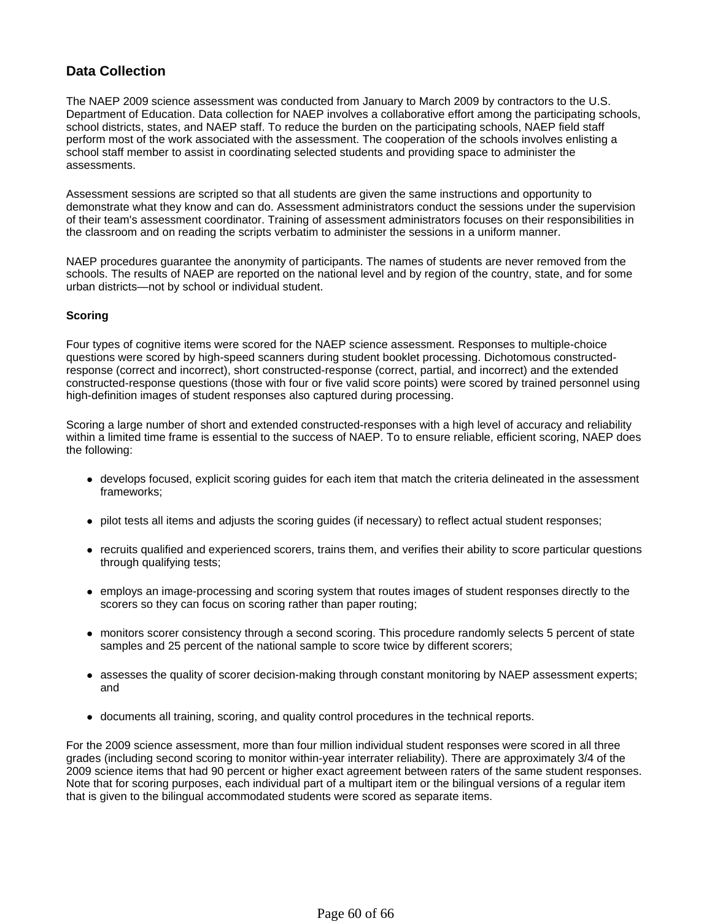# **Data Collection**

The NAEP 2009 science assessment was conducted from January to March 2009 by contractors to the U.S. Department of Education. Data collection for NAEP involves a collaborative effort among the participating schools, school districts, states, and NAEP staff. To reduce the burden on the participating schools, NAEP field staff perform most of the work associated with the assessment. The cooperation of the schools involves enlisting a school staff member to assist in coordinating selected students and providing space to administer the assessments.

Assessment sessions are scripted so that all students are given the same instructions and opportunity to demonstrate what they know and can do. Assessment administrators conduct the sessions under the supervision of their team's assessment coordinator. Training of assessment administrators focuses on their responsibilities in the classroom and on reading the scripts verbatim to administer the sessions in a uniform manner.

NAEP procedures guarantee the anonymity of participants. The names of students are never removed from the schools. The results of NAEP are reported on the national level and by region of the country, state, and for some urban districts—not by school or individual student.

### **Scoring**

Four types of cognitive items were scored for the NAEP science assessment. Responses to multiple-choice questions were scored by high-speed scanners during student booklet processing. Dichotomous constructedresponse (correct and incorrect), short constructed-response (correct, partial, and incorrect) and the extended constructed-response questions (those with four or five valid score points) were scored by trained personnel using high-definition images of student responses also captured during processing.

Scoring a large number of short and extended constructed-responses with a high level of accuracy and reliability within a limited time frame is essential to the success of NAEP. To to ensure reliable, efficient scoring, NAEP does the following:

- develops focused, explicit scoring guides for each item that match the criteria delineated in the assessment frameworks;
- pilot tests all items and adjusts the scoring guides (if necessary) to reflect actual student responses;
- recruits qualified and experienced scorers, trains them, and verifies their ability to score particular questions through qualifying tests;
- employs an image-processing and scoring system that routes images of student responses directly to the scorers so they can focus on scoring rather than paper routing;
- monitors scorer consistency through a second scoring. This procedure randomly selects 5 percent of state samples and 25 percent of the national sample to score twice by different scorers;
- assesses the quality of scorer decision-making through constant monitoring by NAEP assessment experts; and
- documents all training, scoring, and quality control procedures in the technical reports.

For the 2009 science assessment, more than four million individual student responses were scored in all three grades (including second scoring to monitor within-year interrater reliability). There are approximately 3/4 of the 2009 science items that had 90 percent or higher exact agreement between raters of the same student responses. Note that for scoring purposes, each individual part of a multipart item or the bilingual versions of a regular item that is given to the bilingual accommodated students were scored as separate items.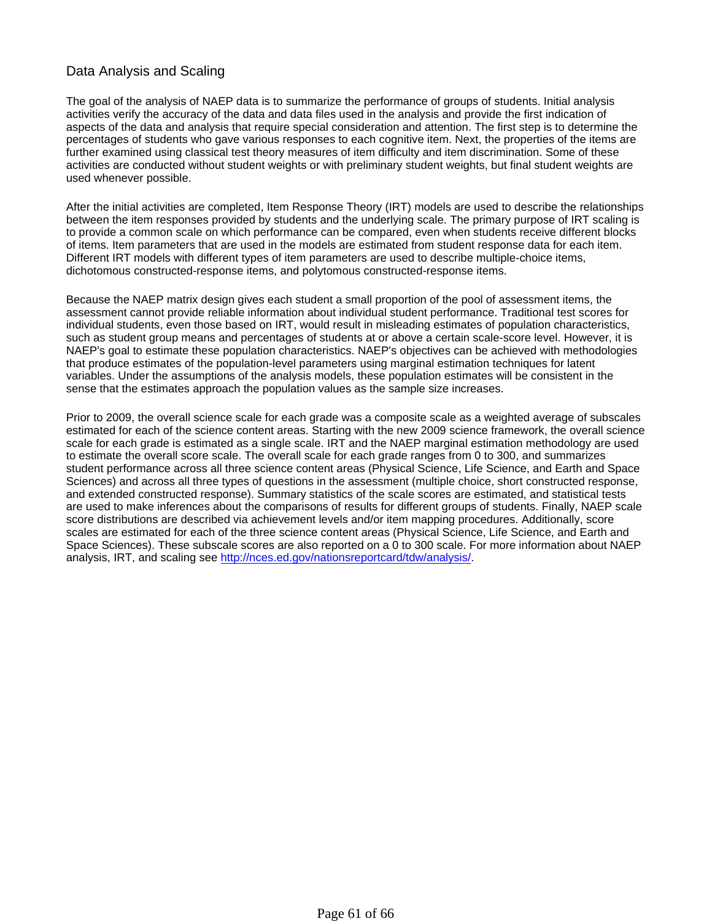## Data Analysis and Scaling

The goal of the analysis of NAEP data is to summarize the performance of groups of students. Initial analysis activities verify the accuracy of the data and data files used in the analysis and provide the first indication of aspects of the data and analysis that require special consideration and attention. The first step is to determine the percentages of students who gave various responses to each cognitive item. Next, the properties of the items are further examined using classical test theory measures of item difficulty and item discrimination. Some of these activities are conducted without student weights or with preliminary student weights, but final student weights are used whenever possible.

After the initial activities are completed, Item Response Theory (IRT) models are used to describe the relationships between the item responses provided by students and the underlying scale. The primary purpose of IRT scaling is to provide a common scale on which performance can be compared, even when students receive different blocks of items. Item parameters that are used in the models are estimated from student response data for each item. Different IRT models with different types of item parameters are used to describe multiple-choice items, dichotomous constructed-response items, and polytomous constructed-response items.

Because the NAEP matrix design gives each student a small proportion of the pool of assessment items, the assessment cannot provide reliable information about individual student performance. Traditional test scores for individual students, even those based on IRT, would result in misleading estimates of population characteristics, such as student group means and percentages of students at or above a certain scale-score level. However, it is NAEP's goal to estimate these population characteristics. NAEP's objectives can be achieved with methodologies that produce estimates of the population-level parameters using marginal estimation techniques for latent variables. Under the assumptions of the analysis models, these population estimates will be consistent in the sense that the estimates approach the population values as the sample size increases.

Prior to 2009, the overall science scale for each grade was a composite scale as a weighted average of subscales estimated for each of the science content areas. Starting with the new 2009 science framework, the overall science scale for each grade is estimated as a single scale. IRT and the NAEP marginal estimation methodology are used to estimate the overall score scale. The overall scale for each grade ranges from 0 to 300, and summarizes student performance across all three science content areas (Physical Science, Life Science, and Earth and Space Sciences) and across all three types of questions in the assessment (multiple choice, short constructed response, and extended constructed response). Summary statistics of the scale scores are estimated, and statistical tests are used to make inferences about the comparisons of results for different groups of students. Finally, NAEP scale score distributions are described via achievement levels and/or item mapping procedures. Additionally, score scales are estimated for each of the three science content areas (Physical Science, Life Science, and Earth and Space Sciences). These subscale scores are also reported on a 0 to 300 scale. For more information about NAEP analysis, IRT, and scaling see http://nces.ed.gov/nationsreportcard/tdw/analysis/.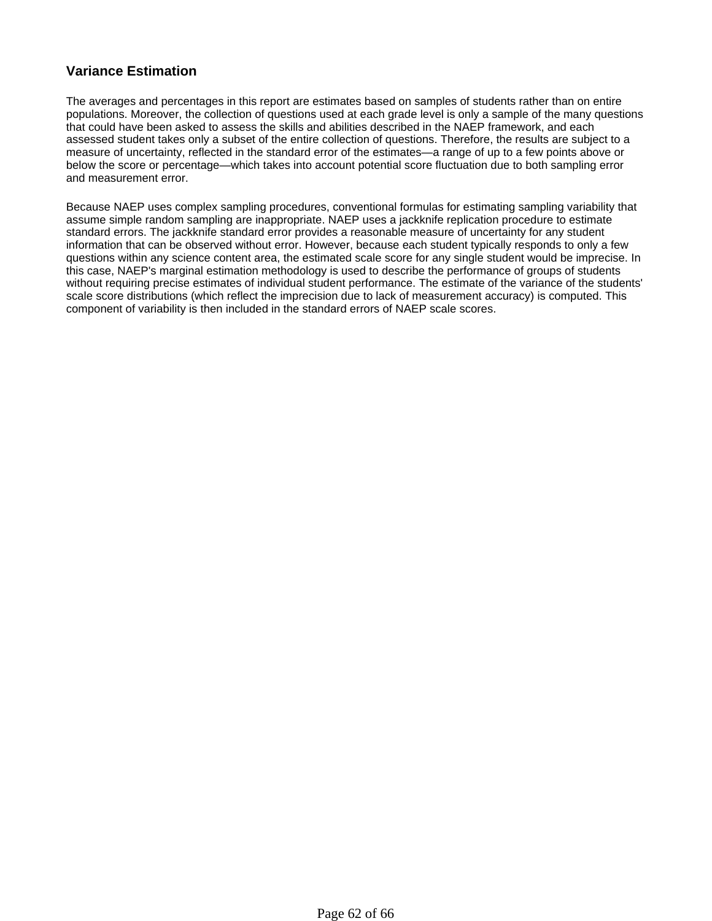# **Variance Estimation**

The averages and percentages in this report are estimates based on samples of students rather than on entire populations. Moreover, the collection of questions used at each grade level is only a sample of the many questions that could have been asked to assess the skills and abilities described in the NAEP framework, and each assessed student takes only a subset of the entire collection of questions. Therefore, the results are subject to a measure of uncertainty, reflected in the standard error of the estimates—a range of up to a few points above or below the score or percentage—which takes into account potential score fluctuation due to both sampling error and measurement error.

Because NAEP uses complex sampling procedures, conventional formulas for estimating sampling variability that assume simple random sampling are inappropriate. NAEP uses a jackknife replication procedure to estimate standard errors. The jackknife standard error provides a reasonable measure of uncertainty for any student information that can be observed without error. However, because each student typically responds to only a few questions within any science content area, the estimated scale score for any single student would be imprecise. In this case, NAEP's marginal estimation methodology is used to describe the performance of groups of students without requiring precise estimates of individual student performance. The estimate of the variance of the students' scale score distributions (which reflect the imprecision due to lack of measurement accuracy) is computed. This component of variability is then included in the standard errors of NAEP scale scores.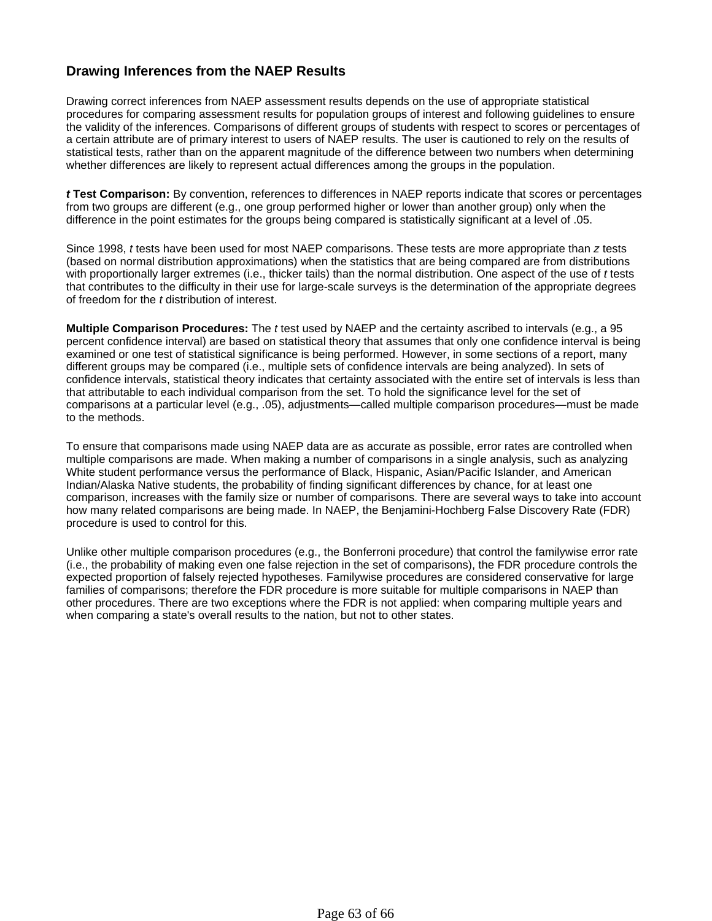# **Drawing Inferences from the NAEP Results**

Drawing correct inferences from NAEP assessment results depends on the use of appropriate statistical procedures for comparing assessment results for population groups of interest and following guidelines to ensure the validity of the inferences. Comparisons of different groups of students with respect to scores or percentages of a certain attribute are of primary interest to users of NAEP results. The user is cautioned to rely on the results of statistical tests, rather than on the apparent magnitude of the difference between two numbers when determining whether differences are likely to represent actual differences among the groups in the population.

*t* **Test Comparison:** By convention, references to differences in NAEP reports indicate that scores or percentages from two groups are different (e.g., one group performed higher or lower than another group) only when the difference in the point estimates for the groups being compared is statistically significant at a level of .05.

Since 1998, *t* tests have been used for most NAEP comparisons. These tests are more appropriate than *z* tests (based on normal distribution approximations) when the statistics that are being compared are from distributions with proportionally larger extremes (i.e., thicker tails) than the normal distribution. One aspect of the use of *t* tests that contributes to the difficulty in their use for large-scale surveys is the determination of the appropriate degrees of freedom for the *t* distribution of interest.

**Multiple Comparison Procedures:** The *t* test used by NAEP and the certainty ascribed to intervals (e.g., a 95 percent confidence interval) are based on statistical theory that assumes that only one confidence interval is being examined or one test of statistical significance is being performed. However, in some sections of a report, many different groups may be compared (i.e., multiple sets of confidence intervals are being analyzed). In sets of confidence intervals, statistical theory indicates that certainty associated with the entire set of intervals is less than that attributable to each individual comparison from the set. To hold the significance level for the set of comparisons at a particular level (e.g., .05), adjustments—called multiple comparison procedures—must be made to the methods.

To ensure that comparisons made using NAEP data are as accurate as possible, error rates are controlled when multiple comparisons are made. When making a number of comparisons in a single analysis, such as analyzing White student performance versus the performance of Black, Hispanic, Asian/Pacific Islander, and American Indian/Alaska Native students, the probability of finding significant differences by chance, for at least one comparison, increases with the family size or number of comparisons. There are several ways to take into account how many related comparisons are being made. In NAEP, the Benjamini-Hochberg False Discovery Rate (FDR) procedure is used to control for this.

Unlike other multiple comparison procedures (e.g., the Bonferroni procedure) that control the familywise error rate (i.e., the probability of making even one false rejection in the set of comparisons), the FDR procedure controls the expected proportion of falsely rejected hypotheses. Familywise procedures are considered conservative for large families of comparisons; therefore the FDR procedure is more suitable for multiple comparisons in NAEP than other procedures. There are two exceptions where the FDR is not applied: when comparing multiple years and when comparing a state's overall results to the nation, but not to other states.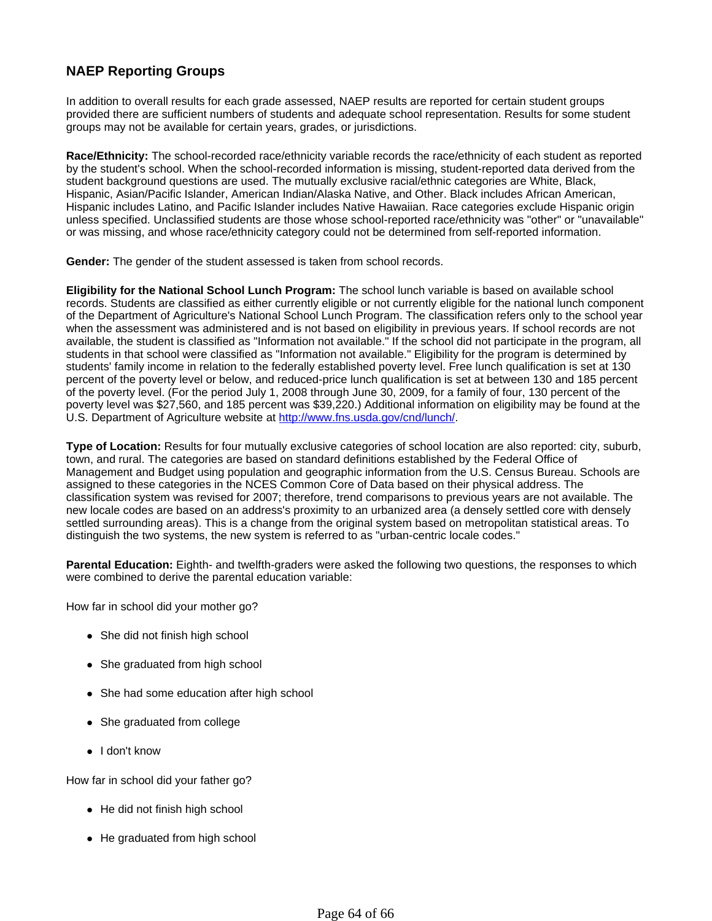# **NAEP Reporting Groups**

In addition to overall results for each grade assessed, NAEP results are reported for certain student groups provided there are sufficient numbers of students and adequate school representation. Results for some student groups may not be available for certain years, grades, or jurisdictions.

**Race/Ethnicity:** The school-recorded race/ethnicity variable records the race/ethnicity of each student as reported by the student's school. When the school-recorded information is missing, student-reported data derived from the student background questions are used. The mutually exclusive racial/ethnic categories are White, Black, Hispanic, Asian/Pacific Islander, American Indian/Alaska Native, and Other. Black includes African American, Hispanic includes Latino, and Pacific Islander includes Native Hawaiian. Race categories exclude Hispanic origin unless specified. Unclassified students are those whose school-reported race/ethnicity was "other" or "unavailable" or was missing, and whose race/ethnicity category could not be determined from self-reported information.

**Gender:** The gender of the student assessed is taken from school records.

**Eligibility for the National School Lunch Program:** The school lunch variable is based on available school records. Students are classified as either currently eligible or not currently eligible for the national lunch component of the Department of Agriculture's National School Lunch Program. The classification refers only to the school year when the assessment was administered and is not based on eligibility in previous years. If school records are not available, the student is classified as "Information not available." If the school did not participate in the program, all students in that school were classified as "Information not available." Eligibility for the program is determined by students' family income in relation to the federally established poverty level. Free lunch qualification is set at 130 percent of the poverty level or below, and reduced-price lunch qualification is set at between 130 and 185 percent of the poverty level. (For the period July 1, 2008 through June 30, 2009, for a family of four, 130 percent of the poverty level was \$27,560, and 185 percent was \$39,220.) Additional information on eligibility may be found at the U.S. Department of Agriculture website at http://www.fns.usda.gov/cnd/lunch/.

**Type of Location:** Results for four mutually exclusive categories of school location are also reported: city, suburb, town, and rural. The categories are based on standard definitions established by the Federal Office of Management and Budget using population and geographic information from the U.S. Census Bureau. Schools are assigned to these categories in the NCES Common Core of Data based on their physical address. The classification system was revised for 2007; therefore, trend comparisons to previous years are not available. The new locale codes are based on an address's proximity to an urbanized area (a densely settled core with densely settled surrounding areas). This is a change from the original system based on metropolitan statistical areas. To distinguish the two systems, the new system is referred to as "urban-centric locale codes."

**Parental Education:** Eighth- and twelfth-graders were asked the following two questions, the responses to which were combined to derive the parental education variable:

How far in school did your mother go?

- $\bullet$  She did not finish high school
- She graduated from high school
- She had some education after high school
- She graduated from college
- I don't know

How far in school did your father go?

- $\bullet$  He did not finish high school
- He graduated from high school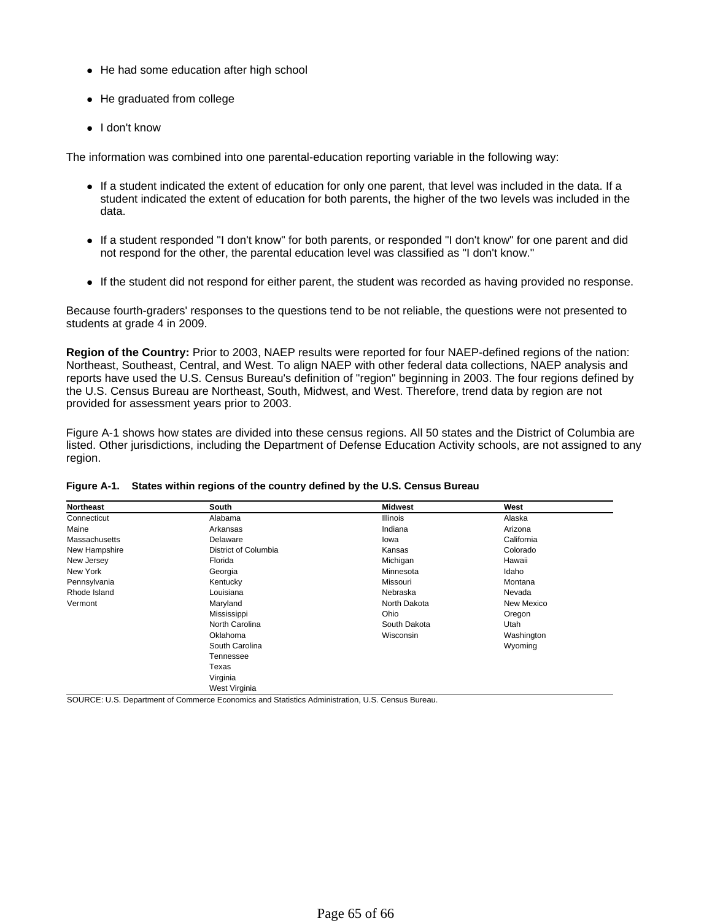- He had some education after high school
- $\bullet$  He graduated from college
- $\bullet$  I don't know

The information was combined into one parental-education reporting variable in the following way:

- If a student indicated the extent of education for only one parent, that level was included in the data. If a student indicated the extent of education for both parents, the higher of the two levels was included in the data.
- If a student responded "I don't know" for both parents, or responded "I don't know" for one parent and did not respond for the other, the parental education level was classified as "I don't know."
- If the student did not respond for either parent, the student was recorded as having provided no response.

Because fourth-graders' responses to the questions tend to be not reliable, the questions were not presented to students at grade 4 in 2009.

**Region of the Country:** Prior to 2003, NAEP results were reported for four NAEP-defined regions of the nation: Northeast, Southeast, Central, and West. To align NAEP with other federal data collections, NAEP analysis and reports have used the U.S. Census Bureau's definition of "region" beginning in 2003. The four regions defined by the U.S. Census Bureau are Northeast, South, Midwest, and West. Therefore, trend data by region are not provided for assessment years prior to 2003.

Figure A-1 shows how states are divided into these census regions. All 50 states and the District of Columbia are listed. Other jurisdictions, including the Department of Defense Education Activity schools, are not assigned to any region.

| <b>Northeast</b> | South                | <b>Midwest</b>  | West       |
|------------------|----------------------|-----------------|------------|
| Connecticut      | Alabama              | <b>Illinois</b> | Alaska     |
| Maine            | Arkansas             | Indiana         | Arizona    |
| Massachusetts    | Delaware             | lowa            | California |
| New Hampshire    | District of Columbia | Kansas          | Colorado   |
| New Jersey       | Florida              | Michigan        | Hawaii     |
| New York         | Georgia              | Minnesota       | Idaho      |
| Pennsylvania     | Kentucky             | Missouri        | Montana    |
| Rhode Island     | Louisiana            | Nebraska        | Nevada     |
| Vermont          | Maryland             | North Dakota    | New Mexico |
|                  | Mississippi          | Ohio            | Oregon     |
|                  | North Carolina       | South Dakota    | Utah       |
|                  | Oklahoma             | Wisconsin       | Washington |
|                  | South Carolina       |                 | Wyoming    |
|                  | Tennessee            |                 |            |
|                  | Texas                |                 |            |
|                  | Virginia             |                 |            |
|                  | West Virginia        |                 |            |

#### **Figure A-1. States within regions of the country defined by the U.S. Census Bureau**

SOURCE: U.S. Department of Commerce Economics and Statistics Administration, U.S. Census Bureau.